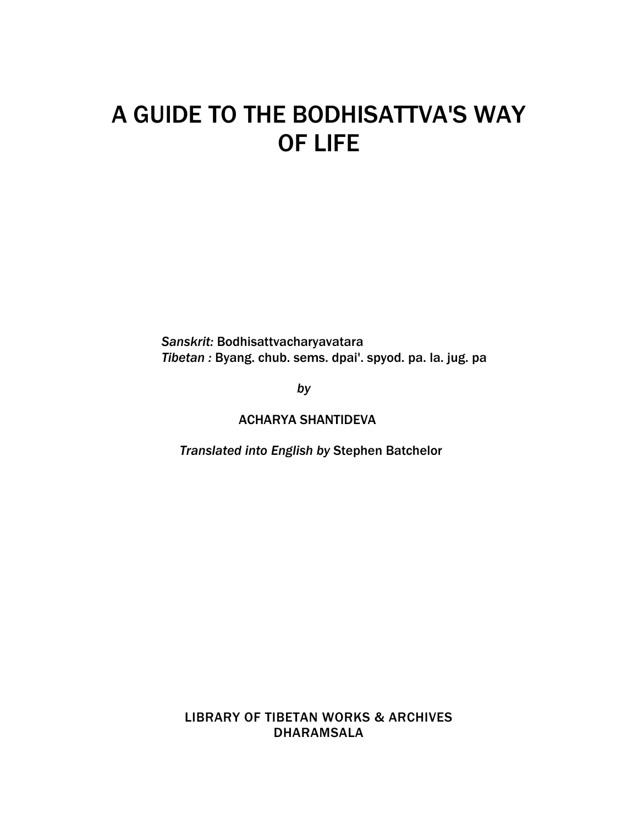# A GUIDE TO THE BODHISATTVA'S WAY OF LIFE

 *Sanskrit:* Bodhisattvacharyavatara  *Tibetan :* Byang. chub. sems. dpai'. spyod. pa. la. jug. pa

**by** by

ACHARYA SHANTIDEVA

*Translated into English by* Stephen Batchelor

LIBRARY OF TIBETAN WORKS & ARCHIVES DHARAMSALA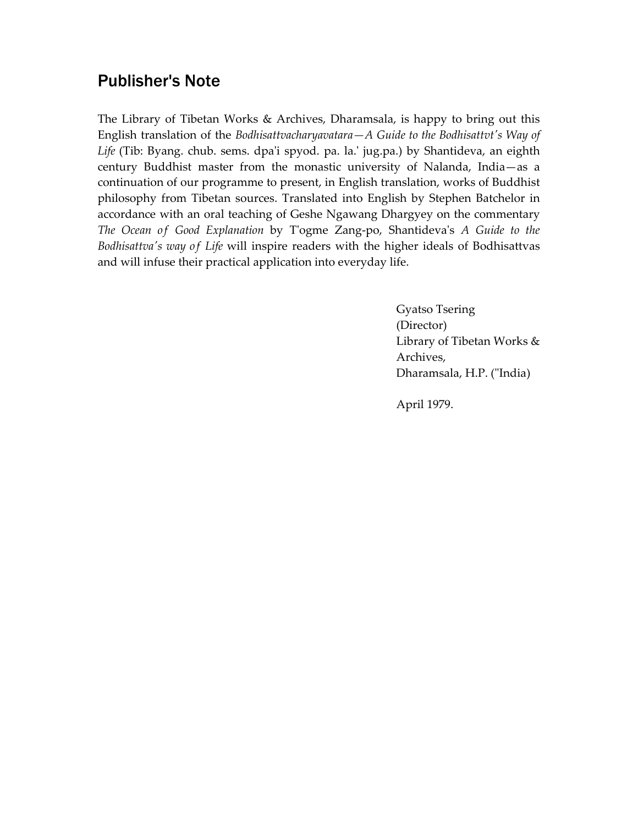#### Publisher's Note

The Library of Tibetan Works & Archives, Dharamsala, is happy to bring out this English translation of the *Bodhisattvacharyavatara—A Guide to the Bodhisattvtʹs Way of* Life (Tib: Byang. chub. sems. dpa'i spyod. pa. la.' jug.pa.) by Shantideva, an eighth century Buddhist master from the monastic university of Nalanda, India—as a continuation of our programme to present, in English translation, works of Buddhist philosophy from Tibetan sources. Translated into English by Stephen Batchelor in accordance with an oral teaching of Geshe Ngawang Dhargyey on the commentary *The Ocean of Good Explanation* by Tʹogme Zang‐po, Shantidevaʹs *A Guide to the Bodhisattvaʹs way of Life* will inspire readers with the higher ideals of Bodhisattvas and will infuse their practical application into everyday life.

> Gyatso Tsering (Director) Library of Tibetan Works & Archives, Dharamsala, H.P. ("India)

April 1979.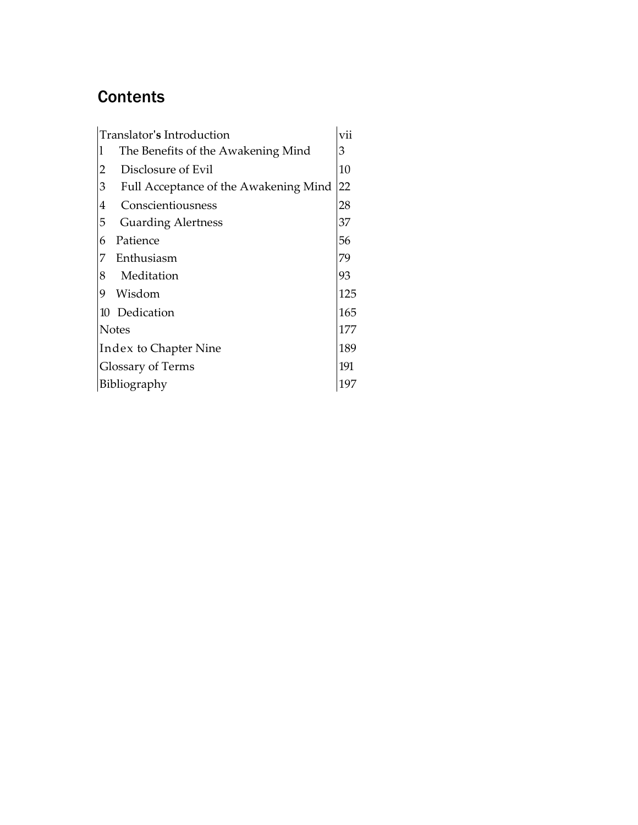#### **Contents**

| Translator's Introduction |                                       | vii |
|---------------------------|---------------------------------------|-----|
|                           | The Benefits of the Awakening Mind    | 3   |
| 2                         | Disclosure of Evil                    | 10  |
| 3                         | Full Acceptance of the Awakening Mind | 22  |
| 4                         | Conscientiousness                     | 28  |
| 5                         | <b>Guarding Alertness</b>             | 37  |
| 6                         | Patience                              | 56  |
| 7                         | Enthusiasm                            | 79  |
| 8                         | Meditation                            | 93  |
| 9                         | Wisdom                                | 125 |
| 10                        | Dedication                            | 165 |
| Notes                     |                                       | 177 |
| Index to Chapter Nine     |                                       | 189 |
| <b>Glossary of Terms</b>  |                                       | 191 |
| Bibliography              |                                       | 197 |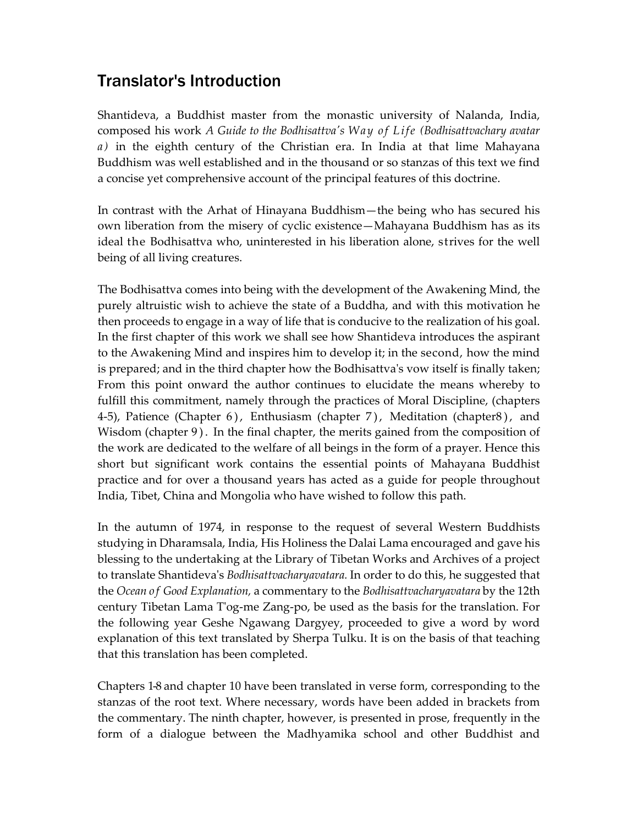#### Translator's Introduction

Shantideva, a Buddhist master from the monastic university of Nalanda, India, composed his work *A Guide to the Bodhisattvaʹs Way of Life (Bodhisattvachary avatar a )* in the eighth century of the Christian era. In India at that lime Mahayana Buddhism was well established and in the thousand or so stanzas of this text we find a concise yet comprehensive account of the principal features of this doctrine.

In contrast with the Arhat of Hinayana Buddhism—the being who has secured his own liberation from the misery of cyclic existence—Mahayana Buddhism has as its ideal the Bodhisattva who, uninterested in his liberation alone, s trives for the well being of all living creatures.

The Bodhisattva comes into being with the development of the Awakening Mind, the purely altruistic wish to achieve the state of a Buddha, and with this motivation he then proceeds to engage in a way of life that is conducive to the realization of his goal. In the first chapter of this work we shall see how Shantideva introduces the aspirant to the Awakening Mind and inspires him to develop it; in the second, how the mind is prepared; and in the third chapter how the Bodhisattva's vow itself is finally taken; From this point onward the author continues to elucidate the means whereby to fulfill this commitment, namely through the practices of Moral Discipline, (chapters 4-5), Patience (Chapter 6), Enthusiasm (chapter 7), Meditation (chapter8), and Wisdom (chapter 9). In the final chapter, the merits gained from the composition of the work are dedicated to the welfare of all beings in the form of a prayer. Hence this short but significant work contains the essential points of Mahayana Buddhist practice and for over a thousand years has acted as a guide for people throughout India, Tibet, China and Mongolia who have wished to follow this path.

In the autumn of 1974, in response to the request of several Western Buddhists studying in Dharamsala, India, His Holiness the Dalai Lama encouraged and gave his blessing to the undertaking at the Library of Tibetan Works and Archives of a project to translate Shantidevaʹs *Bodhisattvacharyavatara.* In order to do this, he suggested that the *Ocean of Good Explanation,* a commentary to the *Bodhisattvacharyavatara* by the 12th century Tibetan Lama Tʹog‐me Zang‐po, be used as the basis for the translation. For the following year Geshe Ngawang Dargyey, proceeded to give a word by word explanation of this text translated by Sherpa Tulku. It is on the basis of that teaching that this translation has been completed.

Chapters 1‐8 and chapter 10 have been translated in verse form, corresponding to the stanzas of the root text. Where necessary, words have been added in brackets from the commentary. The ninth chapter, however, is presented in prose, frequently in the form of a dialogue between the Madhyamika school and other Buddhist and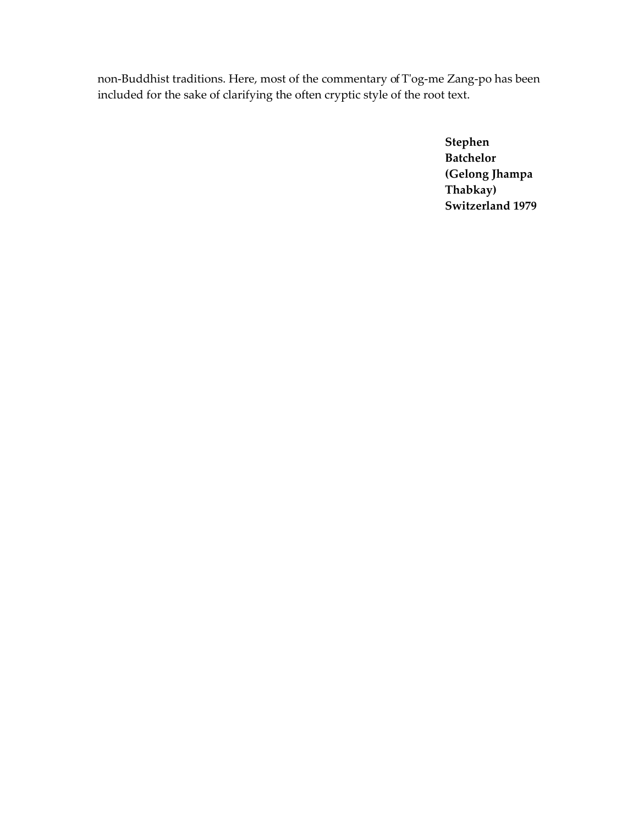non‐Buddhist traditions. Here, most of the commentary of Tʹog‐me Zang‐po has been included for the sake of clarifying the often cryptic style of the root text.

> **Stephen Batchelor (Gelong Jhampa Thabkay) Switzerland 1979**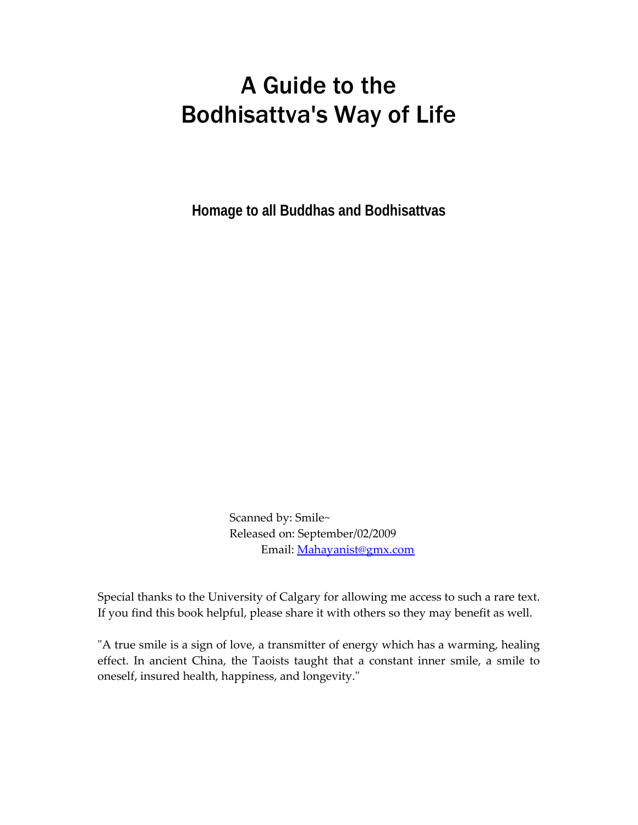## A Guide to the Bodhisattva's Way of Life

**Homage to all Buddhas and Bodhisattvas** 

Scanned by: Smile~ Released on: September/02/2009 Email: Mahayanist@gmx.com

Special thanks to the University of Calgary for allowing me access to such a rare text. If you find this book helpful, please share it with others so they may benefit as well.

"A true smile is a sign of love, a transmitter of energy which has a warming, healing effect. In ancient China, the Taoists taught that a constant inner smile, a smile to oneself, insured health, happiness, and longevity."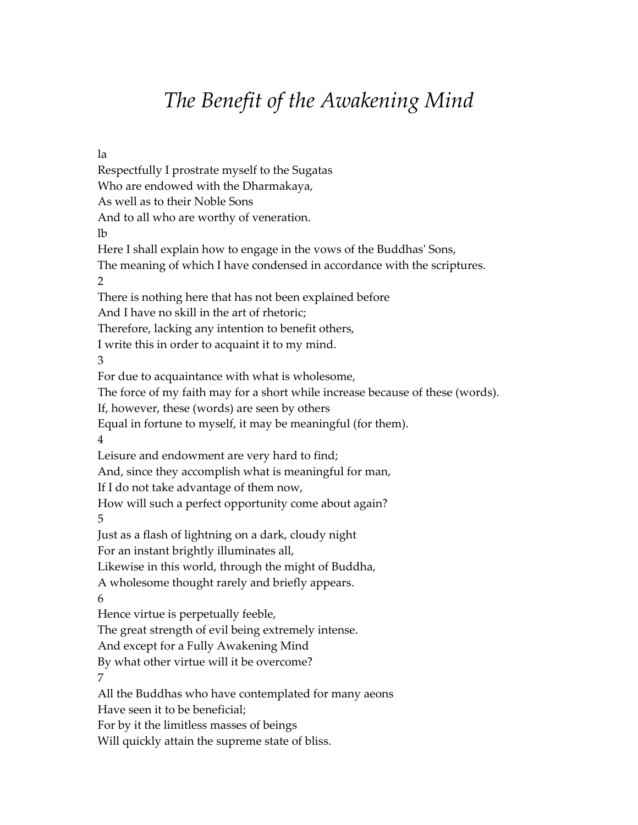### *The Benefit of the Awakening Mind*

la

Respectfully I prostrate myself to the Sugatas Who are endowed with the Dharmakaya, As well as to their Noble Sons And to all who are worthy of veneration. lb Here I shall explain how to engage in the vows of the Buddhas' Sons, The meaning of which I have condensed in accordance with the scriptures. 2 There is nothing here that has not been explained before And I have no skill in the art of rhetoric; Therefore, lacking any intention to benefit others, I write this in order to acquaint it to my mind. 3 For due to acquaintance with what is wholesome, The force of my faith may for a short while increase because of these (words). If, however, these (words) are seen by others Equal in fortune to myself, it may be meaningful (for them). 4 Leisure and endowment are very hard to find; And, since they accomplish what is meaningful for man, If I do not take advantage of them now, How will such a perfect opportunity come about again? 5 Just as a flash of lightning on a dark, cloudy night For an instant brightly illuminates all, Likewise in this world, through the might of Buddha, A wholesome thought rarely and briefly appears. 6 Hence virtue is perpetually feeble, The great strength of evil being extremely intense. And except for a Fully Awakening Mind By what other virtue will it be overcome? 7 All the Buddhas who have contemplated for many aeons Have seen it to be beneficial; For by it the limitless masses of beings Will quickly attain the supreme state of bliss.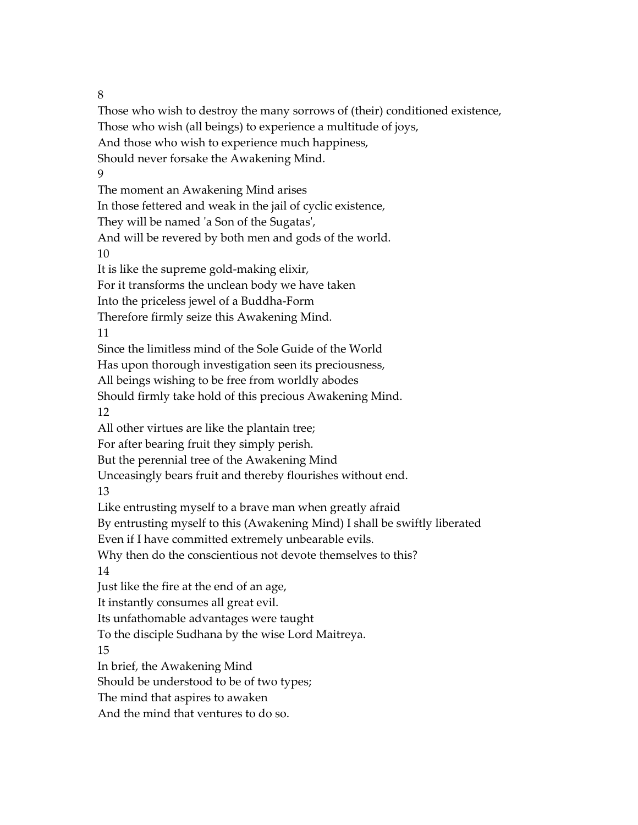8

Those who wish to destroy the many sorrows of (their) conditioned existence, Those who wish (all beings) to experience a multitude of joys, And those who wish to experience much happiness, Should never forsake the Awakening Mind. 9

The moment an Awakening Mind arises

In those fettered and weak in the jail of cyclic existence,

They will be named 'a Son of the Sugatas',

And will be revered by both men and gods of the world.

10

It is like the supreme gold‐making elixir,

For it transforms the unclean body we have taken

Into the priceless jewel of a Buddha‐Form

Therefore firmly seize this Awakening Mind.

11

Since the limitless mind of the Sole Guide of the World

Has upon thorough investigation seen its preciousness,

All beings wishing to be free from worldly abodes

Should firmly take hold of this precious Awakening Mind.

12

All other virtues are like the plantain tree;

For after bearing fruit they simply perish.

But the perennial tree of the Awakening Mind

Unceasingly bears fruit and thereby flourishes without end.

13

Like entrusting myself to a brave man when greatly afraid

By entrusting myself to this (Awakening Mind) I shall be swiftly liberated

Even if I have committed extremely unbearable evils.

Why then do the conscientious not devote themselves to this?

14

Just like the fire at the end of an age,

It instantly consumes all great evil.

Its unfathomable advantages were taught

To the disciple Sudhana by the wise Lord Maitreya.

15

In brief, the Awakening Mind

Should be understood to be of two types;

The mind that aspires to awaken

And the mind that ventures to do so.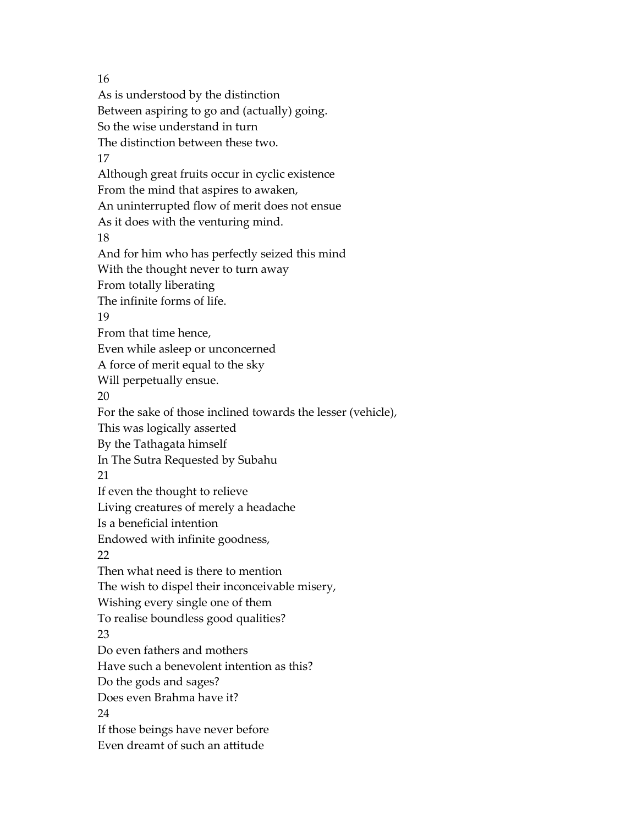16 As is understood by the distinction Between aspiring to go and (actually) going. So the wise understand in turn The distinction between these two. 17 Although great fruits occur in cyclic existence From the mind that aspires to awaken, An uninterrupted flow of merit does not ensue As it does with the venturing mind. 18 And for him who has perfectly seized this mind With the thought never to turn away From totally liberating The infinite forms of life. 19 From that time hence, Even while asleep or unconcerned A force of merit equal to the sky Will perpetually ensue. 20 For the sake of those inclined towards the lesser (vehicle), This was logically asserted By the Tathagata himself In The Sutra Requested by Subahu 21 If even the thought to relieve Living creatures of merely a headache Is a beneficial intention Endowed with infinite goodness, 22 Then what need is there to mention The wish to dispel their inconceivable misery, Wishing every single one of them To realise boundless good qualities? 23 Do even fathers and mothers Have such a benevolent intention as this? Do the gods and sages? Does even Brahma have it? 24 If those beings have never before Even dreamt of such an attitude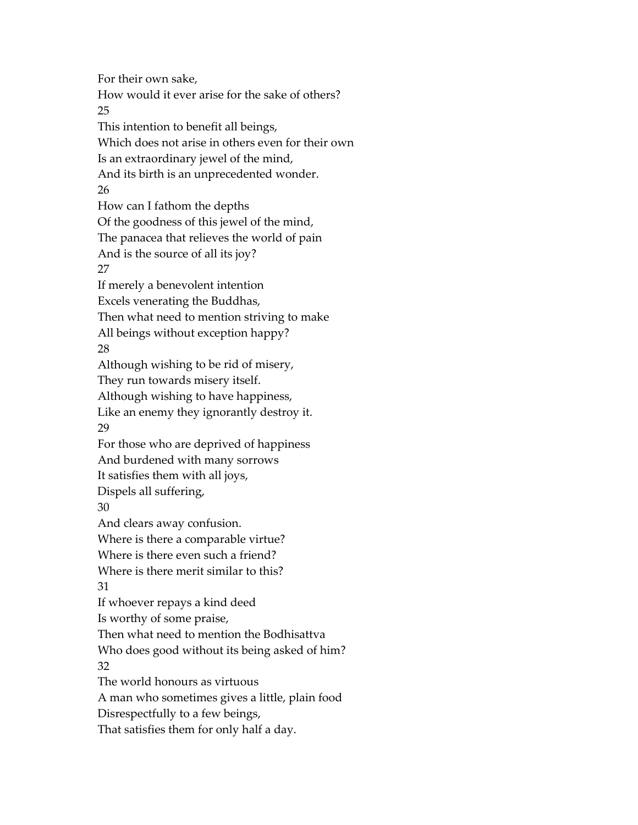For their own sake, How would it ever arise for the sake of others? 25 This intention to benefit all beings, Which does not arise in others even for their own Is an extraordinary jewel of the mind, And its birth is an unprecedented wonder. 26 How can I fathom the depths Of the goodness of this jewel of the mind, The panacea that relieves the world of pain And is the source of all its joy? 27 If merely a benevolent intention Excels venerating the Buddhas, Then what need to mention striving to make All beings without exception happy? 28 Although wishing to be rid of misery, They run towards misery itself. Although wishing to have happiness, Like an enemy they ignorantly destroy it. 29 For those who are deprived of happiness And burdened with many sorrows It satisfies them with all joys, Dispels all suffering, 30 And clears away confusion. Where is there a comparable virtue? Where is there even such a friend? Where is there merit similar to this? 31 If whoever repays a kind deed Is worthy of some praise, Then what need to mention the Bodhisattva Who does good without its being asked of him? 32 The world honours as virtuous A man who sometimes gives a little, plain food Disrespectfully to a few beings, That satisfies them for only half a day.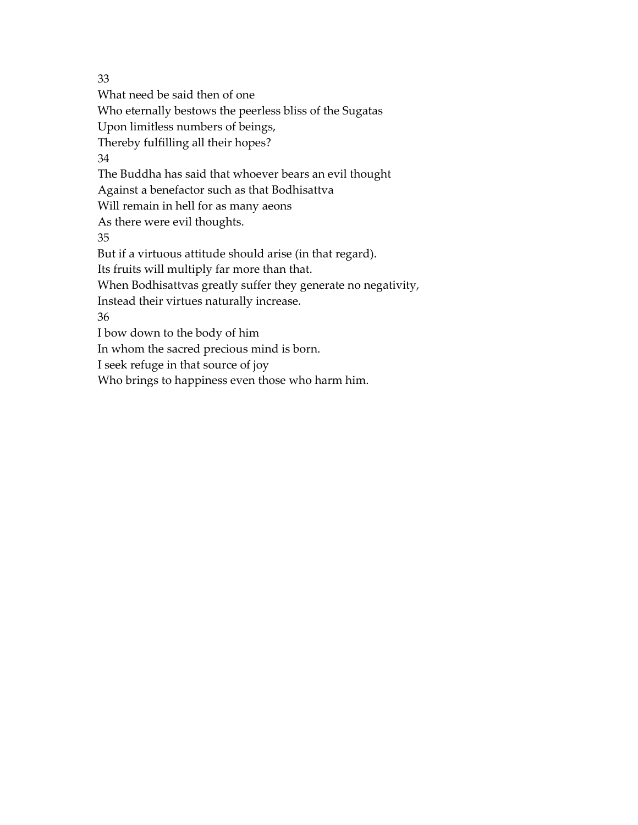33

What need be said then of one

Who eternally bestows the peerless bliss of the Sugatas

Upon limitless numbers of beings,

Thereby fulfilling all their hopes?

34

The Buddha has said that whoever bears an evil thought

Against a benefactor such as that Bodhisattva

Will remain in hell for as many aeons

As there were evil thoughts.

35

But if a virtuous attitude should arise (in that regard).

Its fruits will multiply far more than that.

When Bodhisattvas greatly suffer they generate no negativity,

Instead their virtues naturally increase.

36

I bow down to the body of him

In whom the sacred precious mind is born.

I seek refuge in that source of joy

Who brings to happiness even those who harm him.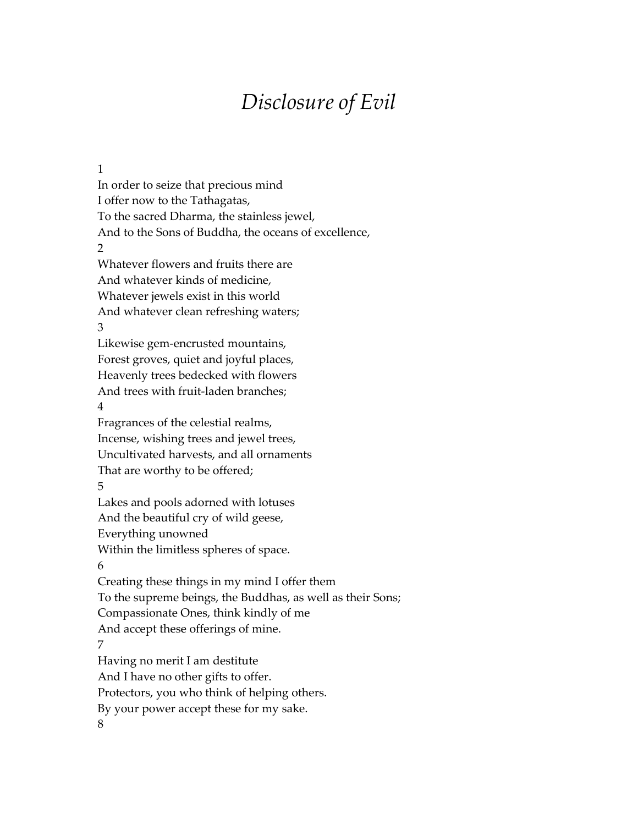### *Disclosure of Evil*

1 In order to seize that precious mind I offer now to the Tathagatas, To the sacred Dharma, the stainless jewel, And to the Sons of Buddha, the oceans of excellence, 2 Whatever flowers and fruits there are And whatever kinds of medicine, Whatever jewels exist in this world And whatever clean refreshing waters; 3 Likewise gem‐encrusted mountains, Forest groves, quiet and joyful places, Heavenly trees bedecked with flowers And trees with fruit-laden branches; 4 Fragrances of the celestial realms, Incense, wishing trees and jewel trees, Uncultivated harvests, and all ornaments That are worthy to be offered; 5 Lakes and pools adorned with lotuses And the beautiful cry of wild geese, Everything unowned Within the limitless spheres of space. 6 Creating these things in my mind I offer them To the supreme beings, the Buddhas, as well as their Sons; Compassionate Ones, think kindly of me And accept these offerings of mine. 7 Having no merit I am destitute And I have no other gifts to offer. Protectors, you who think of helping others. By your power accept these for my sake. 8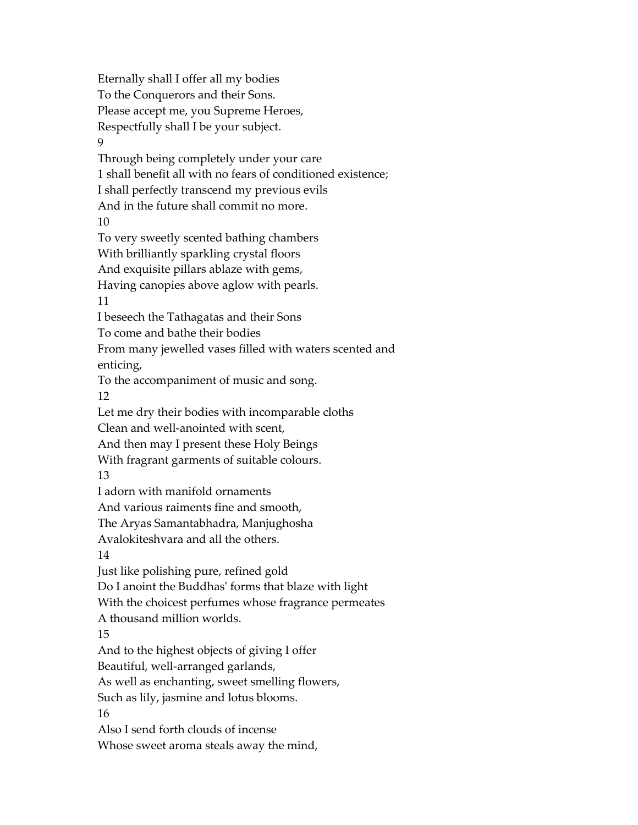Eternally shall I offer all my bodies To the Conquerors and their Sons. Please accept me, you Supreme Heroes, Respectfully shall I be your subject. 9 Through being completely under your care 1 shall benefit all with no fears of conditioned existence; I shall perfectly transcend my previous evils And in the future shall commit no more. 10 To very sweetly scented bathing chambers With brilliantly sparkling crystal floors And exquisite pillars ablaze with gems, Having canopies above aglow with pearls. 11 I beseech the Tathagatas and their Sons To come and bathe their bodies From many jewelled vases filled with waters scented and enticing, To the accompaniment of music and song. 12 Let me dry their bodies with incomparable cloths Clean and well‐anointed with scent, And then may I present these Holy Beings With fragrant garments of suitable colours. 13 I adorn with manifold ornaments And various raiments fine and smooth, The Aryas Samantabhadra, Manjughosha Avalokiteshvara and all the others. 14 Just like polishing pure, refined gold Do I anoint the Buddhasʹ forms that blaze with light With the choicest perfumes whose fragrance permeates A thousand million worlds. 15 And to the highest objects of giving I offer Beautiful, well‐arranged garlands, As well as enchanting, sweet smelling flowers, Such as lily, jasmine and lotus blooms. 16 Also I send forth clouds of incense Whose sweet aroma steals away the mind,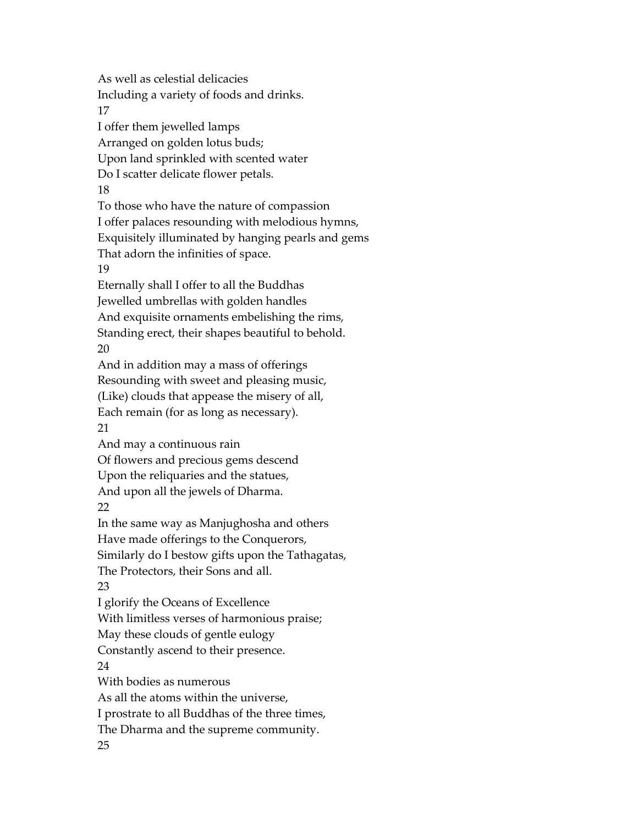As well as celestial delicacies Including a variety of foods and drinks. 17 I offer them jewelled lamps Arranged on golden lotus buds; Upon land sprinkled with scented water Do I scatter delicate flower petals. 18 To those who have the nature of compassion I offer palaces resounding with melodious hymns, Exquisitely illuminated by hanging pearls and gems That adorn the infinities of space. 19 Eternally shall I offer to all the Buddhas Jewelled umbrellas with golden handles And exquisite ornaments embelishing the rims, Standing erect, their shapes beautiful to behold. 20 And in addition may a mass of offerings Resounding with sweet and pleasing music, (Like) clouds that appease the misery of all, Each remain (for as long as necessary). 21 And may a continuous rain Of flowers and precious gems descend Upon the reliquaries and the statues, And upon all the jewels of Dharma. 22 In the same way as Manjughosha and others Have made offerings to the Conquerors, Similarly do I bestow gifts upon the Tathagatas, The Protectors, their Sons and all. 23 I glorify the Oceans of Excellence With limitless verses of harmonious praise; May these clouds of gentle eulogy Constantly ascend to their presence. 24 With bodies as numerous As all the atoms within the universe, I prostrate to all Buddhas of the three times, The Dharma and the supreme community. 25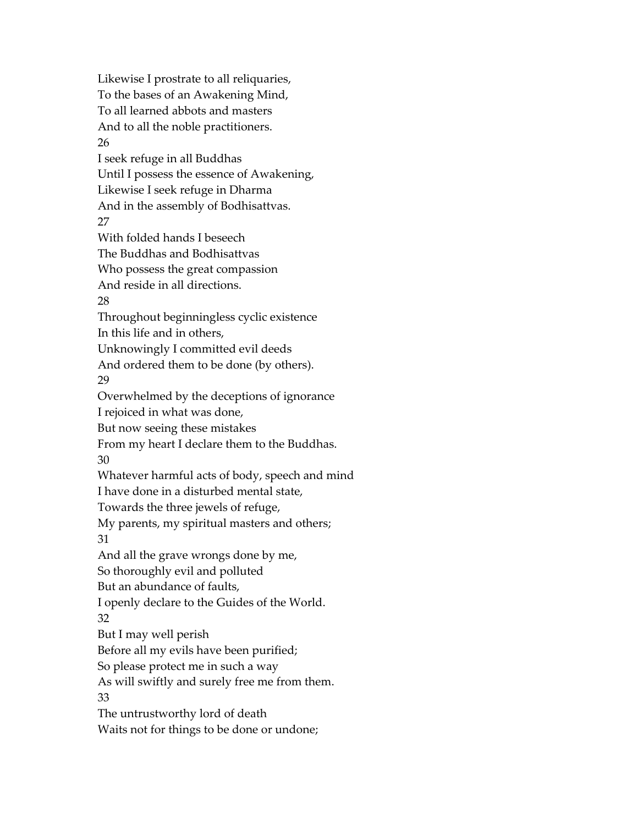Likewise I prostrate to all reliquaries, To the bases of an Awakening Mind, To all learned abbots and masters And to all the noble practitioners. 26 I seek refuge in all Buddhas Until I possess the essence of Awakening, Likewise I seek refuge in Dharma And in the assembly of Bodhisattvas. 27 With folded hands I beseech The Buddhas and Bodhisattvas Who possess the great compassion And reside in all directions. 28 Throughout beginningless cyclic existence In this life and in others, Unknowingly I committed evil deeds And ordered them to be done (by others). 29 Overwhelmed by the deceptions of ignorance I rejoiced in what was done, But now seeing these mistakes From my heart I declare them to the Buddhas. 30 Whatever harmful acts of body, speech and mind I have done in a disturbed mental state, Towards the three jewels of refuge, My parents, my spiritual masters and others; 31 And all the grave wrongs done by me, So thoroughly evil and polluted But an abundance of faults, I openly declare to the Guides of the World. 32 But I may well perish Before all my evils have been purified; So please protect me in such a way As will swiftly and surely free me from them. 33 The untrustworthy lord of death Waits not for things to be done or undone;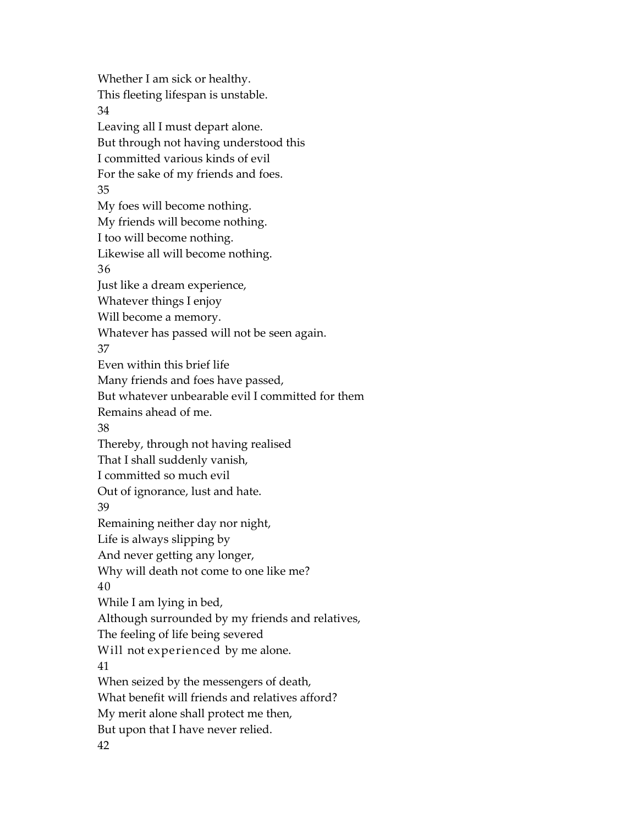Whether I am sick or healthy. This fleeting lifespan is unstable. 34 Leaving all I must depart alone. But through not having understood this I committed various kinds of evil For the sake of my friends and foes. 35 My foes will become nothing. My friends will become nothing. I too will become nothing. Likewise all will become nothing. 36 Just like a dream experience, Whatever things I enjoy Will become a memory. Whatever has passed will not be seen again. 37 Even within this brief life Many friends and foes have passed, But whatever unbearable evil I committed for them Remains ahead of me. 38 Thereby, through not having realised That I shall suddenly vanish, I committed so much evil Out of ignorance, lust and hate. 39 Remaining neither day nor night, Life is always slipping by And never getting any longer, Why will death not come to one like me? 40 While I am lying in bed, Although surrounded by my friends and relatives, The feeling of life being severed Will not experienced by me alone. 41 When seized by the messengers of death, What benefit will friends and relatives afford? My merit alone shall protect me then, But upon that I have never relied. 42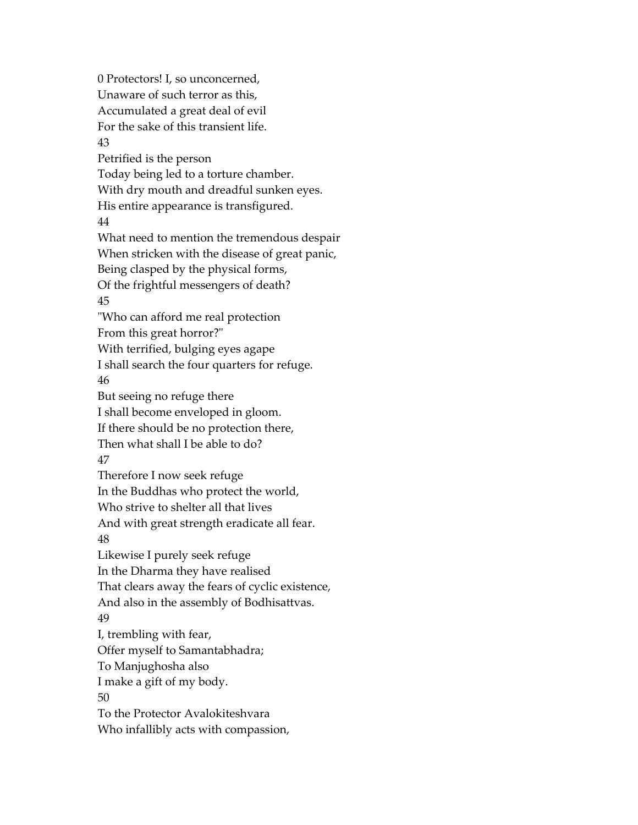0 Protectors! I, so unconcerned, Unaware of such terror as this, Accumulated a great deal of evil For the sake of this transient life. 43 Petrified is the person Today being led to a torture chamber. With dry mouth and dreadful sunken eyes. His entire appearance is transfigured. 44 What need to mention the tremendous despair When stricken with the disease of great panic, Being clasped by the physical forms, Of the frightful messengers of death? 45 ʺWho can afford me real protection From this great horror?" With terrified, bulging eyes agape I shall search the four quarters for refuge. 46 But seeing no refuge there I shall become enveloped in gloom. If there should be no protection there, Then what shall I be able to do? 47 Therefore I now seek refuge In the Buddhas who protect the world, Who strive to shelter all that lives And with great strength eradicate all fear. 48 Likewise I purely seek refuge In the Dharma they have realised That clears away the fears of cyclic existence, And also in the assembly of Bodhisattvas. 49 I, trembling with fear, Offer myself to Samantabhadra; To Manjughosha also I make a gift of my body. 50 To the Protector Avalokiteshvara Who infallibly acts with compassion,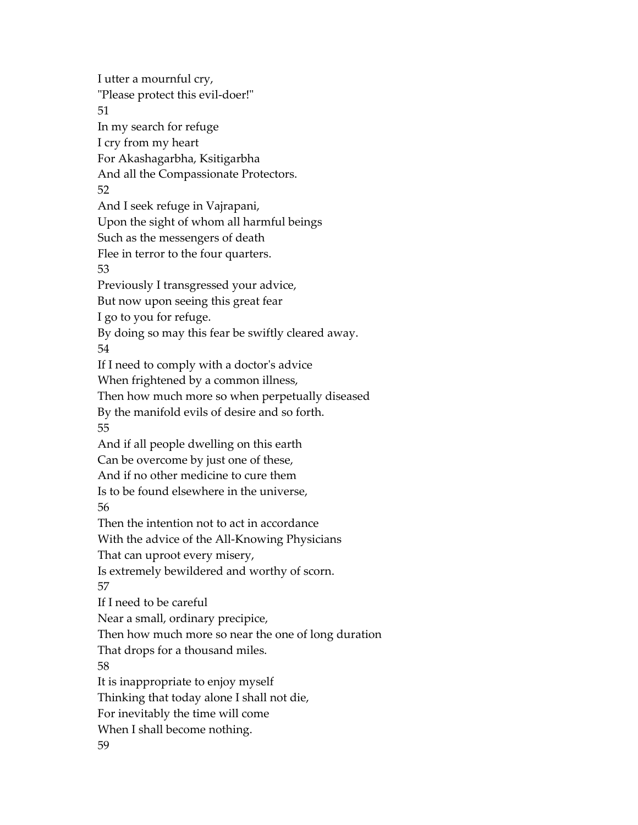I utter a mournful cry, "Please protect this evil-doer!" 51 In my search for refuge I cry from my heart For Akashagarbha, Ksitigarbha And all the Compassionate Protectors. 52 And I seek refuge in Vajrapani, Upon the sight of whom all harmful beings Such as the messengers of death Flee in terror to the four quarters. 53 Previously I transgressed your advice, But now upon seeing this great fear I go to you for refuge. By doing so may this fear be swiftly cleared away. 54 If I need to comply with a doctor's advice When frightened by a common illness, Then how much more so when perpetually diseased By the manifold evils of desire and so forth. 55 And if all people dwelling on this earth Can be overcome by just one of these, And if no other medicine to cure them Is to be found elsewhere in the universe, 56 Then the intention not to act in accordance With the advice of the All‐Knowing Physicians That can uproot every misery, Is extremely bewildered and worthy of scorn. 57 If I need to be careful Near a small, ordinary precipice, Then how much more so near the one of long duration That drops for a thousand miles. 58 It is inappropriate to enjoy myself Thinking that today alone I shall not die, For inevitably the time will come When I shall become nothing. 59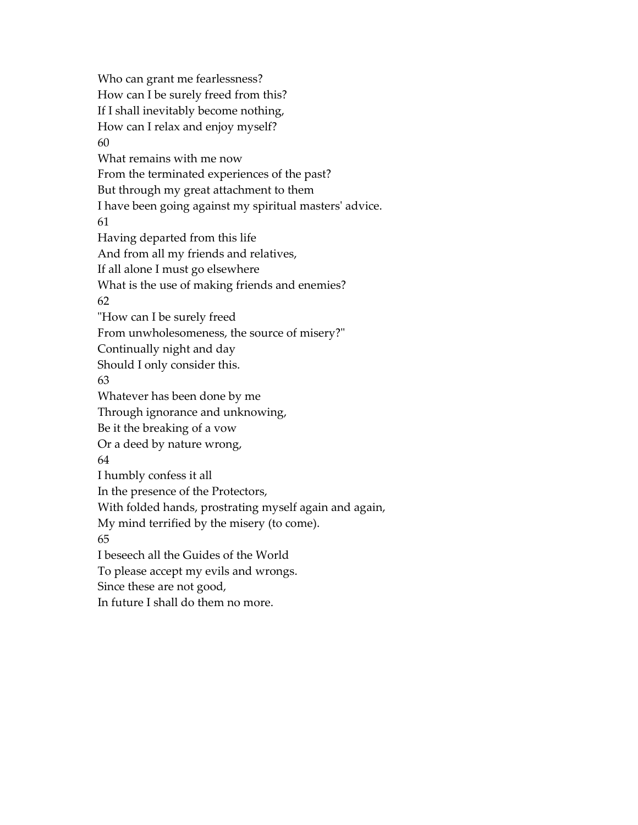Who can grant me fearlessness? How can I be surely freed from this? If I shall inevitably become nothing, How can I relax and enjoy myself? 60 What remains with me now From the terminated experiences of the past? But through my great attachment to them I have been going against my spiritual mastersʹ advice. 61 Having departed from this life And from all my friends and relatives, If all alone I must go elsewhere What is the use of making friends and enemies? 62 "How can I be surely freed From unwholesomeness, the source of misery?" Continually night and day Should I only consider this. 63 Whatever has been done by me Through ignorance and unknowing, Be it the breaking of a vow Or a deed by nature wrong, 64 I humbly confess it all In the presence of the Protectors, With folded hands, prostrating myself again and again, My mind terrified by the misery (to come). 65 I beseech all the Guides of the World To please accept my evils and wrongs. Since these are not good, In future I shall do them no more.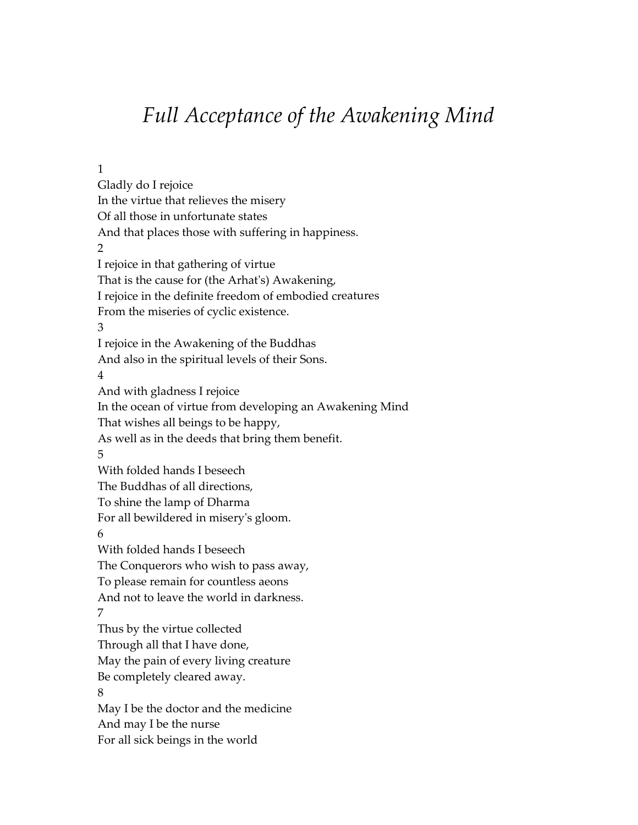#### *Full Acceptance of the Awakening Mind*

1

Gladly do I rejoice In the virtue that relieves the misery Of all those in unfortunate states And that places those with suffering in happiness. 2 I rejoice in that gathering of virtue That is the cause for (the Arhat's) Awakening, I rejoice in the definite freedom of embodied creatures From the miseries of cyclic existence. 3 I rejoice in the Awakening of the Buddhas And also in the spiritual levels of their Sons. 4 And with gladness I rejoice In the ocean of virtue from developing an Awakening Mind That wishes all beings to be happy, As well as in the deeds that bring them benefit. 5 With folded hands I beseech The Buddhas of all directions, To shine the lamp of Dharma For all bewildered in miseryʹs gloom. 6 With folded hands I beseech The Conquerors who wish to pass away, To please remain for countless aeons And not to leave the world in darkness. 7 Thus by the virtue collected Through all that I have done, May the pain of every living creature Be completely cleared away. 8 May I be the doctor and the medicine And may I be the nurse For all sick beings in the world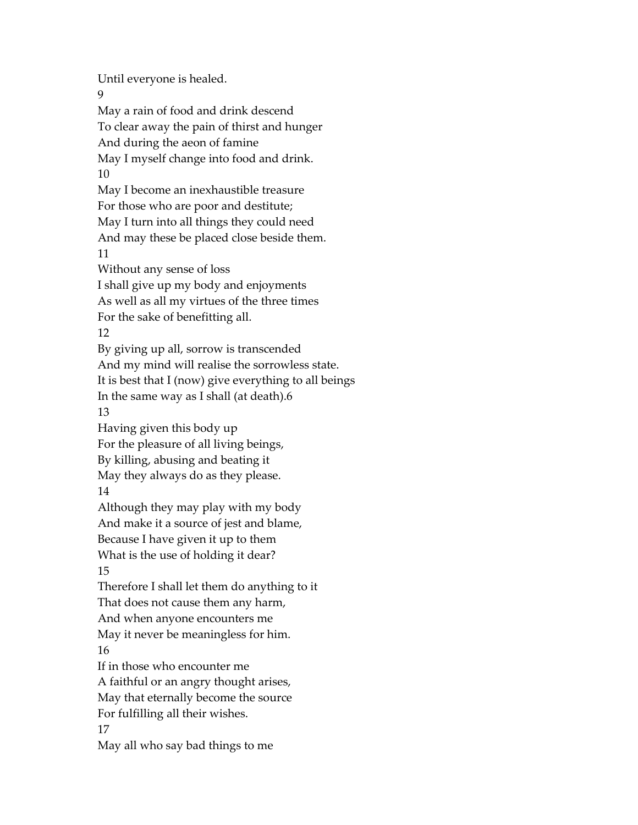Until everyone is healed. 9 May a rain of food and drink descend To clear away the pain of thirst and hunger And during the aeon of famine May I myself change into food and drink. 10 May I become an inexhaustible treasure For those who are poor and destitute; May I turn into all things they could need And may these be placed close beside them. 11 Without any sense of loss I shall give up my body and enjoyments As well as all my virtues of the three times For the sake of benefitting all. 12 By giving up all, sorrow is transcended And my mind will realise the sorrowless state. It is best that I (now) give everything to all beings In the same way as I shall (at death).6 13 Having given this body up For the pleasure of all living beings, By killing, abusing and beating it May they always do as they please. 14 Although they may play with my body And make it a source of jest and blame, Because I have given it up to them What is the use of holding it dear? 15 Therefore I shall let them do anything to it That does not cause them any harm, And when anyone encounters me May it never be meaningless for him. 16 If in those who encounter me A faithful or an angry thought arises, May that eternally become the source For fulfilling all their wishes. 17 May all who say bad things to me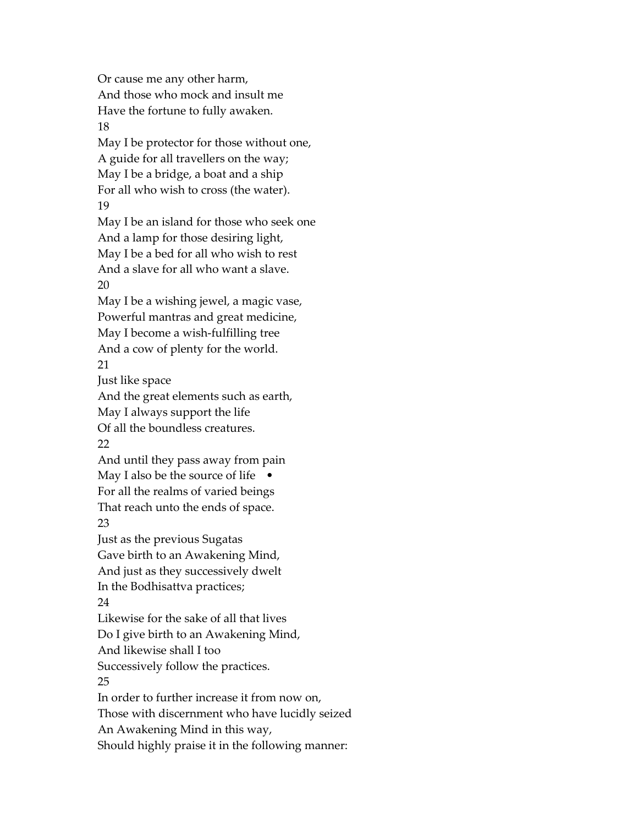Or cause me any other harm, And those who mock and insult me Have the fortune to fully awaken. 18 May I be protector for those without one, A guide for all travellers on the way; May I be a bridge, a boat and a ship

For all who wish to cross (the water). 19

May I be an island for those who seek one And a lamp for those desiring light,

May I be a bed for all who wish to rest And a slave for all who want a slave.

20

May I be a wishing jewel, a magic vase, Powerful mantras and great medicine, May I become a wish-fulfilling tree And a cow of plenty for the world. 21

Just like space

And the great elements such as earth,

May I always support the life

Of all the boundless creatures. 22

And until they pass away from pain May I also be the source of life  $\bullet$ For all the realms of varied beings That reach unto the ends of space. 23

Just as the previous Sugatas Gave birth to an Awakening Mind, And just as they successively dwelt In the Bodhisattva practices;

24

Likewise for the sake of all that lives

Do I give birth to an Awakening Mind,

And likewise shall I too

Successively follow the practices. 25

In order to further increase it from now on,

Those with discernment who have lucidly seized

An Awakening Mind in this way,

Should highly praise it in the following manner: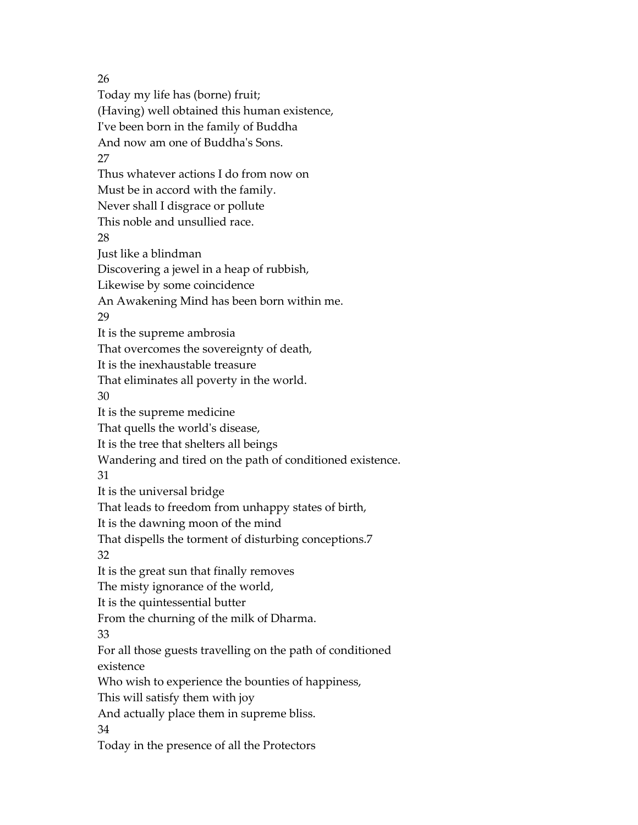26 Today my life has (borne) fruit; (Having) well obtained this human existence, I've been born in the family of Buddha And now am one of Buddhaʹs Sons. 27 Thus whatever actions I do from now on Must be in accord with the family. Never shall I disgrace or pollute This noble and unsullied race. 28 Just like a blindman Discovering a jewel in a heap of rubbish, Likewise by some coincidence An Awakening Mind has been born within me. 29 It is the supreme ambrosia That overcomes the sovereignty of death, It is the inexhaustable treasure That eliminates all poverty in the world. 30 It is the supreme medicine That quells the world's disease, It is the tree that shelters all beings Wandering and tired on the path of conditioned existence. 31 It is the universal bridge That leads to freedom from unhappy states of birth, It is the dawning moon of the mind That dispells the torment of disturbing conceptions.7 32 It is the great sun that finally removes The misty ignorance of the world, It is the quintessential butter From the churning of the milk of Dharma. 33 For all those guests travelling on the path of conditioned existence Who wish to experience the bounties of happiness, This will satisfy them with joy And actually place them in supreme bliss. 34 Today in the presence of all the Protectors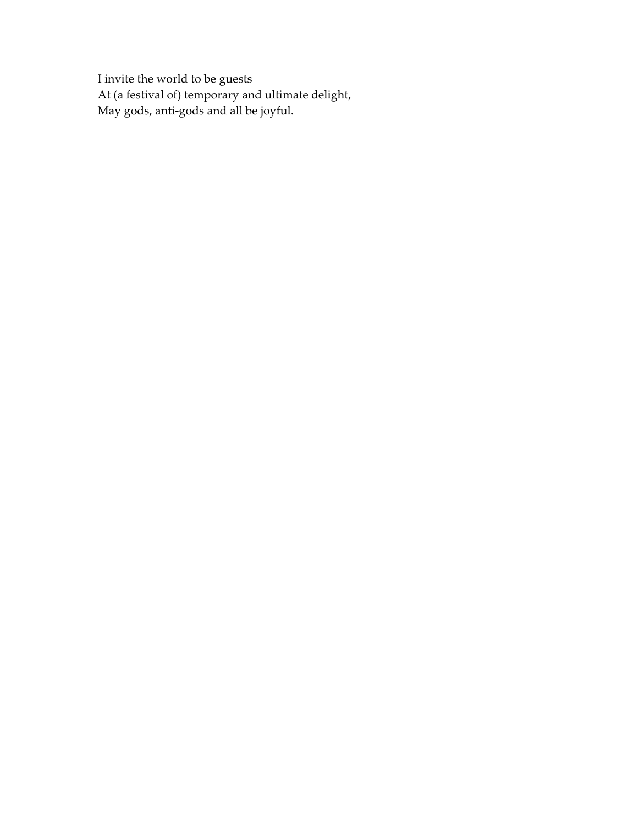I invite the world to be guests At (a festival of) temporary and ultimate delight, May gods, anti‐gods and all be joyful.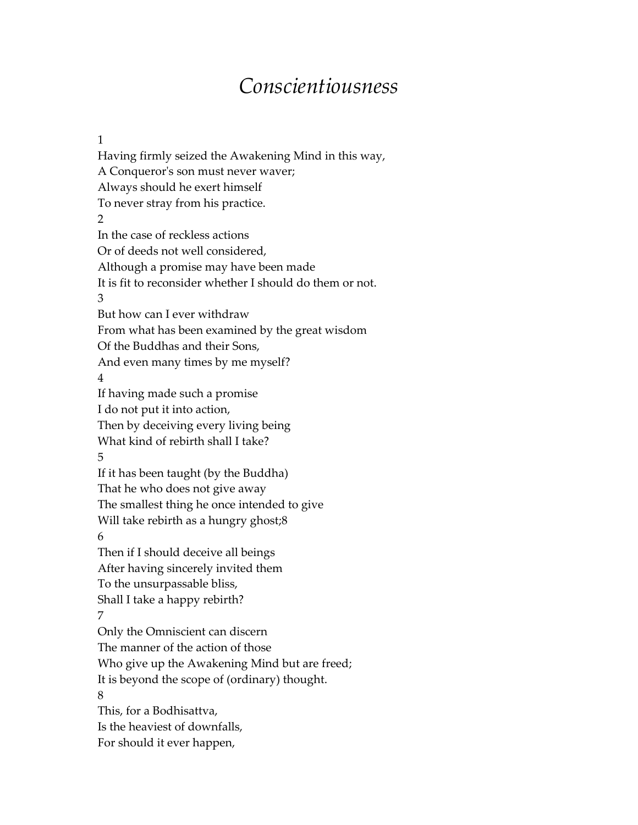#### *Conscientiousness*

1

Having firmly seized the Awakening Mind in this way, A Conquerorʹs son must never waver; Always should he exert himself To never stray from his practice. 2 In the case of reckless actions Or of deeds not well considered, Although a promise may have been made It is fit to reconsider whether I should do them or not. 3 But how can I ever withdraw From what has been examined by the great wisdom Of the Buddhas and their Sons, And even many times by me myself? 4 If having made such a promise I do not put it into action, Then by deceiving every living being What kind of rebirth shall I take? 5 If it has been taught (by the Buddha) That he who does not give away The smallest thing he once intended to give Will take rebirth as a hungry ghost;8 6 Then if I should deceive all beings After having sincerely invited them To the unsurpassable bliss, Shall I take a happy rebirth? 7 Only the Omniscient can discern The manner of the action of those Who give up the Awakening Mind but are freed; It is beyond the scope of (ordinary) thought. 8 This, for a Bodhisattva, Is the heaviest of downfalls, For should it ever happen,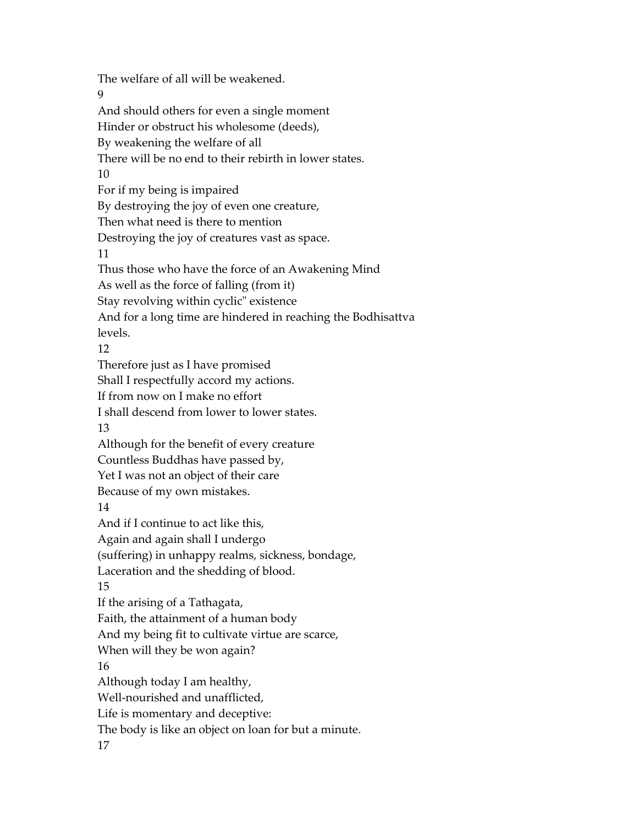The welfare of all will be weakened. 9 And should others for even a single moment Hinder or obstruct his wholesome (deeds), By weakening the welfare of all There will be no end to their rebirth in lower states. 10 For if my being is impaired By destroying the joy of even one creature, Then what need is there to mention Destroying the joy of creatures vast as space. 11 Thus those who have the force of an Awakening Mind As well as the force of falling (from it) Stay revolving within cyclic" existence And for a long time are hindered in reaching the Bodhisattva levels. 12 Therefore just as I have promised Shall I respectfully accord my actions. If from now on I make no effort I shall descend from lower to lower states. 13 Although for the benefit of every creature Countless Buddhas have passed by, Yet I was not an object of their care Because of my own mistakes. 14 And if I continue to act like this, Again and again shall I undergo (suffering) in unhappy realms, sickness, bondage, Laceration and the shedding of blood. 15 If the arising of a Tathagata, Faith, the attainment of a human body And my being fit to cultivate virtue are scarce, When will they be won again? 16 Although today I am healthy, Well-nourished and unafflicted, Life is momentary and deceptive: The body is like an object on loan for but a minute. 17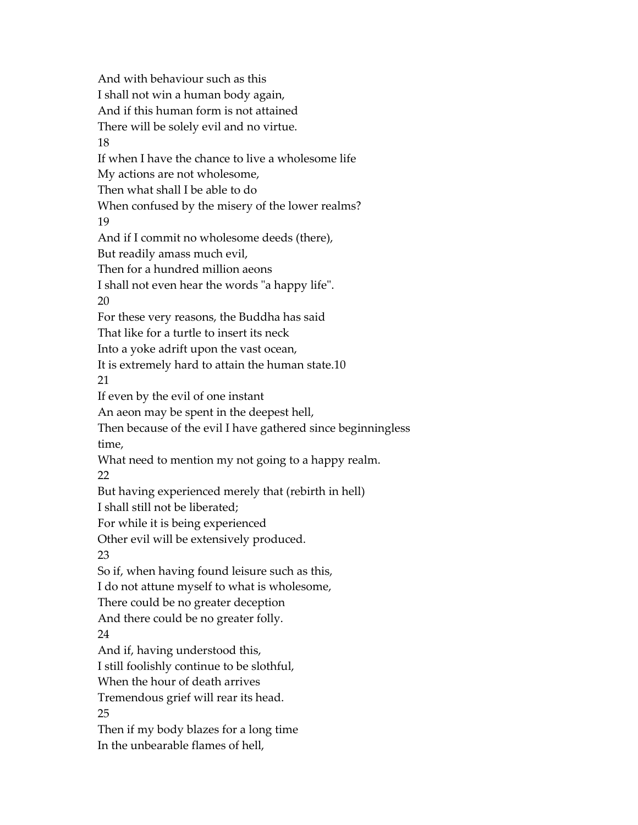And with behaviour such as this

I shall not win a human body again,

And if this human form is not attained

There will be solely evil and no virtue.

18

If when I have the chance to live a wholesome life

My actions are not wholesome,

Then what shall I be able to do

When confused by the misery of the lower realms? 19

And if I commit no wholesome deeds (there),

But readily amass much evil,

Then for a hundred million aeons

I shall not even hear the words "a happy life".

20

For these very reasons, the Buddha has said

That like for a turtle to insert its neck

Into a yoke adrift upon the vast ocean,

It is extremely hard to attain the human state.10 21

If even by the evil of one instant

An aeon may be spent in the deepest hell,

Then because of the evil I have gathered since beginningless time,

What need to mention my not going to a happy realm. 22

But having experienced merely that (rebirth in hell)

I shall still not be liberated;

For while it is being experienced

Other evil will be extensively produced.

23

So if, when having found leisure such as this,

I do not attune myself to what is wholesome,

There could be no greater deception

And there could be no greater folly.

24

And if, having understood this,

I still foolishly continue to be slothful,

When the hour of death arrives

Tremendous grief will rear its head.

25

Then if my body blazes for a long time In the unbearable flames of hell,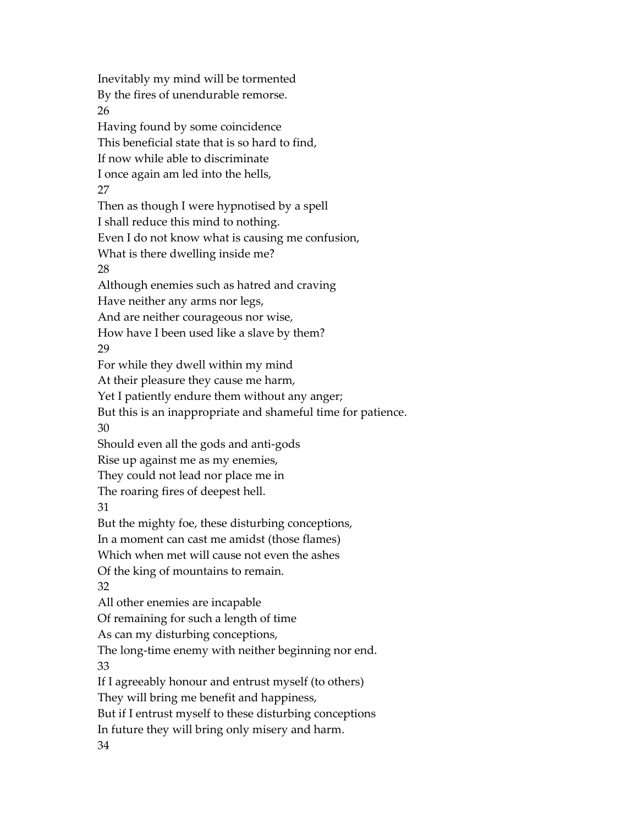Inevitably my mind will be tormented By the fires of unendurable remorse. 26 Having found by some coincidence This beneficial state that is so hard to find, If now while able to discriminate I once again am led into the hells, 27 Then as though I were hypnotised by a spell I shall reduce this mind to nothing. Even I do not know what is causing me confusion, What is there dwelling inside me? 28 Although enemies such as hatred and craving Have neither any arms nor legs, And are neither courageous nor wise, How have I been used like a slave by them? 29 For while they dwell within my mind At their pleasure they cause me harm, Yet I patiently endure them without any anger; But this is an inappropriate and shameful time for patience. 30 Should even all the gods and anti‐gods Rise up against me as my enemies, They could not lead nor place me in The roaring fires of deepest hell. 31 But the mighty foe, these disturbing conceptions, In a moment can cast me amidst (those flames) Which when met will cause not even the ashes Of the king of mountains to remain. 32 All other enemies are incapable Of remaining for such a length of time As can my disturbing conceptions, The long-time enemy with neither beginning nor end. 33 If I agreeably honour and entrust myself (to others) They will bring me benefit and happiness, But if I entrust myself to these disturbing conceptions In future they will bring only misery and harm. 34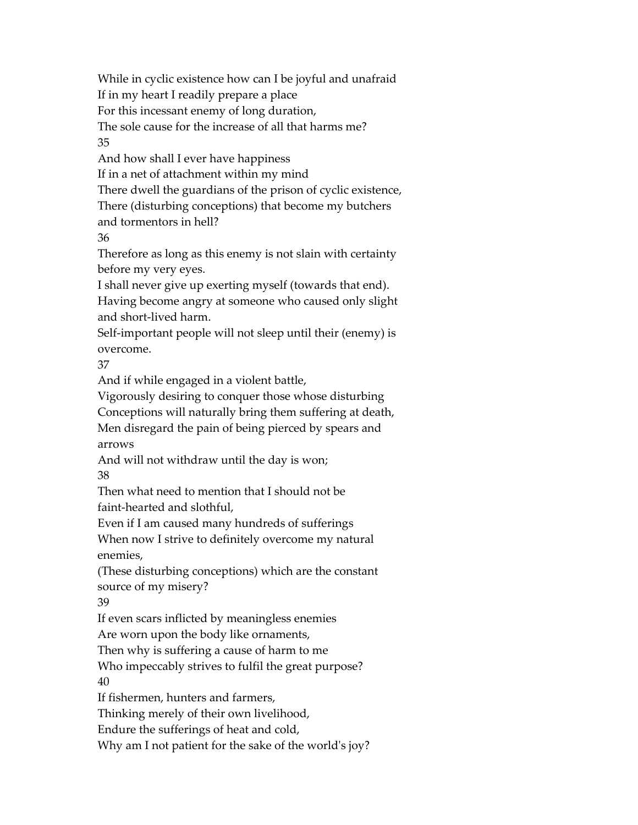While in cyclic existence how can I be joyful and unafraid

If in my heart I readily prepare a place

For this incessant enemy of long duration,

The sole cause for the increase of all that harms me? 35

And how shall I ever have happiness

If in a net of attachment within my mind

There dwell the guardians of the prison of cyclic existence,

There (disturbing conceptions) that become my butchers and tormentors in hell?

36

Therefore as long as this enemy is not slain with certainty before my very eyes.

I shall never give up exerting myself (towards that end).

Having become angry at someone who caused only slight and short‐lived harm.

Self-important people will not sleep until their (enemy) is overcome.

37

And if while engaged in a violent battle,

Vigorously desiring to conquer those whose disturbing

Conceptions will naturally bring them suffering at death, Men disregard the pain of being pierced by spears and

arrows

And will not withdraw until the day is won; 38

Then what need to mention that I should not be faint‐hearted and slothful,

Even if I am caused many hundreds of sufferings

When now I strive to definitely overcome my natural enemies,

(These disturbing conceptions) which are the constant source of my misery?

39

If even scars inflicted by meaningless enemies

Are worn upon the body like ornaments,

Then why is suffering a cause of harm to me

Who impeccably strives to fulfil the great purpose? 40

If fishermen, hunters and farmers,

Thinking merely of their own livelihood,

Endure the sufferings of heat and cold,

Why am I not patient for the sake of the world's joy?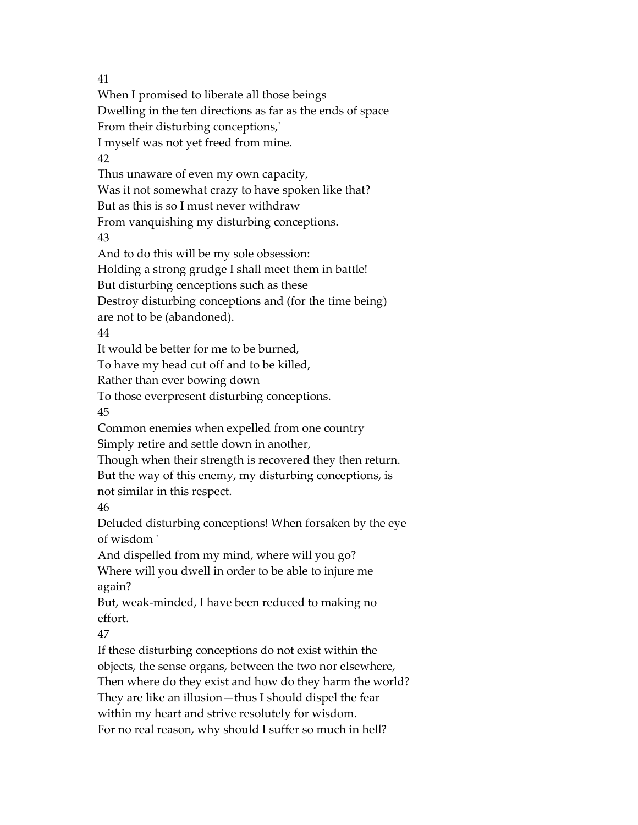41

When I promised to liberate all those beings Dwelling in the ten directions as far as the ends of space From their disturbing conceptions,ʹ I myself was not yet freed from mine. 42 Thus unaware of even my own capacity, Was it not somewhat crazy to have spoken like that? But as this is so I must never withdraw From vanquishing my disturbing conceptions. 43 And to do this will be my sole obsession: Holding a strong grudge I shall meet them in battle! But disturbing cenceptions such as these Destroy disturbing conceptions and (for the time being) are not to be (abandoned). 44 It would be better for me to be burned, To have my head cut off and to be killed, Rather than ever bowing down To those everpresent disturbing conceptions. 45 Common enemies when expelled from one country Simply retire and settle down in another, Though when their strength is recovered they then return. But the way of this enemy, my disturbing conceptions, is not similar in this respect. 46 Deluded disturbing conceptions! When forsaken by the eye of wisdom ʹ And dispelled from my mind, where will you go? Where will you dwell in order to be able to injure me again? But, weak‐minded, I have been reduced to making no effort. 47 If these disturbing conceptions do not exist within the objects, the sense organs, between the two nor elsewhere, Then where do they exist and how do they harm the world? They are like an illusion—thus I should dispel the fear within my heart and strive resolutely for wisdom. For no real reason, why should I suffer so much in hell?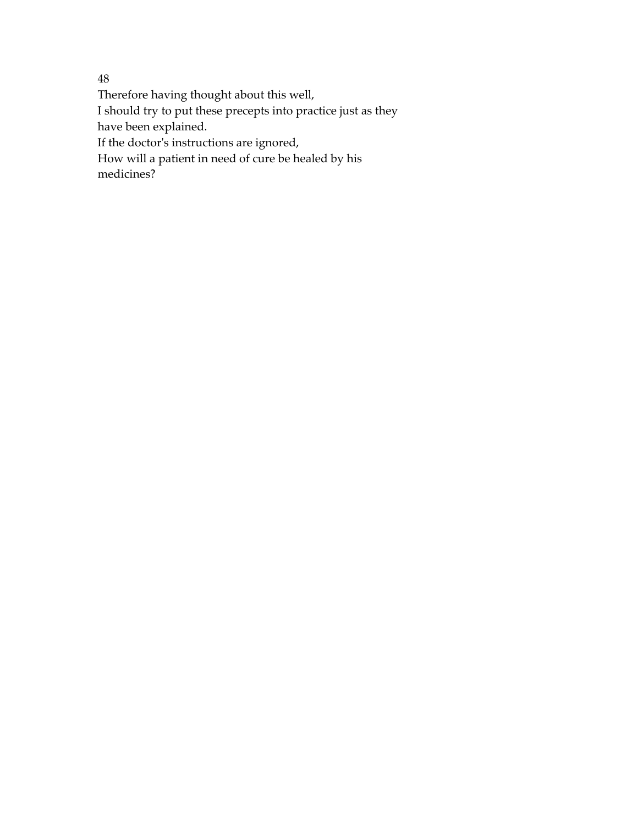48

Therefore having thought about this well,

I should try to put these precepts into practice just as they have been explained.

If the doctor's instructions are ignored,

How will a patient in need of cure be healed by his medicines?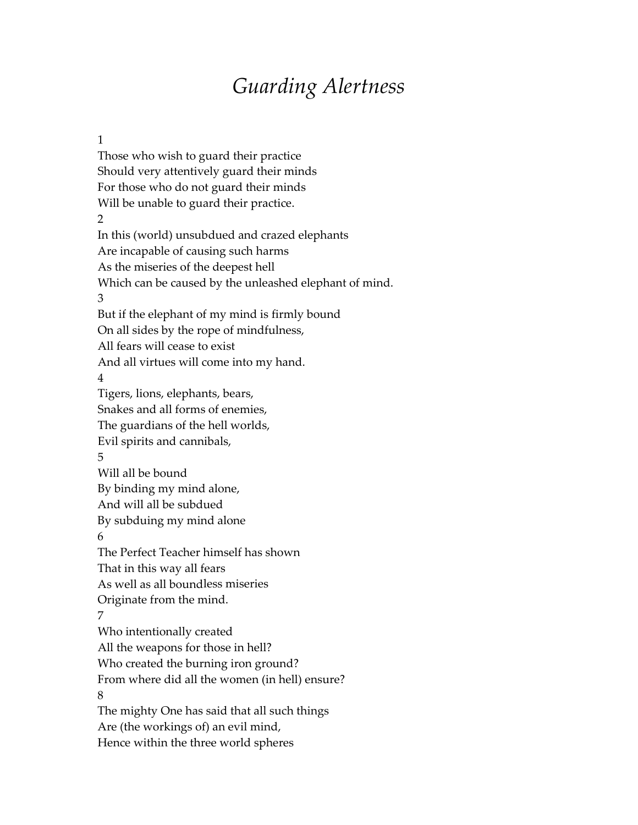## *Guarding Alertness*

1 Those who wish to guard their practice Should very attentively guard their minds For those who do not guard their minds Will be unable to guard their practice. 2 In this (world) unsubdued and crazed elephants Are incapable of causing such harms As the miseries of the deepest hell Which can be caused by the unleashed elephant of mind. 3 But if the elephant of my mind is firmly bound On all sides by the rope of mindfulness, All fears will cease to exist And all virtues will come into my hand. 4 Tigers, lions, elephants, bears, Snakes and all forms of enemies, The guardians of the hell worlds, Evil spirits and cannibals, 5 Will all be bound By binding my mind alone, And will all be subdued By subduing my mind alone 6 The Perfect Teacher himself has shown That in this way all fears As well as all boundless miseries Originate from the mind. 7 Who intentionally created All the weapons for those in hell? Who created the burning iron ground? From where did all the women (in hell) ensure? 8 The mighty One has said that all such things Are (the workings of) an evil mind, Hence within the three world spheres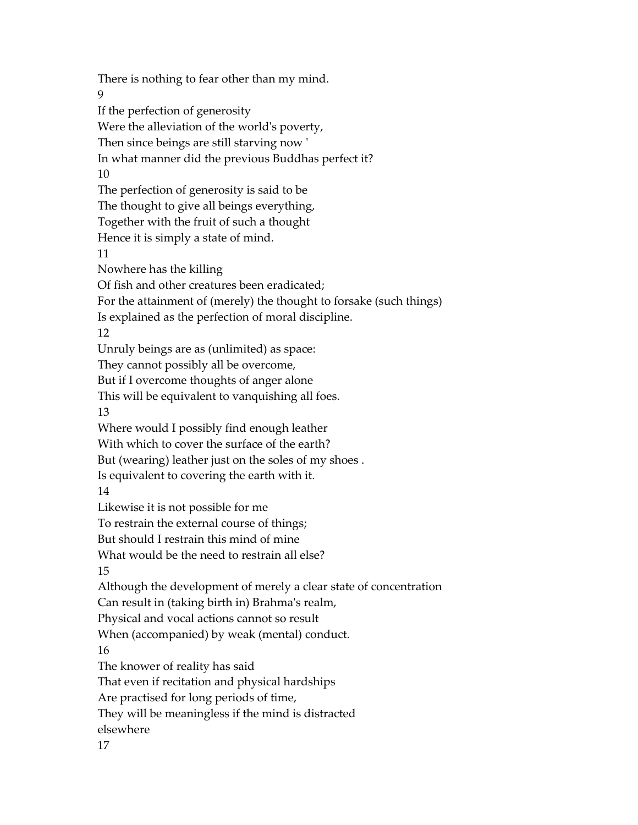There is nothing to fear other than my mind. 9 If the perfection of generosity Were the alleviation of the world's poverty, Then since beings are still starving now ' In what manner did the previous Buddhas perfect it? 10 The perfection of generosity is said to be The thought to give all beings everything, Together with the fruit of such a thought Hence it is simply a state of mind. 11 Nowhere has the killing Of fish and other creatures been eradicated; For the attainment of (merely) the thought to forsake (such things) Is explained as the perfection of moral discipline. 12 Unruly beings are as (unlimited) as space: They cannot possibly all be overcome, But if I overcome thoughts of anger alone This will be equivalent to vanquishing all foes. 13 Where would I possibly find enough leather With which to cover the surface of the earth? But (wearing) leather just on the soles of my shoes . Is equivalent to covering the earth with it. 14 Likewise it is not possible for me To restrain the external course of things; But should I restrain this mind of mine What would be the need to restrain all else? 15 Although the development of merely a clear state of concentration Can result in (taking birth in) Brahmaʹs realm, Physical and vocal actions cannot so result When (accompanied) by weak (mental) conduct. 16 The knower of reality has said That even if recitation and physical hardships Are practised for long periods of time, They will be meaningless if the mind is distracted elsewhere 17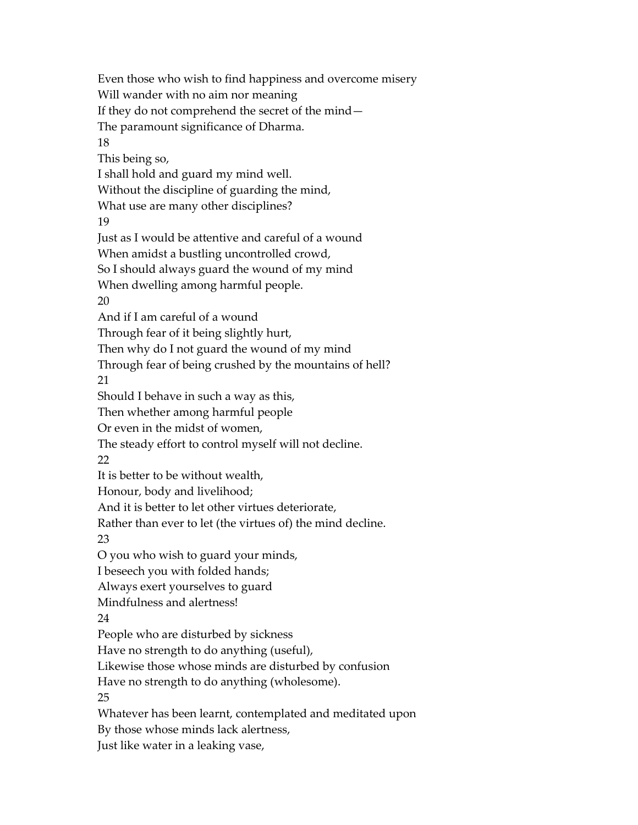Even those who wish to find happiness and overcome misery

Will wander with no aim nor meaning

If they do not comprehend the secret of the mind—

The paramount significance of Dharma.

18

This being so,

I shall hold and guard my mind well.

Without the discipline of guarding the mind,

What use are many other disciplines?

19

Just as I would be attentive and careful of a wound

When amidst a bustling uncontrolled crowd,

So I should always guard the wound of my mind

When dwelling among harmful people.

20

And if I am careful of a wound

Through fear of it being slightly hurt,

Then why do I not guard the wound of my mind

Through fear of being crushed by the mountains of hell?

21

Should I behave in such a way as this,

Then whether among harmful people

Or even in the midst of women,

The steady effort to control myself will not decline.

22

It is better to be without wealth,

Honour, body and livelihood;

And it is better to let other virtues deteriorate,

Rather than ever to let (the virtues of) the mind decline.

23

O you who wish to guard your minds,

I beseech you with folded hands;

Always exert yourselves to guard

Mindfulness and alertness!

24

People who are disturbed by sickness

Have no strength to do anything (useful),

Likewise those whose minds are disturbed by confusion

Have no strength to do anything (wholesome).

25

Whatever has been learnt, contemplated and meditated upon

By those whose minds lack alertness,

Just like water in a leaking vase,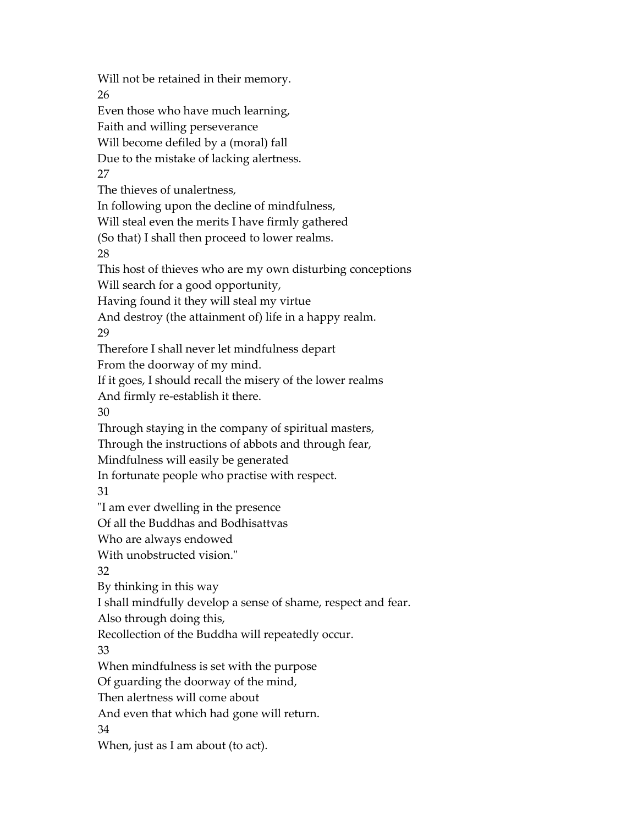Will not be retained in their memory. 26 Even those who have much learning, Faith and willing perseverance Will become defiled by a (moral) fall Due to the mistake of lacking alertness. 27 The thieves of unalertness, In following upon the decline of mindfulness, Will steal even the merits I have firmly gathered (So that) I shall then proceed to lower realms. 28 This host of thieves who are my own disturbing conceptions Will search for a good opportunity, Having found it they will steal my virtue And destroy (the attainment of) life in a happy realm. 29 Therefore I shall never let mindfulness depart From the doorway of my mind. If it goes, I should recall the misery of the lower realms And firmly re‐establish it there. 30 Through staying in the company of spiritual masters, Through the instructions of abbots and through fear, Mindfulness will easily be generated In fortunate people who practise with respect. 31 ʺI am ever dwelling in the presence Of all the Buddhas and Bodhisattvas Who are always endowed With unobstructed vision." 32 By thinking in this way I shall mindfully develop a sense of shame, respect and fear. Also through doing this, Recollection of the Buddha will repeatedly occur. 33 When mindfulness is set with the purpose Of guarding the doorway of the mind, Then alertness will come about And even that which had gone will return. 34 When, just as I am about (to act).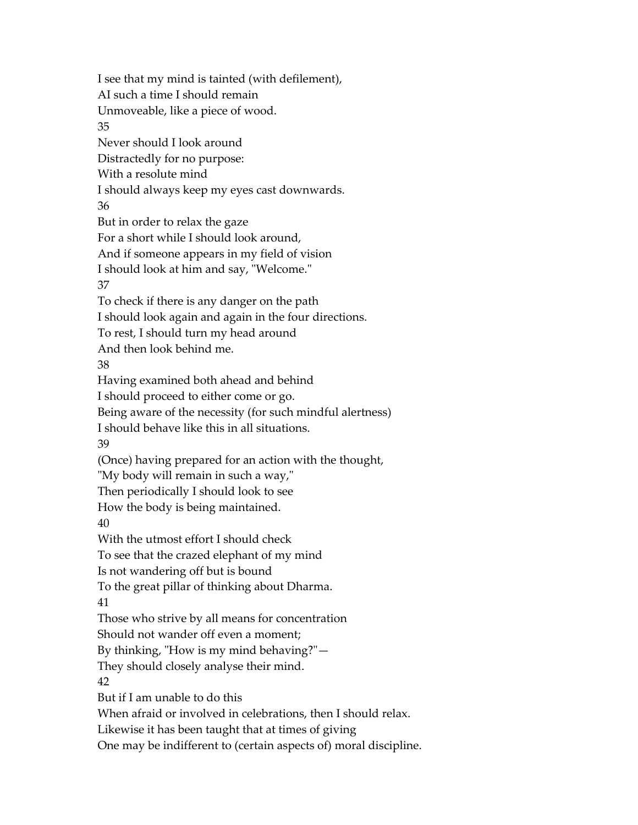I see that my mind is tainted (with defilement), AI such a time I should remain Unmoveable, like a piece of wood. 35 Never should I look around Distractedly for no purpose: With a resolute mind I should always keep my eyes cast downwards. 36 But in order to relax the gaze For a short while I should look around, And if someone appears in my field of vision I should look at him and say, "Welcome." 37 To check if there is any danger on the path I should look again and again in the four directions. To rest, I should turn my head around And then look behind me. 38 Having examined both ahead and behind I should proceed to either come or go. Being aware of the necessity (for such mindful alertness) I should behave like this in all situations. 39 (Once) having prepared for an action with the thought, "My body will remain in such a way," Then periodically I should look to see How the body is being maintained. 40 With the utmost effort I should check To see that the crazed elephant of my mind Is not wandering off but is bound To the great pillar of thinking about Dharma. 41 Those who strive by all means for concentration Should not wander off even a moment; By thinking, "How is my mind behaving?" $-$ They should closely analyse their mind. 42 But if I am unable to do this When afraid or involved in celebrations, then I should relax. Likewise it has been taught that at times of giving One may be indifferent to (certain aspects of) moral discipline.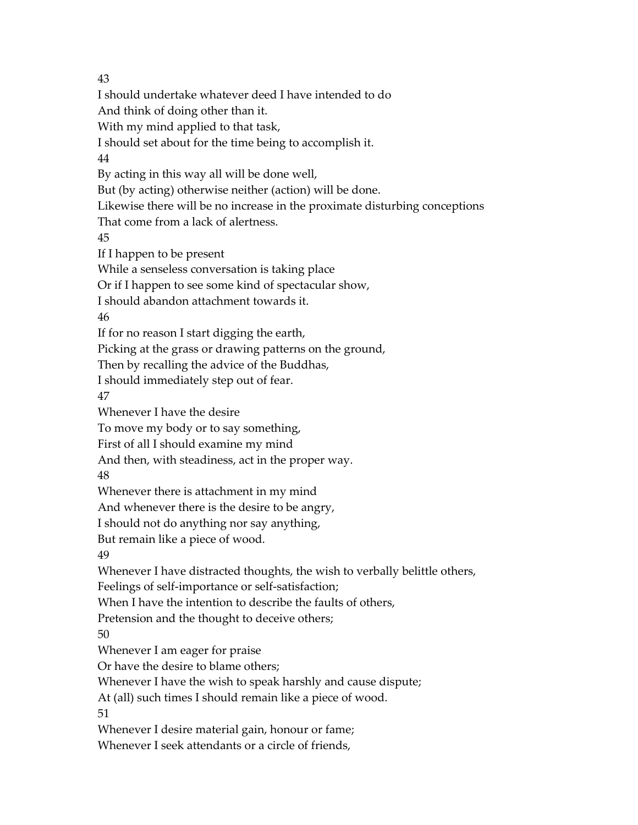43

I should undertake whatever deed I have intended to do

And think of doing other than it.

With my mind applied to that task,

I should set about for the time being to accomplish it.

44

By acting in this way all will be done well,

But (by acting) otherwise neither (action) will be done.

Likewise there will be no increase in the proximate disturbing conceptions

That come from a lack of alertness.

45

If I happen to be present

While a senseless conversation is taking place

Or if I happen to see some kind of spectacular show,

I should abandon attachment towards it.

46

If for no reason I start digging the earth,

Picking at the grass or drawing patterns on the ground,

Then by recalling the advice of the Buddhas,

I should immediately step out of fear.

47

Whenever I have the desire

To move my body or to say something,

First of all I should examine my mind

And then, with steadiness, act in the proper way.

48

Whenever there is attachment in my mind

And whenever there is the desire to be angry,

I should not do anything nor say anything,

But remain like a piece of wood.

49

Whenever I have distracted thoughts, the wish to verbally belittle others,

Feelings of self‐importance or self‐satisfaction;

When I have the intention to describe the faults of others,

Pretension and the thought to deceive others;

50

Whenever I am eager for praise

Or have the desire to blame others;

Whenever I have the wish to speak harshly and cause dispute;

At (all) such times I should remain like a piece of wood.

51

Whenever I desire material gain, honour or fame;

Whenever I seek attendants or a circle of friends,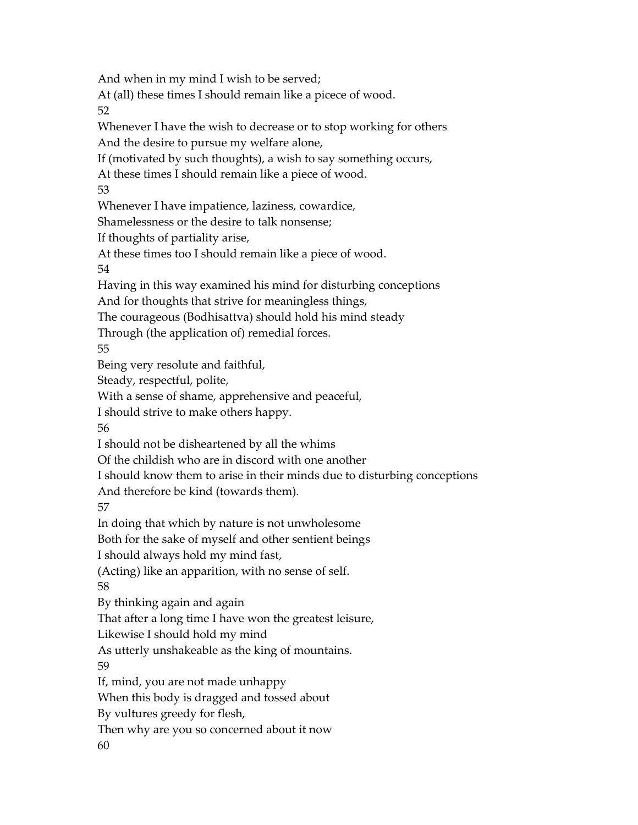And when in my mind I wish to be served;

At (all) these times I should remain like a picece of wood.

52

Whenever I have the wish to decrease or to stop working for others And the desire to pursue my welfare alone,

If (motivated by such thoughts), a wish to say something occurs,

At these times I should remain like a piece of wood.

53

Whenever I have impatience, laziness, cowardice,

Shamelessness or the desire to talk nonsense;

If thoughts of partiality arise,

At these times too I should remain like a piece of wood.

54

Having in this way examined his mind for disturbing conceptions

And for thoughts that strive for meaningless things,

The courageous (Bodhisattva) should hold his mind steady

Through (the application of) remedial forces.

55

Being very resolute and faithful,

Steady, respectful, polite,

With a sense of shame, apprehensive and peaceful,

I should strive to make others happy.

56

I should not be disheartened by all the whims

Of the childish who are in discord with one another

I should know them to arise in their minds due to disturbing conceptions

And therefore be kind (towards them).

57

In doing that which by nature is not unwholesome

Both for the sake of myself and other sentient beings

I should always hold my mind fast,

(Acting) like an apparition, with no sense of self.

58

By thinking again and again

That after a long time I have won the greatest leisure,

Likewise I should hold my mind

As utterly unshakeable as the king of mountains.

59

If, mind, you are not made unhappy

When this body is dragged and tossed about

By vultures greedy for flesh,

Then why are you so concerned about it now

60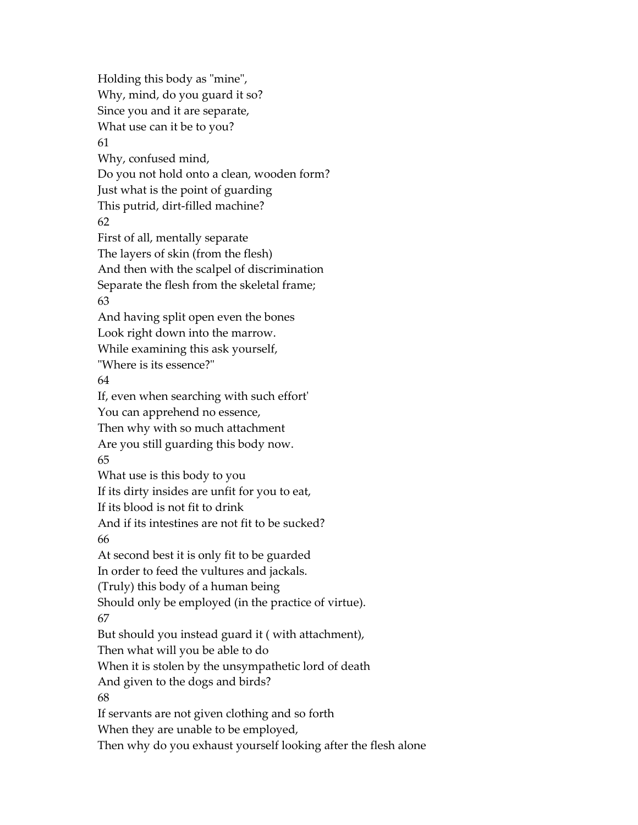Holding this body as "mine", Why, mind, do you guard it so? Since you and it are separate, What use can it be to you? 61 Why, confused mind, Do you not hold onto a clean, wooden form? Just what is the point of guarding This putrid, dirt‐filled machine? 62 First of all, mentally separate The layers of skin (from the flesh) And then with the scalpel of discrimination Separate the flesh from the skeletal frame; 63 And having split open even the bones Look right down into the marrow. While examining this ask yourself, "Where is its essence?" 64 If, even when searching with such effortʹ You can apprehend no essence, Then why with so much attachment Are you still guarding this body now. 65 What use is this body to you If its dirty insides are unfit for you to eat, If its blood is not fit to drink And if its intestines are not fit to be sucked? 66 At second best it is only fit to be guarded In order to feed the vultures and jackals. (Truly) this body of a human being Should only be employed (in the practice of virtue). 67 But should you instead guard it ( with attachment), Then what will you be able to do When it is stolen by the unsympathetic lord of death And given to the dogs and birds? 68 If servants are not given clothing and so forth When they are unable to be employed, Then why do you exhaust yourself looking after the flesh alone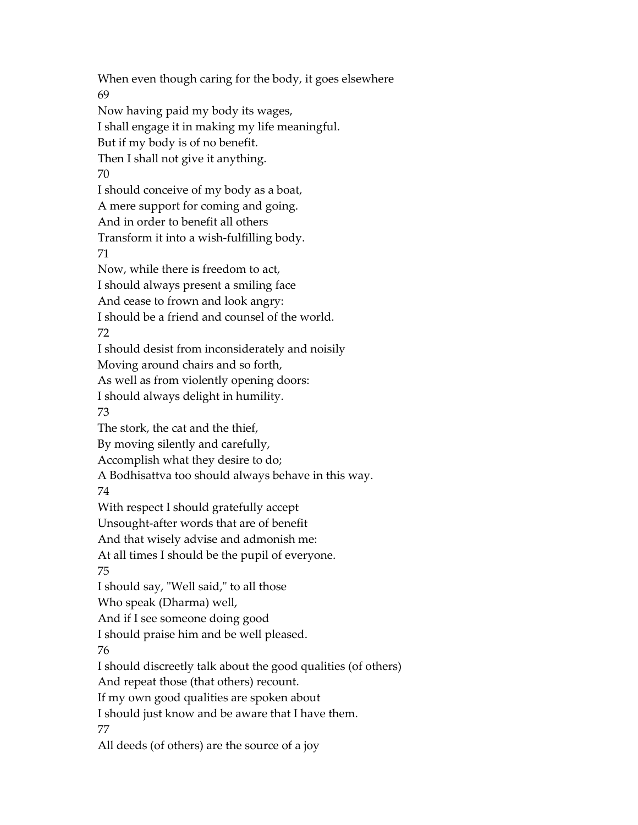When even though caring for the body, it goes elsewhere 69 Now having paid my body its wages, I shall engage it in making my life meaningful. But if my body is of no benefit. Then I shall not give it anything. 70 I should conceive of my body as a boat, A mere support for coming and going. And in order to benefit all others Transform it into a wish‐fulfilling body. 71 Now, while there is freedom to act, I should always present a smiling face And cease to frown and look angry: I should be a friend and counsel of the world. 72 I should desist from inconsiderately and noisily Moving around chairs and so forth, As well as from violently opening doors: I should always delight in humility. 73 The stork, the cat and the thief, By moving silently and carefully, Accomplish what they desire to do; A Bodhisattva too should always behave in this way. 74 With respect I should gratefully accept Unsought‐after words that are of benefit And that wisely advise and admonish me: At all times I should be the pupil of everyone. 75 I should say, "Well said," to all those Who speak (Dharma) well, And if I see someone doing good I should praise him and be well pleased. 76 I should discreetly talk about the good qualities (of others) And repeat those (that others) recount. If my own good qualities are spoken about I should just know and be aware that I have them. 77

All deeds (of others) are the source of a joy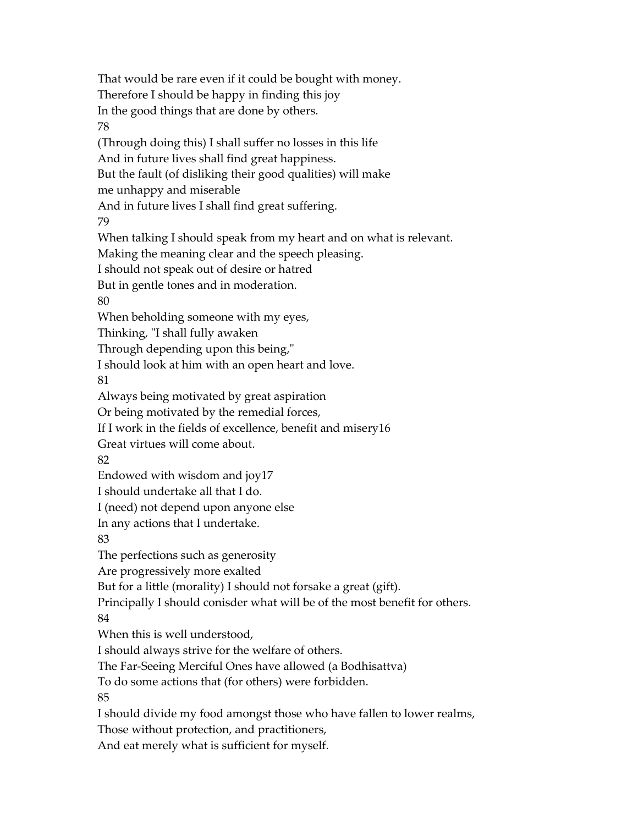That would be rare even if it could be bought with money.

Therefore I should be happy in finding this joy

In the good things that are done by others.

78

(Through doing this) I shall suffer no losses in this life

And in future lives shall find great happiness.

But the fault (of disliking their good qualities) will make

me unhappy and miserable

And in future lives I shall find great suffering.

79

When talking I should speak from my heart and on what is relevant.

Making the meaning clear and the speech pleasing.

I should not speak out of desire or hatred

But in gentle tones and in moderation.

80

When beholding someone with my eyes,

Thinking, "I shall fully awaken

Through depending upon this being,"

I should look at him with an open heart and love.

81

Always being motivated by great aspiration

Or being motivated by the remedial forces,

If I work in the fields of excellence, benefit and misery16

Great virtues will come about.

82

Endowed with wisdom and joy17

I should undertake all that I do.

I (need) not depend upon anyone else

In any actions that I undertake.

83

The perfections such as generosity

Are progressively more exalted

But for a little (morality) I should not forsake a great (gift).

Principally I should conisder what will be of the most benefit for others.

84

When this is well understood,

I should always strive for the welfare of others.

The Far‐Seeing Merciful Ones have allowed (a Bodhisattva)

To do some actions that (for others) were forbidden.

85

I should divide my food amongst those who have fallen to lower realms,

Those without protection, and practitioners,

And eat merely what is sufficient for myself.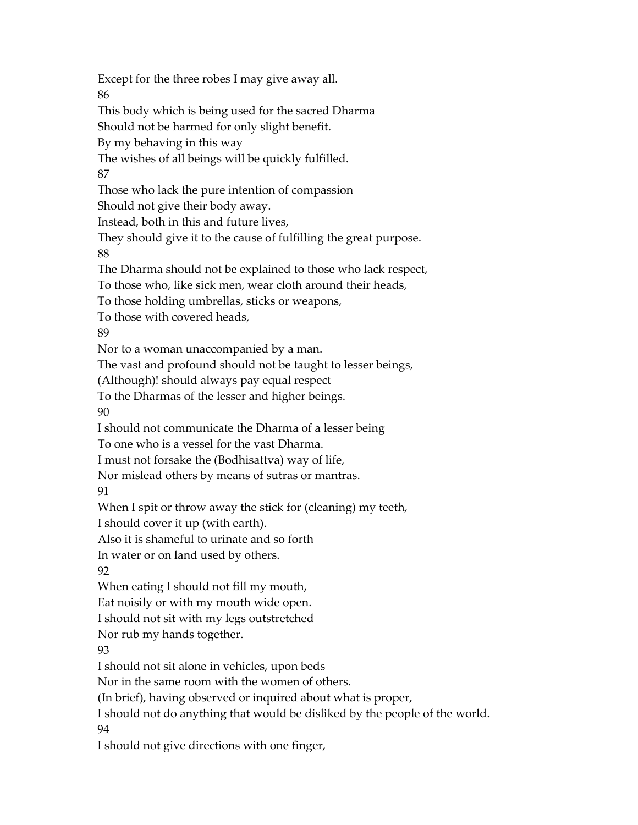Except for the three robes I may give away all. 86

This body which is being used for the sacred Dharma

Should not be harmed for only slight benefit.

By my behaving in this way

The wishes of all beings will be quickly fulfilled.

87

Those who lack the pure intention of compassion

Should not give their body away.

Instead, both in this and future lives,

They should give it to the cause of fulfilling the great purpose. 88

The Dharma should not be explained to those who lack respect,

To those who, like sick men, wear cloth around their heads,

To those holding umbrellas, sticks or weapons,

To those with covered heads,

89

Nor to a woman unaccompanied by a man.

The vast and profound should not be taught to lesser beings,

(Although)! should always pay equal respect

To the Dharmas of the lesser and higher beings.

90

I should not communicate the Dharma of a lesser being

To one who is a vessel for the vast Dharma.

I must not forsake the (Bodhisattva) way of life,

Nor mislead others by means of sutras or mantras.

91

When I spit or throw away the stick for (cleaning) my teeth,

I should cover it up (with earth).

Also it is shameful to urinate and so forth

In water or on land used by others.

92

When eating I should not fill my mouth,

Eat noisily or with my mouth wide open.

I should not sit with my legs outstretched

Nor rub my hands together.

93

I should not sit alone in vehicles, upon beds

Nor in the same room with the women of others.

(In brief), having observed or inquired about what is proper,

I should not do anything that would be disliked by the people of the world.

94

I should not give directions with one finger,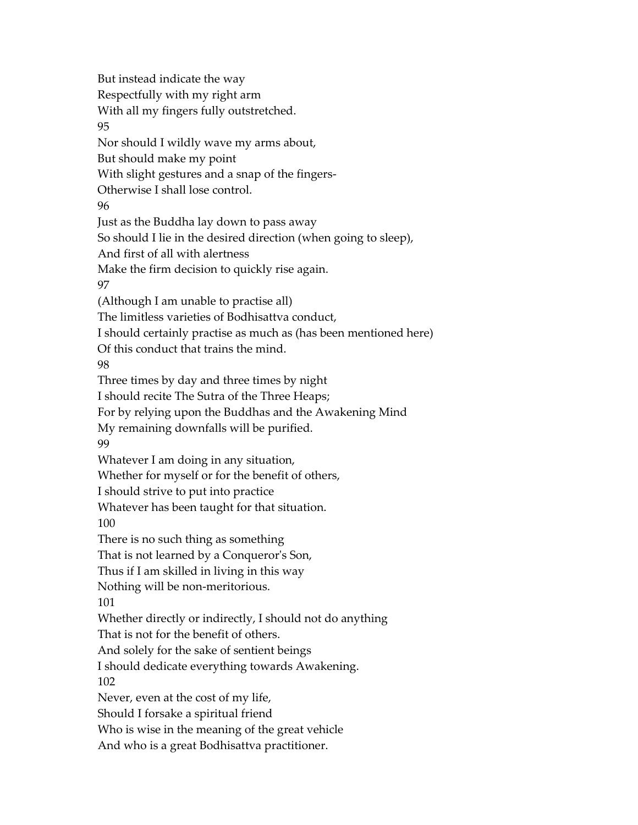But instead indicate the way Respectfully with my right arm With all my fingers fully outstretched. 95 Nor should I wildly wave my arms about, But should make my point With slight gestures and a snap of the fingers-Otherwise I shall lose control. 96 Just as the Buddha lay down to pass away So should I lie in the desired direction (when going to sleep), And first of all with alertness Make the firm decision to quickly rise again. 97 (Although I am unable to practise all) The limitless varieties of Bodhisattva conduct, I should certainly practise as much as (has been mentioned here) Of this conduct that trains the mind. 98 Three times by day and three times by night I should recite The Sutra of the Three Heaps; For by relying upon the Buddhas and the Awakening Mind My remaining downfalls will be purified. 99 Whatever I am doing in any situation, Whether for myself or for the benefit of others, I should strive to put into practice Whatever has been taught for that situation. 100 There is no such thing as something That is not learned by a Conqueror's Son, Thus if I am skilled in living in this way Nothing will be non‐meritorious. 101 Whether directly or indirectly, I should not do anything That is not for the benefit of others. And solely for the sake of sentient beings I should dedicate everything towards Awakening. 102 Never, even at the cost of my life, Should I forsake a spiritual friend Who is wise in the meaning of the great vehicle And who is a great Bodhisattva practitioner.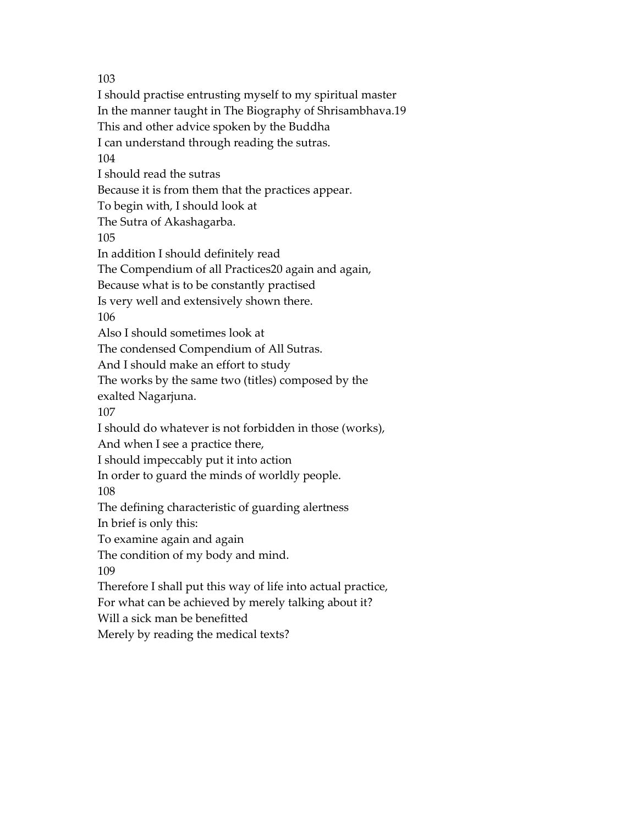103

I should practise entrusting myself to my spiritual master In the manner taught in The Biography of Shrisambhava.19 This and other advice spoken by the Buddha I can understand through reading the sutras. 104 I should read the sutras Because it is from them that the practices appear. To begin with, I should look at The Sutra of Akashagarba. 105 In addition I should definitely read The Compendium of all Practices20 again and again, Because what is to be constantly practised Is very well and extensively shown there. 106 Also I should sometimes look at The condensed Compendium of All Sutras. And I should make an effort to study The works by the same two (titles) composed by the exalted Nagarjuna. 107 I should do whatever is not forbidden in those (works), And when I see a practice there, I should impeccably put it into action In order to guard the minds of worldly people. 108 The defining characteristic of guarding alertness In brief is only this: To examine again and again The condition of my body and mind. 109 Therefore I shall put this way of life into actual practice, For what can be achieved by merely talking about it? Will a sick man be benefitted Merely by reading the medical texts?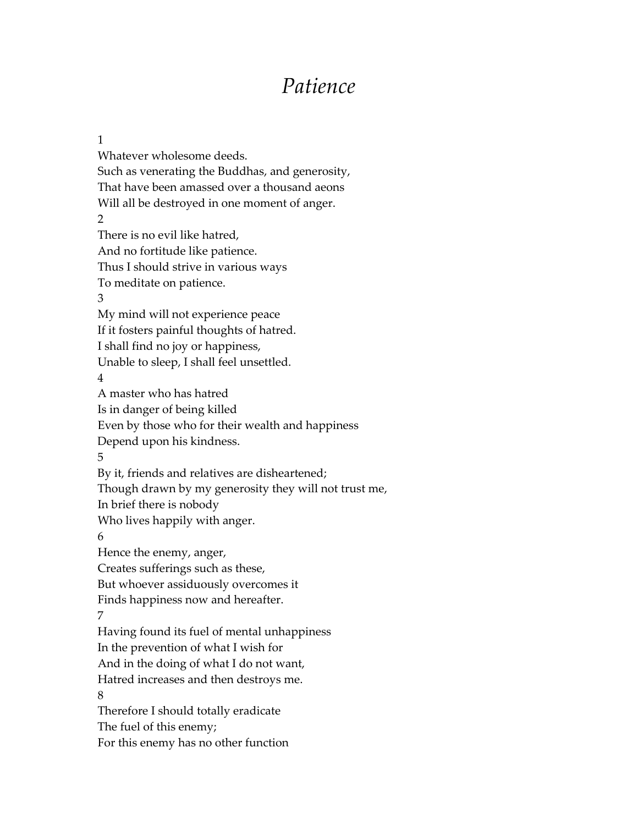## *Patience*

1 Whatever wholesome deeds. Such as venerating the Buddhas, and generosity, That have been amassed over a thousand aeons Will all be destroyed in one moment of anger. 2 There is no evil like hatred, And no fortitude like patience. Thus I should strive in various ways To meditate on patience. 3 My mind will not experience peace If it fosters painful thoughts of hatred. I shall find no joy or happiness, Unable to sleep, I shall feel unsettled. 4 A master who has hatred Is in danger of being killed Even by those who for their wealth and happiness Depend upon his kindness. 5 By it, friends and relatives are disheartened; Though drawn by my generosity they will not trust me, In brief there is nobody Who lives happily with anger. 6 Hence the enemy, anger, Creates sufferings such as these, But whoever assiduously overcomes it Finds happiness now and hereafter. 7 Having found its fuel of mental unhappiness In the prevention of what I wish for And in the doing of what I do not want, Hatred increases and then destroys me. 8 Therefore I should totally eradicate The fuel of this enemy; For this enemy has no other function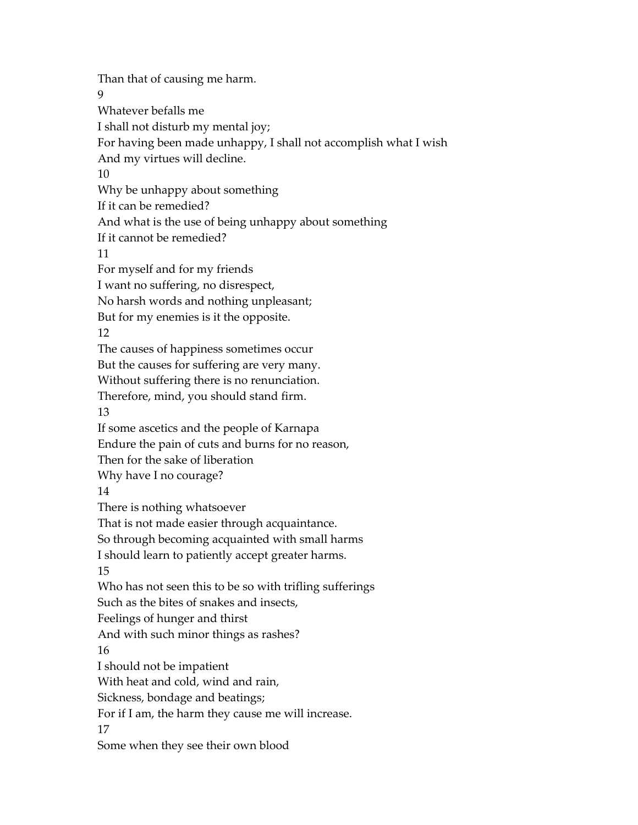Than that of causing me harm. 9 Whatever befalls me I shall not disturb my mental joy; For having been made unhappy, I shall not accomplish what I wish And my virtues will decline. 10 Why be unhappy about something If it can be remedied? And what is the use of being unhappy about something If it cannot be remedied? 11 For myself and for my friends I want no suffering, no disrespect, No harsh words and nothing unpleasant; But for my enemies is it the opposite. 12 The causes of happiness sometimes occur But the causes for suffering are very many. Without suffering there is no renunciation. Therefore, mind, you should stand firm. 13 If some ascetics and the people of Karnapa Endure the pain of cuts and burns for no reason, Then for the sake of liberation Why have I no courage? 14 There is nothing whatsoever That is not made easier through acquaintance. So through becoming acquainted with small harms I should learn to patiently accept greater harms. 15 Who has not seen this to be so with trifling sufferings Such as the bites of snakes and insects, Feelings of hunger and thirst And with such minor things as rashes? 16 I should not be impatient With heat and cold, wind and rain, Sickness, bondage and beatings; For if I am, the harm they cause me will increase. 17 Some when they see their own blood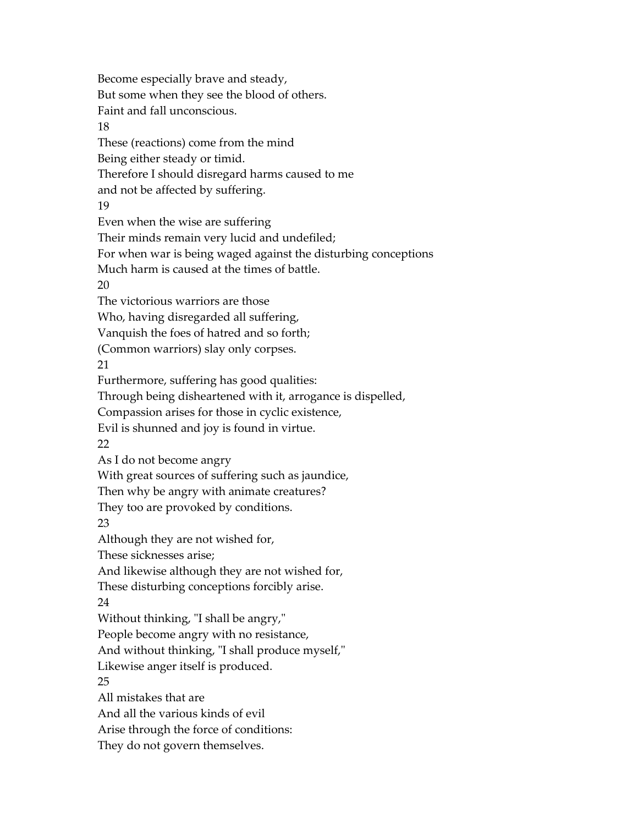Become especially brave and steady,

But some when they see the blood of others.

Faint and fall unconscious.

18

These (reactions) come from the mind

Being either steady or timid.

Therefore I should disregard harms caused to me

and not be affected by suffering.

19

Even when the wise are suffering

Their minds remain very lucid and undefiled;

For when war is being waged against the disturbing conceptions

Much harm is caused at the times of battle.

20

The victorious warriors are those

Who, having disregarded all suffering,

Vanquish the foes of hatred and so forth;

(Common warriors) slay only corpses.

21

Furthermore, suffering has good qualities:

Through being disheartened with it, arrogance is dispelled,

Compassion arises for those in cyclic existence,

Evil is shunned and joy is found in virtue.

22

As I do not become angry

With great sources of suffering such as jaundice,

Then why be angry with animate creatures?

They too are provoked by conditions.

23

Although they are not wished for,

These sicknesses arise;

And likewise although they are not wished for,

These disturbing conceptions forcibly arise.

24

Without thinking, "I shall be angry,"

People become angry with no resistance,

And without thinking, "I shall produce myself,"

Likewise anger itself is produced.

25

All mistakes that are

And all the various kinds of evil

Arise through the force of conditions:

They do not govern themselves.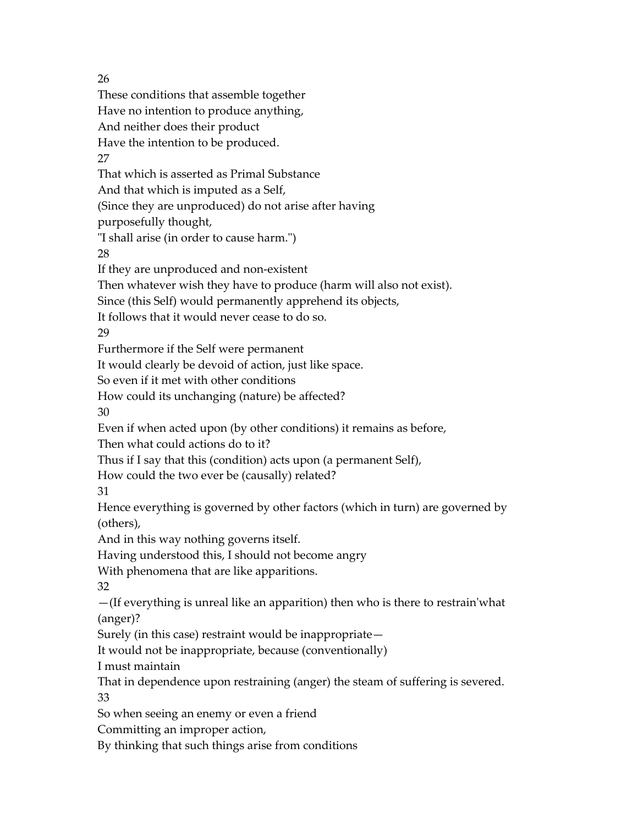26

These conditions that assemble together Have no intention to produce anything, And neither does their product Have the intention to be produced. 27 That which is asserted as Primal Substance And that which is imputed as a Self, (Since they are unproduced) do not arise after having purposefully thought, "I shall arise (in order to cause harm.") 28 If they are unproduced and non‐existent Then whatever wish they have to produce (harm will also not exist). Since (this Self) would permanently apprehend its objects, It follows that it would never cease to do so. 29 Furthermore if the Self were permanent It would clearly be devoid of action, just like space. So even if it met with other conditions How could its unchanging (nature) be affected? 30 Even if when acted upon (by other conditions) it remains as before, Then what could actions do to it? Thus if I say that this (condition) acts upon (a permanent Self), How could the two ever be (causally) related? 31 Hence everything is governed by other factors (which in turn) are governed by (others), And in this way nothing governs itself. Having understood this, I should not become angry With phenomena that are like apparitions. 32  $-$ (If everything is unreal like an apparition) then who is there to restrain'what (anger)? Surely (in this case) restraint would be inappropriate— It would not be inappropriate, because (conventionally) I must maintain That in dependence upon restraining (anger) the steam of suffering is severed. 33 So when seeing an enemy or even a friend Committing an improper action, By thinking that such things arise from conditions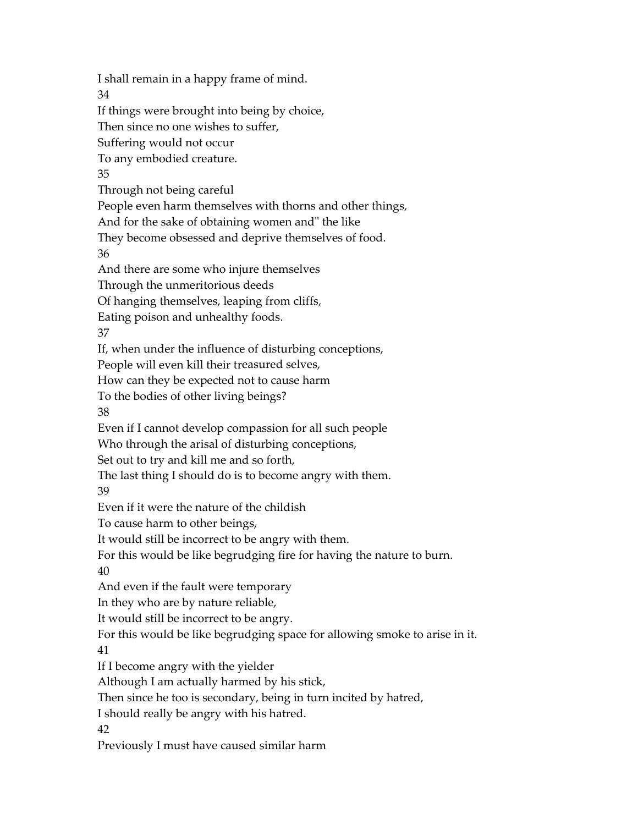I shall remain in a happy frame of mind. 34 If things were brought into being by choice, Then since no one wishes to suffer, Suffering would not occur To any embodied creature. 35 Through not being careful People even harm themselves with thorns and other things, And for the sake of obtaining women and" the like They become obsessed and deprive themselves of food. 36 And there are some who injure themselves Through the unmeritorious deeds Of hanging themselves, leaping from cliffs, Eating poison and unhealthy foods. 37 If, when under the influence of disturbing conceptions, People will even kill their treasured selves, How can they be expected not to cause harm To the bodies of other living beings? 38 Even if I cannot develop compassion for all such people Who through the arisal of disturbing conceptions, Set out to try and kill me and so forth, The last thing I should do is to become angry with them. 39 Even if it were the nature of the childish To cause harm to other beings, It would still be incorrect to be angry with them. For this would be like begrudging fire for having the nature to burn. 40 And even if the fault were temporary In they who are by nature reliable, It would still be incorrect to be angry. For this would be like begrudging space for allowing smoke to arise in it. 41 If I become angry with the yielder Although I am actually harmed by his stick, Then since he too is secondary, being in turn incited by hatred, I should really be angry with his hatred. 42 Previously I must have caused similar harm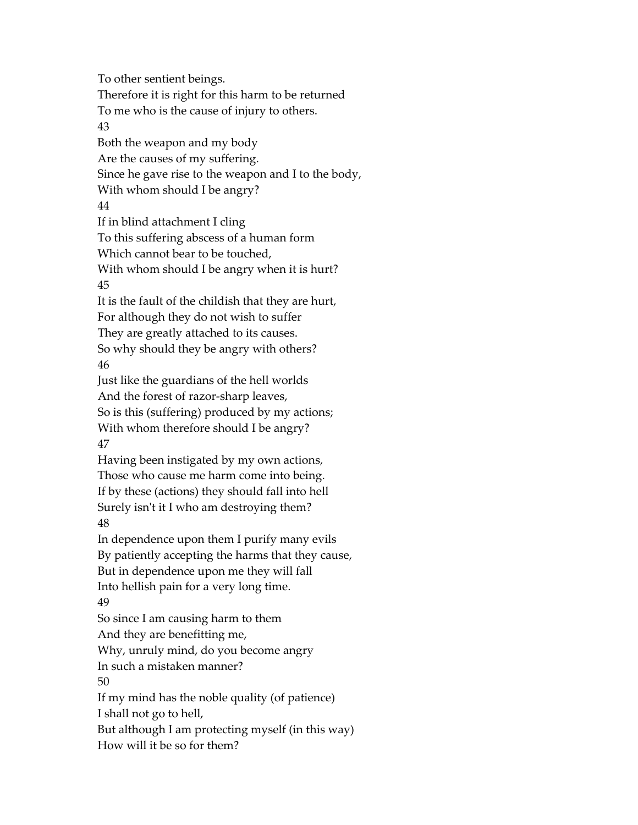To other sentient beings.

Therefore it is right for this harm to be returned

To me who is the cause of injury to others.

43

Both the weapon and my body

Are the causes of my suffering.

Since he gave rise to the weapon and I to the body,

With whom should I be angry?

44

If in blind attachment I cling

To this suffering abscess of a human form

Which cannot bear to be touched,

With whom should I be angry when it is hurt? 45

It is the fault of the childish that they are hurt,

For although they do not wish to suffer

They are greatly attached to its causes.

So why should they be angry with others? 46

Just like the guardians of the hell worlds

And the forest of razor‐sharp leaves,

So is this (suffering) produced by my actions;

With whom therefore should I be angry? 47

Having been instigated by my own actions, Those who cause me harm come into being. If by these (actions) they should fall into hell Surely isn't it I who am destroying them? 48

In dependence upon them I purify many evils

By patiently accepting the harms that they cause,

But in dependence upon me they will fall

Into hellish pain for a very long time. 49

So since I am causing harm to them

And they are benefitting me,

Why, unruly mind, do you become angry

In such a mistaken manner?

50

If my mind has the noble quality (of patience)

I shall not go to hell,

But although I am protecting myself (in this way)

How will it be so for them?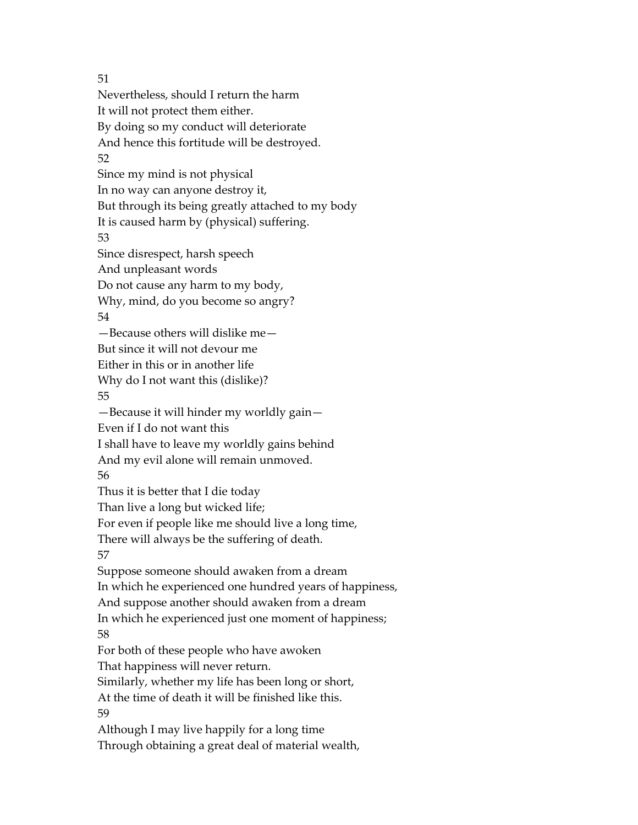51

Nevertheless, should I return the harm It will not protect them either. By doing so my conduct will deteriorate And hence this fortitude will be destroyed. 52 Since my mind is not physical In no way can anyone destroy it, But through its being greatly attached to my body It is caused harm by (physical) suffering. 53 Since disrespect, harsh speech And unpleasant words Do not cause any harm to my body, Why, mind, do you become so angry? 54 —Because others will dislike me— But since it will not devour me Either in this or in another life Why do I not want this (dislike)? 55 —Because it will hinder my worldly gain— Even if I do not want this I shall have to leave my worldly gains behind And my evil alone will remain unmoved. 56 Thus it is better that I die today Than live a long but wicked life; For even if people like me should live a long time, There will always be the suffering of death. 57 Suppose someone should awaken from a dream In which he experienced one hundred years of happiness, And suppose another should awaken from a dream In which he experienced just one moment of happiness; 58 For both of these people who have awoken That happiness will never return. Similarly, whether my life has been long or short, At the time of death it will be finished like this. 59 Although I may live happily for a long time Through obtaining a great deal of material wealth,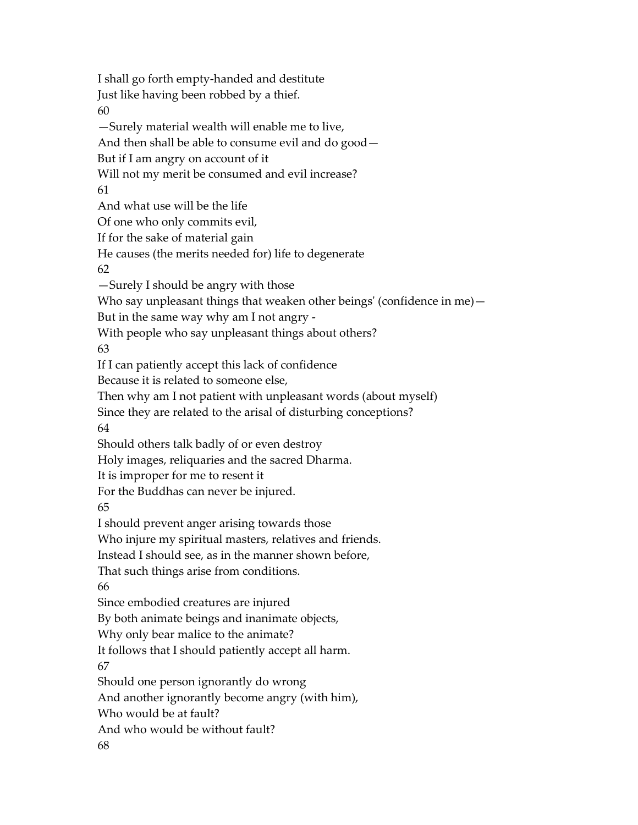I shall go forth empty‐handed and destitute Just like having been robbed by a thief. 60 —Surely material wealth will enable me to live, And then shall be able to consume evil and do good— But if I am angry on account of it Will not my merit be consumed and evil increase? 61 And what use will be the life Of one who only commits evil, If for the sake of material gain He causes (the merits needed for) life to degenerate 62 —Surely I should be angry with those Who say unpleasant things that weaken other beings' (confidence in me) $-$ But in the same way why am I not angry ‐ With people who say unpleasant things about others? 63 If I can patiently accept this lack of confidence Because it is related to someone else, Then why am I not patient with unpleasant words (about myself) Since they are related to the arisal of disturbing conceptions? 64 Should others talk badly of or even destroy Holy images, reliquaries and the sacred Dharma. It is improper for me to resent it For the Buddhas can never be injured. 65 I should prevent anger arising towards those Who injure my spiritual masters, relatives and friends. Instead I should see, as in the manner shown before, That such things arise from conditions. 66 Since embodied creatures are injured By both animate beings and inanimate objects, Why only bear malice to the animate? It follows that I should patiently accept all harm. 67 Should one person ignorantly do wrong And another ignorantly become angry (with him), Who would be at fault? And who would be without fault? 68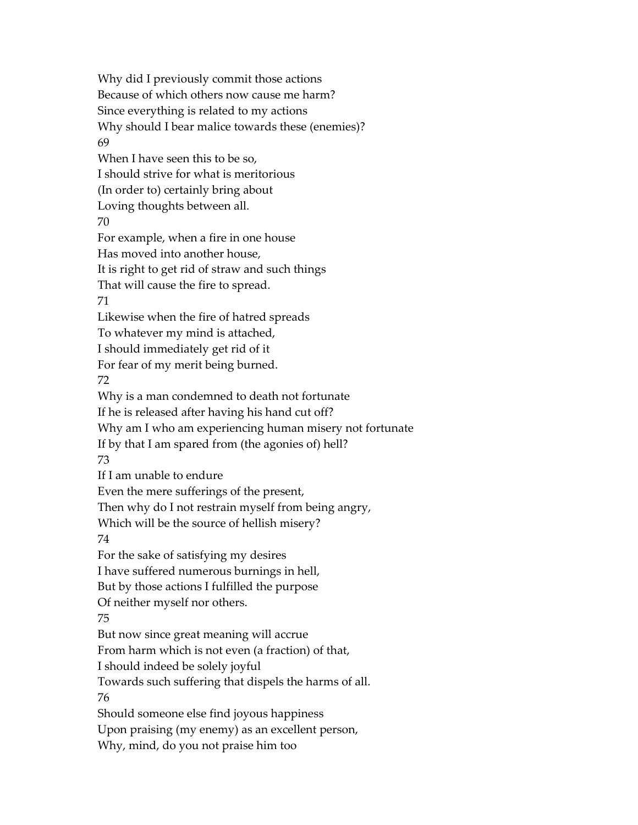Why did I previously commit those actions Because of which others now cause me harm? Since everything is related to my actions Why should I bear malice towards these (enemies)? 69 When I have seen this to be so, I should strive for what is meritorious (In order to) certainly bring about

Loving thoughts between all.

70

For example, when a fire in one house

Has moved into another house,

It is right to get rid of straw and such things

That will cause the fire to spread.

71

Likewise when the fire of hatred spreads

To whatever my mind is attached,

I should immediately get rid of it

For fear of my merit being burned.

72

Why is a man condemned to death not fortunate

If he is released after having his hand cut off?

Why am I who am experiencing human misery not fortunate

If by that I am spared from (the agonies of) hell?

73

If I am unable to endure

Even the mere sufferings of the present,

Then why do I not restrain myself from being angry,

Which will be the source of hellish misery?

74

For the sake of satisfying my desires

I have suffered numerous burnings in hell,

But by those actions I fulfilled the purpose

Of neither myself nor others.

75

But now since great meaning will accrue

From harm which is not even (a fraction) of that,

I should indeed be solely joyful

Towards such suffering that dispels the harms of all.

76

Should someone else find joyous happiness

Upon praising (my enemy) as an excellent person,

Why, mind, do you not praise him too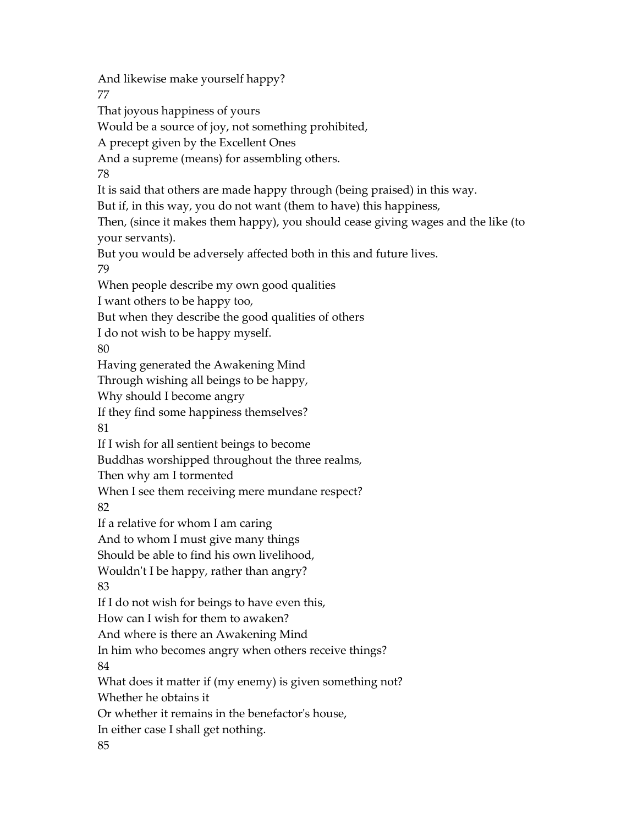And likewise make yourself happy? 77 That joyous happiness of yours Would be a source of joy, not something prohibited, A precept given by the Excellent Ones And a supreme (means) for assembling others. 78 It is said that others are made happy through (being praised) in this way. But if, in this way, you do not want (them to have) this happiness, Then, (since it makes them happy), you should cease giving wages and the like (to your servants). But you would be adversely affected both in this and future lives. 79 When people describe my own good qualities I want others to be happy too, But when they describe the good qualities of others I do not wish to be happy myself. 80 Having generated the Awakening Mind Through wishing all beings to be happy, Why should I become angry If they find some happiness themselves? 81 If I wish for all sentient beings to become Buddhas worshipped throughout the three realms, Then why am I tormented When I see them receiving mere mundane respect? 82 If a relative for whom I am caring And to whom I must give many things Should be able to find his own livelihood, Wouldn't I be happy, rather than angry? 83 If I do not wish for beings to have even this, How can I wish for them to awaken? And where is there an Awakening Mind In him who becomes angry when others receive things? 84 What does it matter if (my enemy) is given something not? Whether he obtains it Or whether it remains in the benefactorʹs house, In either case I shall get nothing. 85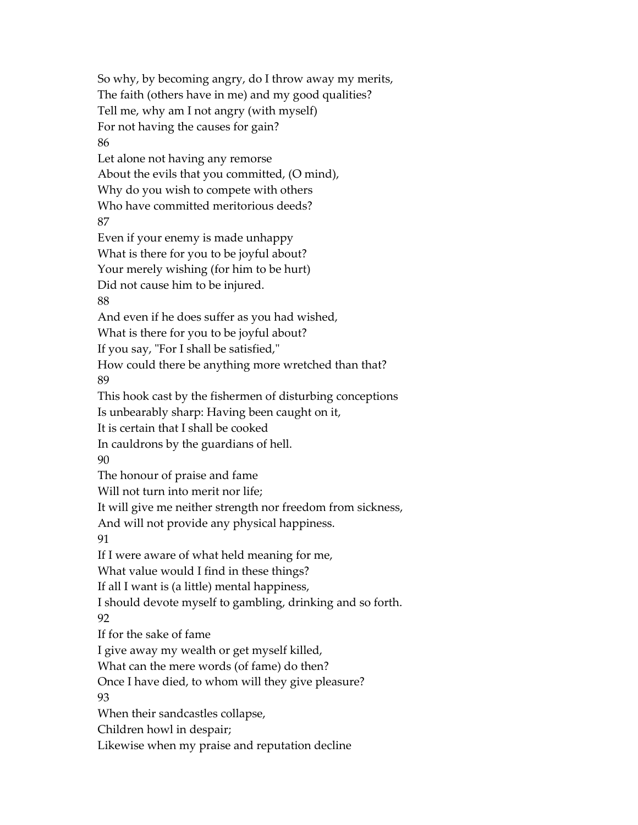So why, by becoming angry, do I throw away my merits, The faith (others have in me) and my good qualities? Tell me, why am I not angry (with myself) For not having the causes for gain? 86 Let alone not having any remorse About the evils that you committed, (O mind), Why do you wish to compete with others Who have committed meritorious deeds? 87 Even if your enemy is made unhappy What is there for you to be joyful about? Your merely wishing (for him to be hurt) Did not cause him to be injured. 88 And even if he does suffer as you had wished, What is there for you to be joyful about? If you say, "For I shall be satisfied," How could there be anything more wretched than that? 89 This hook cast by the fishermen of disturbing conceptions Is unbearably sharp: Having been caught on it, It is certain that I shall be cooked In cauldrons by the guardians of hell. 90 The honour of praise and fame Will not turn into merit nor life; It will give me neither strength nor freedom from sickness, And will not provide any physical happiness. 91 If I were aware of what held meaning for me, What value would I find in these things? If all I want is (a little) mental happiness, I should devote myself to gambling, drinking and so forth. 92 If for the sake of fame I give away my wealth or get myself killed, What can the mere words (of fame) do then? Once I have died, to whom will they give pleasure? 93 When their sandcastles collapse, Children howl in despair; Likewise when my praise and reputation decline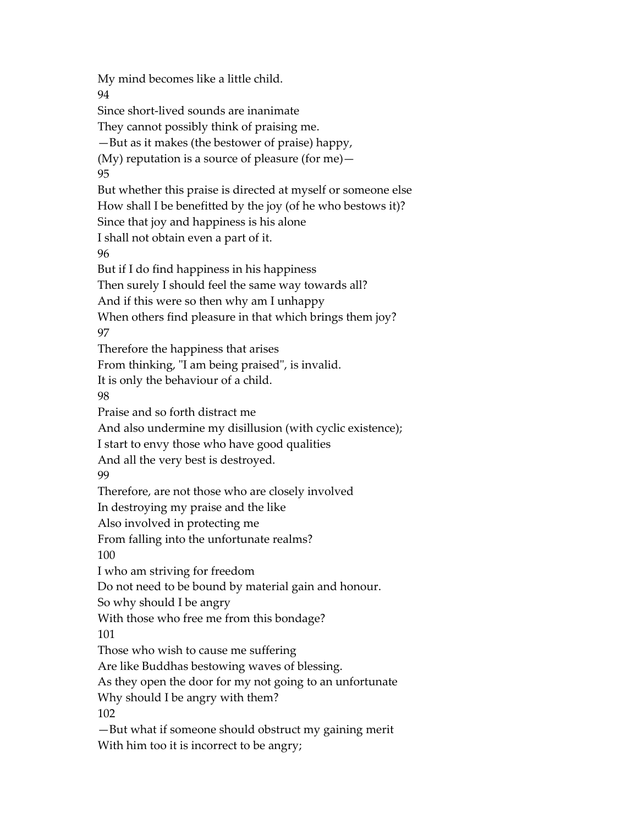My mind becomes like a little child. 94 Since short‐lived sounds are inanimate They cannot possibly think of praising me. —But as it makes (the bestower of praise) happy, (My) reputation is a source of pleasure (for me)  $-$ 95 But whether this praise is directed at myself or someone else How shall I be benefitted by the joy (of he who bestows it)? Since that joy and happiness is his alone I shall not obtain even a part of it. 96 But if I do find happiness in his happiness Then surely I should feel the same way towards all? And if this were so then why am I unhappy When others find pleasure in that which brings them joy? 97 Therefore the happiness that arises From thinking, "I am being praised", is invalid. It is only the behaviour of a child. 98 Praise and so forth distract me And also undermine my disillusion (with cyclic existence); I start to envy those who have good qualities And all the very best is destroyed. 99 Therefore, are not those who are closely involved In destroying my praise and the like Also involved in protecting me From falling into the unfortunate realms? 100 I who am striving for freedom Do not need to be bound by material gain and honour. So why should I be angry With those who free me from this bondage? 101 Those who wish to cause me suffering Are like Buddhas bestowing waves of blessing. As they open the door for my not going to an unfortunate Why should I be angry with them? 102 —But what if someone should obstruct my gaining merit With him too it is incorrect to be angry;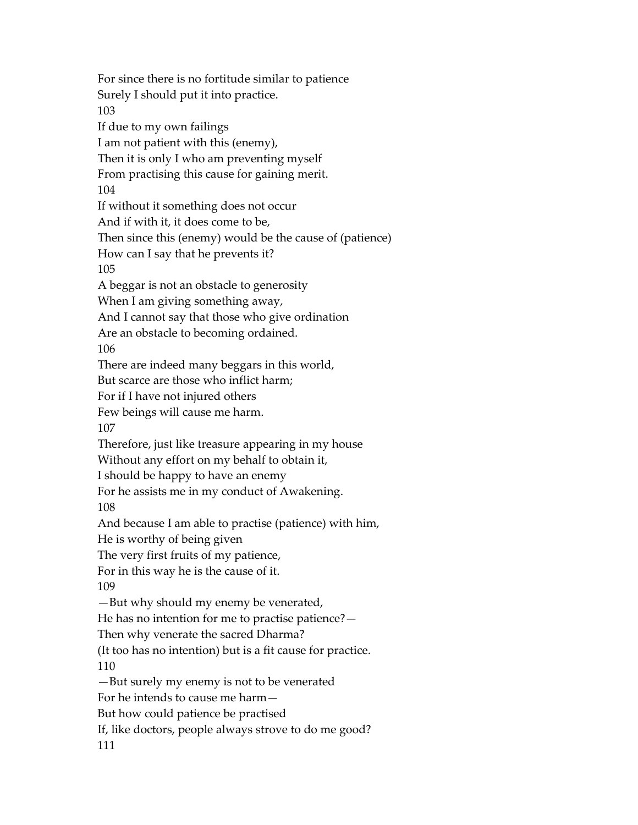For since there is no fortitude similar to patience Surely I should put it into practice. 103 If due to my own failings I am not patient with this (enemy), Then it is only I who am preventing myself From practising this cause for gaining merit. 104 If without it something does not occur And if with it, it does come to be, Then since this (enemy) would be the cause of (patience) How can I say that he prevents it? 105 A beggar is not an obstacle to generosity When I am giving something away, And I cannot say that those who give ordination Are an obstacle to becoming ordained. 106 There are indeed many beggars in this world, But scarce are those who inflict harm; For if I have not injured others Few beings will cause me harm. 107 Therefore, just like treasure appearing in my house Without any effort on my behalf to obtain it, I should be happy to have an enemy For he assists me in my conduct of Awakening. 108 And because I am able to practise (patience) with him, He is worthy of being given The very first fruits of my patience, For in this way he is the cause of it. 109 —But why should my enemy be venerated, He has no intention for me to practise patience?— Then why venerate the sacred Dharma? (It too has no intention) but is a fit cause for practice. 110 —But surely my enemy is not to be venerated For he intends to cause me harm— But how could patience be practised If, like doctors, people always strove to do me good? 111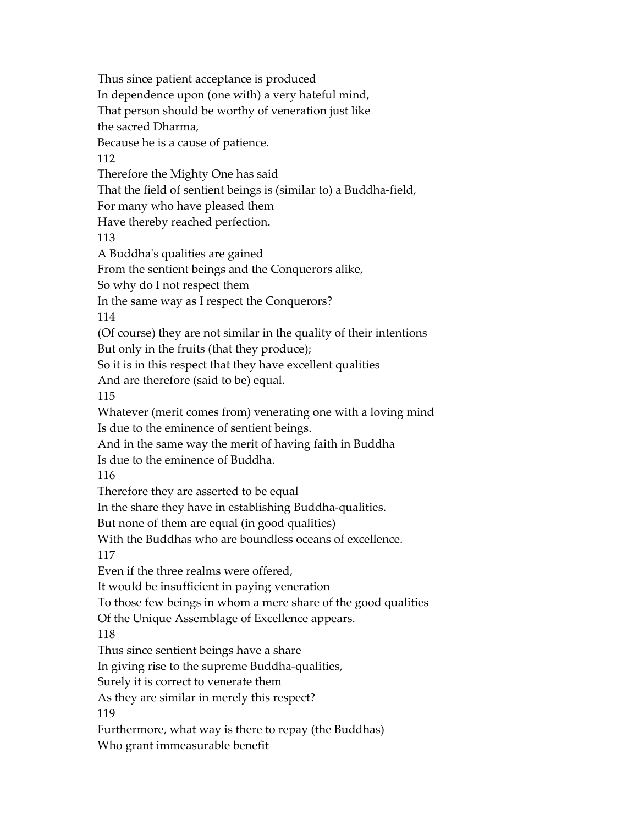Thus since patient acceptance is produced In dependence upon (one with) a very hateful mind, That person should be worthy of veneration just like the sacred Dharma, Because he is a cause of patience. 112 Therefore the Mighty One has said That the field of sentient beings is (similar to) a Buddha‐field, For many who have pleased them Have thereby reached perfection. 113 A Buddhaʹs qualities are gained From the sentient beings and the Conquerors alike, So why do I not respect them In the same way as I respect the Conquerors? 114 (Of course) they are not similar in the quality of their intentions But only in the fruits (that they produce); So it is in this respect that they have excellent qualities And are therefore (said to be) equal. 115 Whatever (merit comes from) venerating one with a loving mind Is due to the eminence of sentient beings. And in the same way the merit of having faith in Buddha Is due to the eminence of Buddha. 116 Therefore they are asserted to be equal In the share they have in establishing Buddha‐qualities. But none of them are equal (in good qualities) With the Buddhas who are boundless oceans of excellence. 117 Even if the three realms were offered, It would be insufficient in paying veneration To those few beings in whom a mere share of the good qualities Of the Unique Assemblage of Excellence appears. 118 Thus since sentient beings have a share In giving rise to the supreme Buddha‐qualities, Surely it is correct to venerate them As they are similar in merely this respect? 119 Furthermore, what way is there to repay (the Buddhas) Who grant immeasurable benefit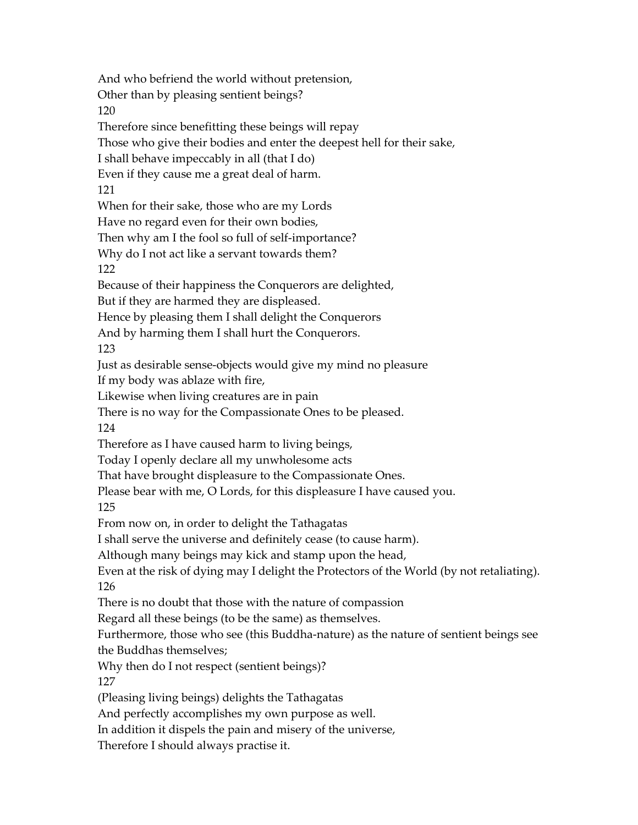And who befriend the world without pretension, Other than by pleasing sentient beings? 120 Therefore since benefitting these beings will repay Those who give their bodies and enter the deepest hell for their sake, I shall behave impeccably in all (that I do) Even if they cause me a great deal of harm. 121 When for their sake, those who are my Lords Have no regard even for their own bodies, Then why am I the fool so full of self‐importance? Why do I not act like a servant towards them? 122 Because of their happiness the Conquerors are delighted, But if they are harmed they are displeased. Hence by pleasing them I shall delight the Conquerors And by harming them I shall hurt the Conquerors. 123 Just as desirable sense‐objects would give my mind no pleasure If my body was ablaze with fire, Likewise when living creatures are in pain There is no way for the Compassionate Ones to be pleased. 124 Therefore as I have caused harm to living beings, Today I openly declare all my unwholesome acts That have brought displeasure to the Compassionate Ones. Please bear with me, O Lords, for this displeasure I have caused you. 125 From now on, in order to delight the Tathagatas I shall serve the universe and definitely cease (to cause harm). Although many beings may kick and stamp upon the head, Even at the risk of dying may I delight the Protectors of the World (by not retaliating). 126 There is no doubt that those with the nature of compassion Regard all these beings (to be the same) as themselves. Furthermore, those who see (this Buddha‐nature) as the nature of sentient beings see the Buddhas themselves; Why then do I not respect (sentient beings)? 127 (Pleasing living beings) delights the Tathagatas And perfectly accomplishes my own purpose as well. In addition it dispels the pain and misery of the universe,

Therefore I should always practise it.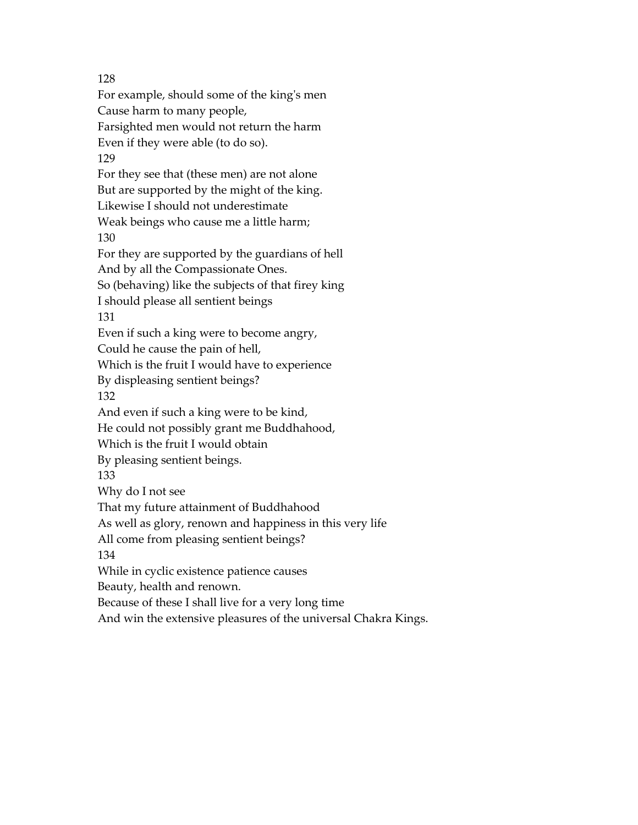128

For example, should some of the king's men Cause harm to many people,

Farsighted men would not return the harm

Even if they were able (to do so). 129

For they see that (these men) are not alone

But are supported by the might of the king.

Likewise I should not underestimate

Weak beings who cause me a little harm; 130

For they are supported by the guardians of hell And by all the Compassionate Ones.

So (behaving) like the subjects of that firey king

I should please all sentient beings

131

Even if such a king were to become angry,

Could he cause the pain of hell,

Which is the fruit I would have to experience

By displeasing sentient beings?

132

And even if such a king were to be kind,

He could not possibly grant me Buddhahood,

Which is the fruit I would obtain

By pleasing sentient beings.

133

Why do I not see

That my future attainment of Buddhahood

As well as glory, renown and happiness in this very life

All come from pleasing sentient beings?

134

While in cyclic existence patience causes

Beauty, health and renown.

Because of these I shall live for a very long time

And win the extensive pleasures of the universal Chakra Kings.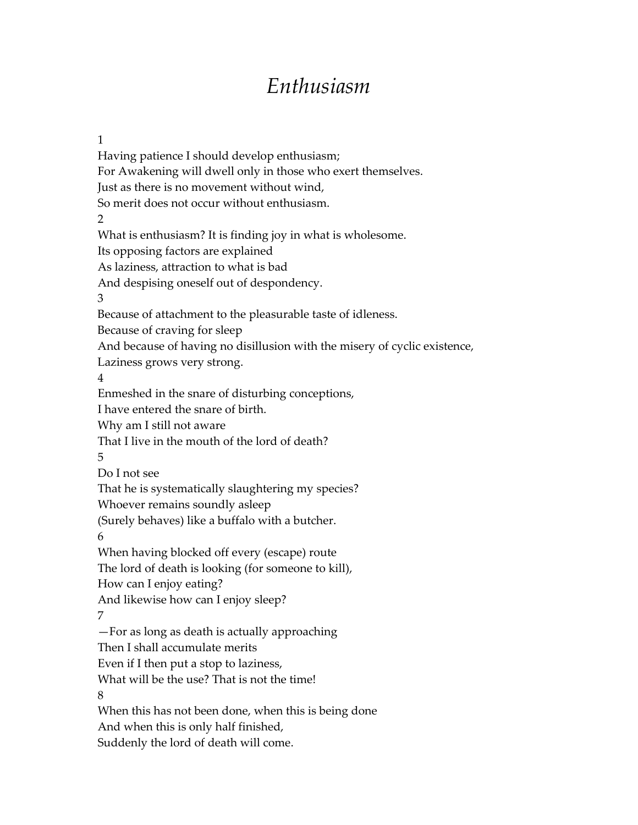## *Enthusiasm*

1 Having patience I should develop enthusiasm; For Awakening will dwell only in those who exert themselves. Just as there is no movement without wind, So merit does not occur without enthusiasm. 2 What is enthusiasm? It is finding joy in what is wholesome. Its opposing factors are explained As laziness, attraction to what is bad And despising oneself out of despondency. 3 Because of attachment to the pleasurable taste of idleness. Because of craving for sleep And because of having no disillusion with the misery of cyclic existence, Laziness grows very strong. 4 Enmeshed in the snare of disturbing conceptions, I have entered the snare of birth. Why am I still not aware That I live in the mouth of the lord of death? 5 Do I not see That he is systematically slaughtering my species? Whoever remains soundly asleep (Surely behaves) like a buffalo with a butcher. 6 When having blocked off every (escape) route The lord of death is looking (for someone to kill), How can I enjoy eating? And likewise how can I enjoy sleep? 7 —For as long as death is actually approaching Then I shall accumulate merits Even if I then put a stop to laziness, What will be the use? That is not the time! 8 When this has not been done, when this is being done And when this is only half finished, Suddenly the lord of death will come.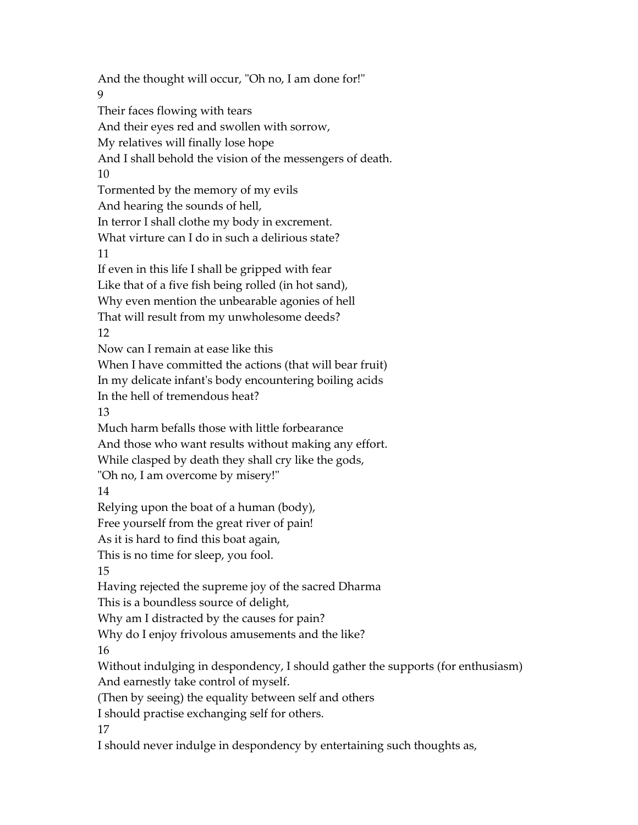And the thought will occur, "Oh no, I am done for!" 9 Their faces flowing with tears And their eyes red and swollen with sorrow, My relatives will finally lose hope And I shall behold the vision of the messengers of death. 10 Tormented by the memory of my evils And hearing the sounds of hell, In terror I shall clothe my body in excrement. What virture can I do in such a delirious state? 11 If even in this life I shall be gripped with fear Like that of a five fish being rolled (in hot sand), Why even mention the unbearable agonies of hell That will result from my unwholesome deeds? 12 Now can I remain at ease like this When I have committed the actions (that will bear fruit) In my delicate infantʹs body encountering boiling acids In the hell of tremendous heat? 13 Much harm befalls those with little forbearance And those who want results without making any effort. While clasped by death they shall cry like the gods, "Oh no, I am overcome by misery!" 14 Relying upon the boat of a human (body), Free yourself from the great river of pain! As it is hard to find this boat again, This is no time for sleep, you fool. 15 Having rejected the supreme joy of the sacred Dharma This is a boundless source of delight, Why am I distracted by the causes for pain? Why do I enjoy frivolous amusements and the like? 16 Without indulging in despondency, I should gather the supports (for enthusiasm) And earnestly take control of myself. (Then by seeing) the equality between self and others I should practise exchanging self for others. 17 I should never indulge in despondency by entertaining such thoughts as,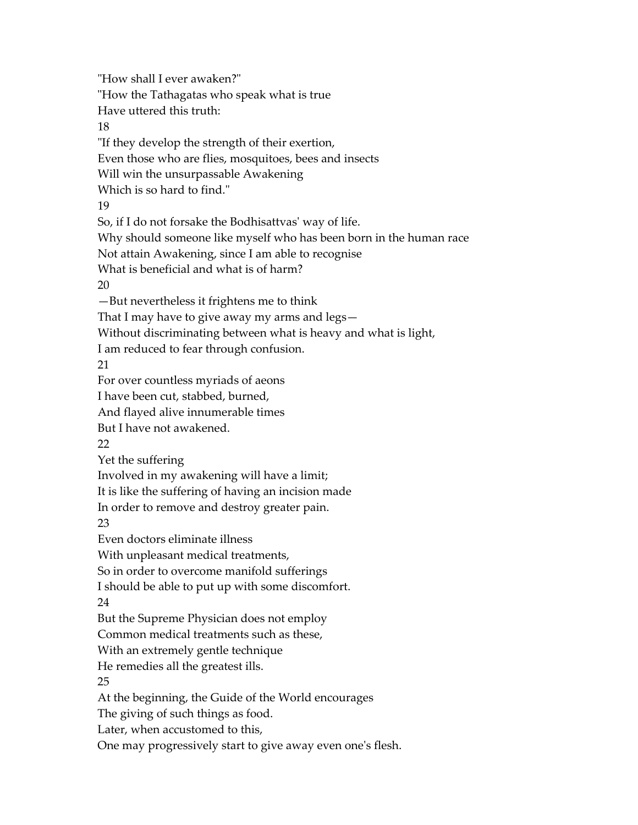"How shall I ever awaken?"

ʺHow the Tathagatas who speak what is true

Have uttered this truth:

18

"If they develop the strength of their exertion,

Even those who are flies, mosquitoes, bees and insects

Will win the unsurpassable Awakening

Which is so hard to find."

19

So, if I do not forsake the Bodhisattvas' way of life.

Why should someone like myself who has been born in the human race

Not attain Awakening, since I am able to recognise

What is beneficial and what is of harm?

20

—But nevertheless it frightens me to think

That I may have to give away my arms and legs—

Without discriminating between what is heavy and what is light,

I am reduced to fear through confusion.

21

For over countless myriads of aeons

I have been cut, stabbed, burned,

And flayed alive innumerable times

But I have not awakened.

22

Yet the suffering

Involved in my awakening will have a limit;

It is like the suffering of having an incision made

In order to remove and destroy greater pain.

23

Even doctors eliminate illness

With unpleasant medical treatments,

So in order to overcome manifold sufferings

I should be able to put up with some discomfort.

24

But the Supreme Physician does not employ

Common medical treatments such as these,

With an extremely gentle technique

He remedies all the greatest ills.

25

At the beginning, the Guide of the World encourages

The giving of such things as food.

Later, when accustomed to this,

One may progressively start to give away even oneʹs flesh.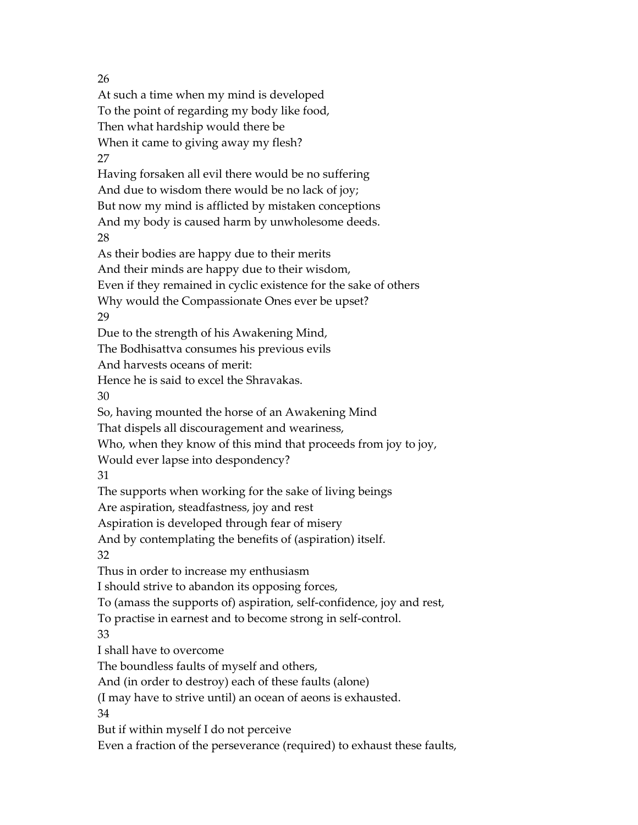26

At such a time when my mind is developed To the point of regarding my body like food, Then what hardship would there be When it came to giving away my flesh? 27 Having forsaken all evil there would be no suffering And due to wisdom there would be no lack of joy; But now my mind is afflicted by mistaken conceptions And my body is caused harm by unwholesome deeds. 28 As their bodies are happy due to their merits And their minds are happy due to their wisdom, Even if they remained in cyclic existence for the sake of others Why would the Compassionate Ones ever be upset? 29 Due to the strength of his Awakening Mind, The Bodhisattva consumes his previous evils And harvests oceans of merit: Hence he is said to excel the Shravakas. 30 So, having mounted the horse of an Awakening Mind That dispels all discouragement and weariness, Who, when they know of this mind that proceeds from joy to joy, Would ever lapse into despondency? 31 The supports when working for the sake of living beings Are aspiration, steadfastness, joy and rest Aspiration is developed through fear of misery And by contemplating the benefits of (aspiration) itself. 32 Thus in order to increase my enthusiasm I should strive to abandon its opposing forces, To (amass the supports of) aspiration, self‐confidence, joy and rest, To practise in earnest and to become strong in self‐control. 33 I shall have to overcome The boundless faults of myself and others, And (in order to destroy) each of these faults (alone) (I may have to strive until) an ocean of aeons is exhausted. 34 But if within myself I do not perceive Even a fraction of the perseverance (required) to exhaust these faults,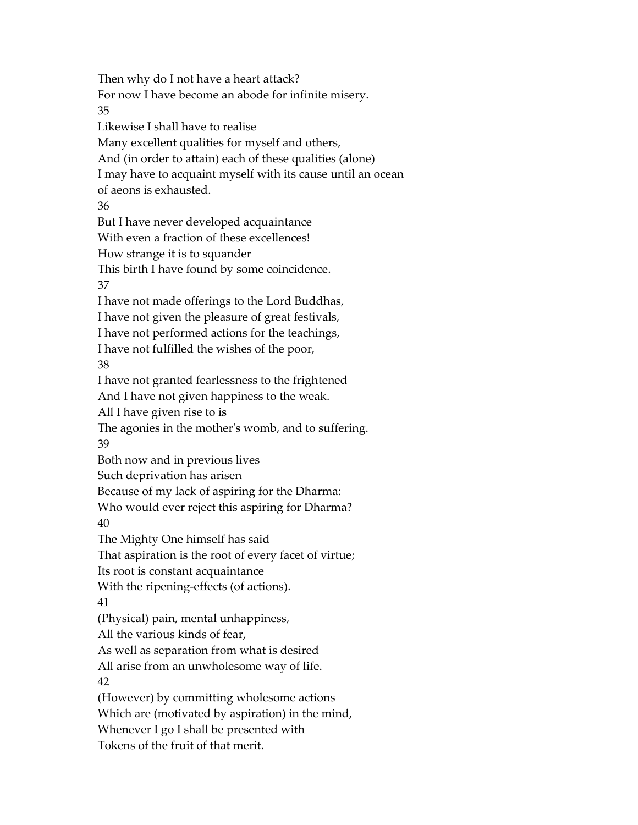Then why do I not have a heart attack?

For now I have become an abode for infinite misery.

35

Likewise I shall have to realise

Many excellent qualities for myself and others,

And (in order to attain) each of these qualities (alone)

I may have to acquaint myself with its cause until an ocean

of aeons is exhausted.

36

But I have never developed acquaintance

With even a fraction of these excellences!

How strange it is to squander

This birth I have found by some coincidence.

37

I have not made offerings to the Lord Buddhas,

I have not given the pleasure of great festivals,

I have not performed actions for the teachings,

I have not fulfilled the wishes of the poor,

38

I have not granted fearlessness to the frightened

And I have not given happiness to the weak.

All I have given rise to is

The agonies in the mother's womb, and to suffering. 39

Both now and in previous lives

Such deprivation has arisen

Because of my lack of aspiring for the Dharma:

Who would ever reject this aspiring for Dharma?

40

The Mighty One himself has said

That aspiration is the root of every facet of virtue;

Its root is constant acquaintance

With the ripening-effects (of actions).

41

(Physical) pain, mental unhappiness,

All the various kinds of fear,

As well as separation from what is desired

All arise from an unwholesome way of life.

42

(However) by committing wholesome actions

Which are (motivated by aspiration) in the mind,

Whenever I go I shall be presented with

Tokens of the fruit of that merit.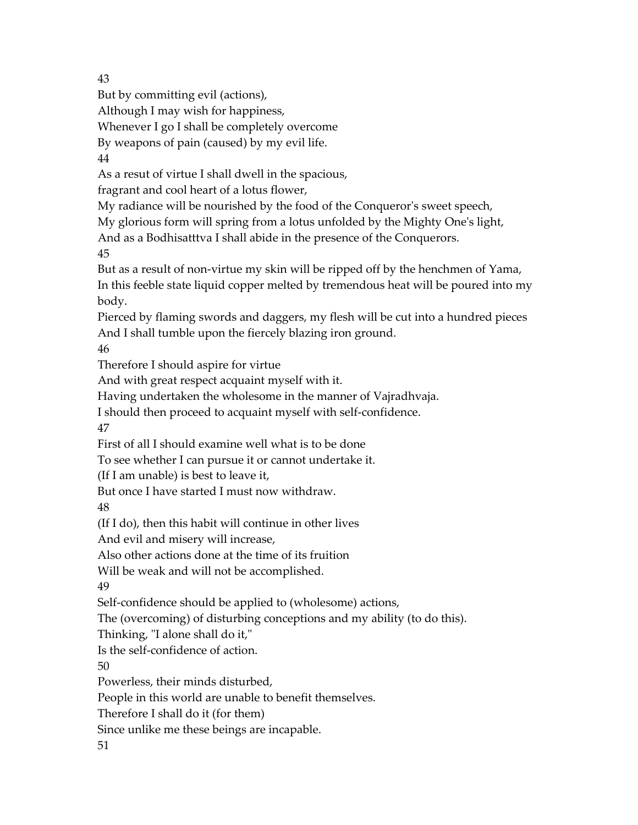43

But by committing evil (actions),

Although I may wish for happiness,

Whenever I go I shall be completely overcome

By weapons of pain (caused) by my evil life.

44

As a resut of virtue I shall dwell in the spacious,

fragrant and cool heart of a lotus flower,

My radiance will be nourished by the food of the Conquerorʹs sweet speech,

My glorious form will spring from a lotus unfolded by the Mighty Oneʹs light,

And as a Bodhisatttva I shall abide in the presence of the Conquerors.

45

But as a result of non-virtue my skin will be ripped off by the henchmen of Yama, In this feeble state liquid copper melted by tremendous heat will be poured into my body.

Pierced by flaming swords and daggers, my flesh will be cut into a hundred pieces And I shall tumble upon the fiercely blazing iron ground.

46

Therefore I should aspire for virtue

And with great respect acquaint myself with it.

Having undertaken the wholesome in the manner of Vajradhvaja.

I should then proceed to acquaint myself with self‐confidence.

47

First of all I should examine well what is to be done

To see whether I can pursue it or cannot undertake it.

(If I am unable) is best to leave it,

But once I have started I must now withdraw.

48

(If I do), then this habit will continue in other lives

And evil and misery will increase,

Also other actions done at the time of its fruition

Will be weak and will not be accomplished.

49

Self-confidence should be applied to (wholesome) actions,

The (overcoming) of disturbing conceptions and my ability (to do this).

Thinking, "I alone shall do it,"

Is the self‐confidence of action.

50

Powerless, their minds disturbed,

People in this world are unable to benefit themselves.

Therefore I shall do it (for them)

Since unlike me these beings are incapable.

51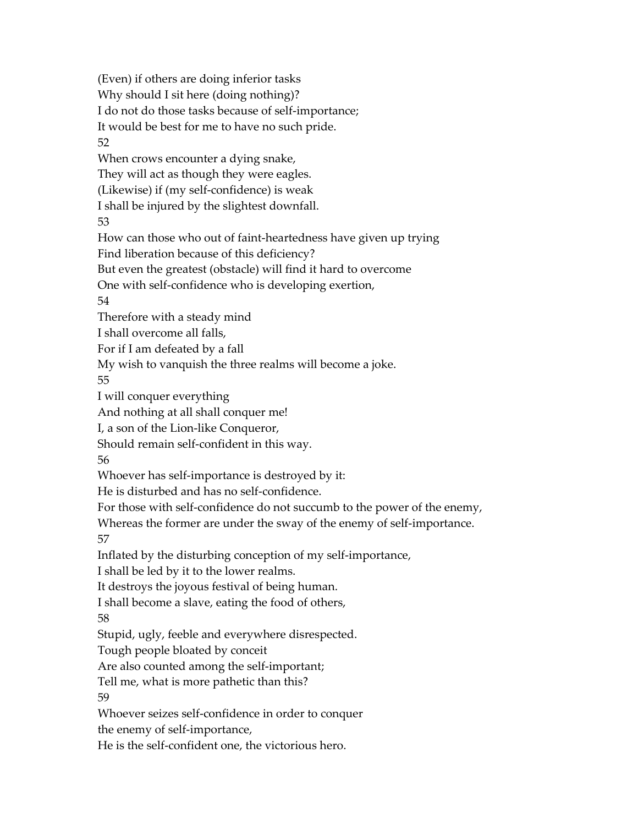(Even) if others are doing inferior tasks Why should I sit here (doing nothing)? I do not do those tasks because of self‐importance; It would be best for me to have no such pride. 52 When crows encounter a dying snake, They will act as though they were eagles. (Likewise) if (my self‐confidence) is weak I shall be injured by the slightest downfall. 53 How can those who out of faint‐heartedness have given up trying Find liberation because of this deficiency? But even the greatest (obstacle) will find it hard to overcome One with self‐confidence who is developing exertion, 54 Therefore with a steady mind I shall overcome all falls, For if I am defeated by a fall My wish to vanquish the three realms will become a joke. 55 I will conquer everything And nothing at all shall conquer me! I, a son of the Lion‐like Conqueror, Should remain self‐confident in this way. 56 Whoever has self-importance is destroyed by it: He is disturbed and has no self‐confidence. For those with self-confidence do not succumb to the power of the enemy, Whereas the former are under the sway of the enemy of self-importance. 57 Inflated by the disturbing conception of my self‐importance, I shall be led by it to the lower realms. It destroys the joyous festival of being human. I shall become a slave, eating the food of others, 58 Stupid, ugly, feeble and everywhere disrespected. Tough people bloated by conceit Are also counted among the self‐important; Tell me, what is more pathetic than this? 59 Whoever seizes self‐confidence in order to conquer the enemy of self‐importance, He is the self‐confident one, the victorious hero.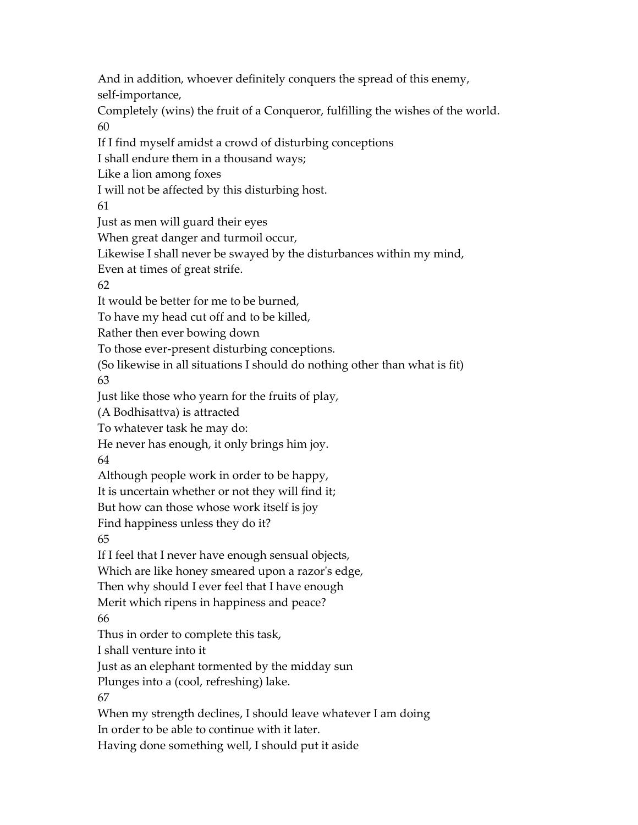And in addition, whoever definitely conquers the spread of this enemy,

self‐importance,

Completely (wins) the fruit of a Conqueror, fulfilling the wishes of the world. 60

If I find myself amidst a crowd of disturbing conceptions

I shall endure them in a thousand ways;

Like a lion among foxes

I will not be affected by this disturbing host.

61

Just as men will guard their eyes

When great danger and turmoil occur,

Likewise I shall never be swayed by the disturbances within my mind,

Even at times of great strife.

62

It would be better for me to be burned,

To have my head cut off and to be killed,

Rather then ever bowing down

To those ever‐present disturbing conceptions.

(So likewise in all situations I should do nothing other than what is fit) 63

Just like those who yearn for the fruits of play,

(A Bodhisattva) is attracted

To whatever task he may do:

He never has enough, it only brings him joy.

64

Although people work in order to be happy,

It is uncertain whether or not they will find it;

But how can those whose work itself is joy

Find happiness unless they do it?

65

If I feel that I never have enough sensual objects,

Which are like honey smeared upon a razor's edge,

Then why should I ever feel that I have enough

Merit which ripens in happiness and peace?

66

Thus in order to complete this task,

I shall venture into it

Just as an elephant tormented by the midday sun

Plunges into a (cool, refreshing) lake.

67

When my strength declines, I should leave whatever I am doing

In order to be able to continue with it later.

Having done something well, I should put it aside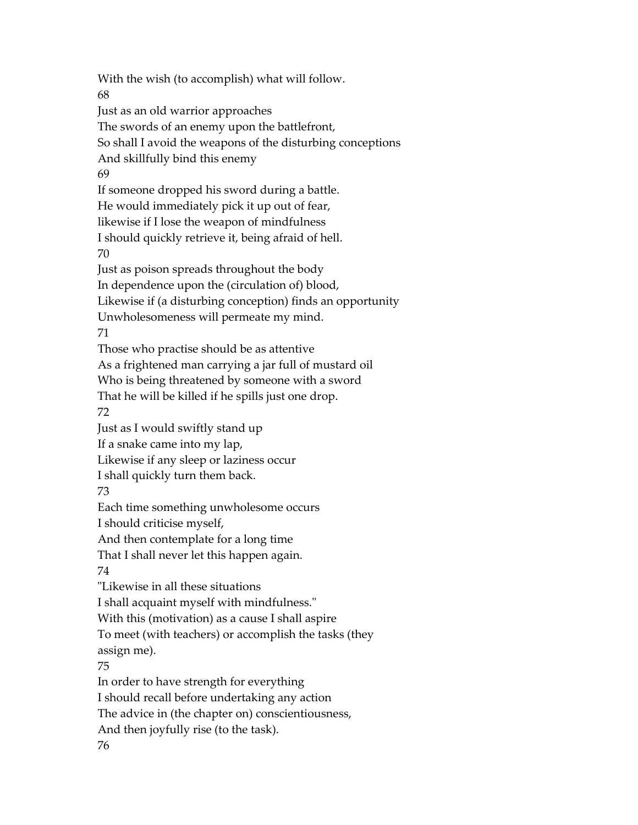With the wish (to accomplish) what will follow. 68 Just as an old warrior approaches The swords of an enemy upon the battlefront, So shall I avoid the weapons of the disturbing conceptions And skillfully bind this enemy 69 If someone dropped his sword during a battle. He would immediately pick it up out of fear, likewise if I lose the weapon of mindfulness I should quickly retrieve it, being afraid of hell. 70 Just as poison spreads throughout the body In dependence upon the (circulation of) blood, Likewise if (a disturbing conception) finds an opportunity Unwholesomeness will permeate my mind. 71 Those who practise should be as attentive As a frightened man carrying a jar full of mustard oil Who is being threatened by someone with a sword That he will be killed if he spills just one drop. 72 Just as I would swiftly stand up If a snake came into my lap, Likewise if any sleep or laziness occur I shall quickly turn them back. 73 Each time something unwholesome occurs I should criticise myself, And then contemplate for a long time That I shall never let this happen again. 74 ʺLikewise in all these situations I shall acquaint myself with mindfulness." With this (motivation) as a cause I shall aspire To meet (with teachers) or accomplish the tasks (they assign me). 75 In order to have strength for everything I should recall before undertaking any action The advice in (the chapter on) conscientiousness, And then joyfully rise (to the task). 76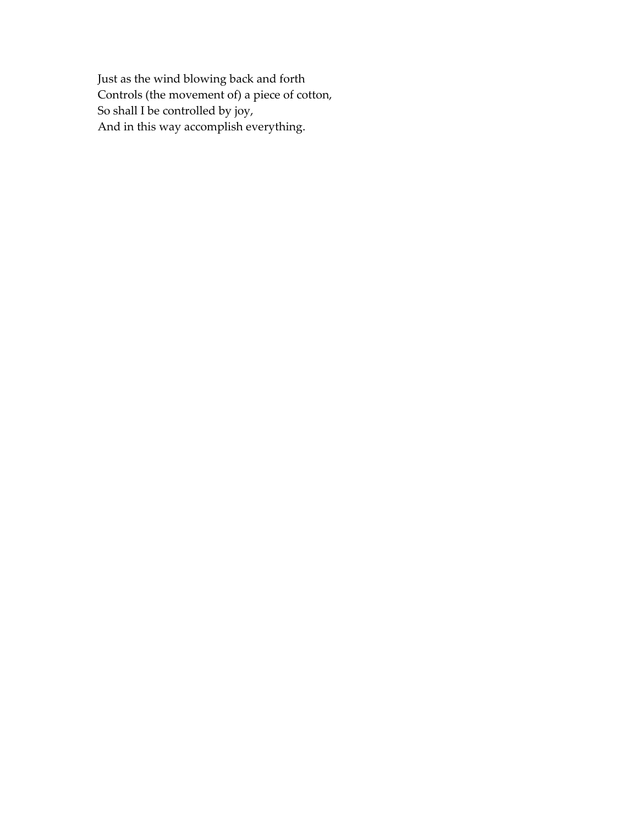Just as the wind blowing back and forth Controls (the movement of) a piece of cotton, So shall I be controlled by joy, And in this way accomplish everything.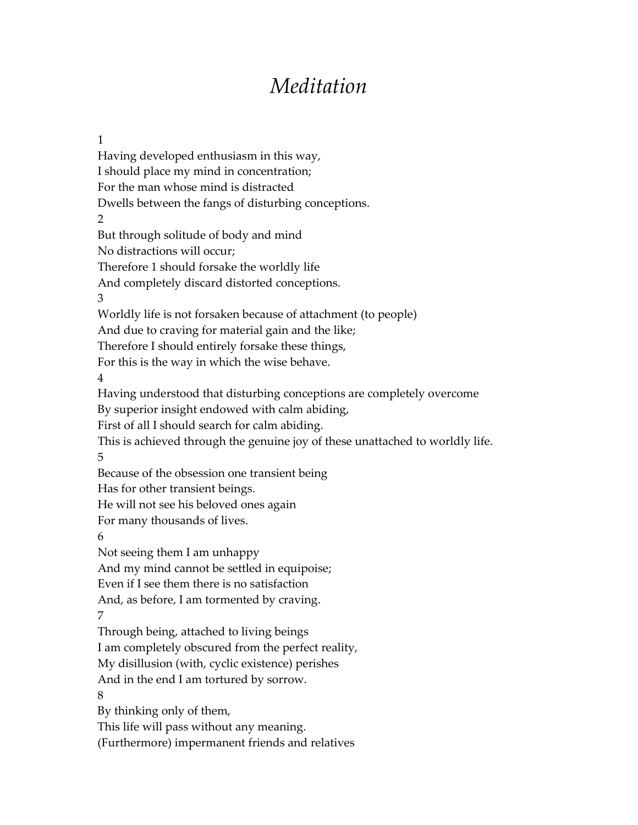## *Meditation*

1 Having developed enthusiasm in this way, I should place my mind in concentration; For the man whose mind is distracted Dwells between the fangs of disturbing conceptions. 2 But through solitude of body and mind No distractions will occur; Therefore 1 should forsake the worldly life And completely discard distorted conceptions. 3 Worldly life is not forsaken because of attachment (to people) And due to craving for material gain and the like; Therefore I should entirely forsake these things, For this is the way in which the wise behave. 4 Having understood that disturbing conceptions are completely overcome By superior insight endowed with calm abiding, First of all I should search for calm abiding. This is achieved through the genuine joy of these unattached to worldly life. 5 Because of the obsession one transient being Has for other transient beings. He will not see his beloved ones again For many thousands of lives. 6 Not seeing them I am unhappy And my mind cannot be settled in equipoise; Even if I see them there is no satisfaction And, as before, I am tormented by craving. 7 Through being, attached to living beings I am completely obscured from the perfect reality, My disillusion (with, cyclic existence) perishes And in the end I am tortured by sorrow. 8 By thinking only of them, This life will pass without any meaning. (Furthermore) impermanent friends and relatives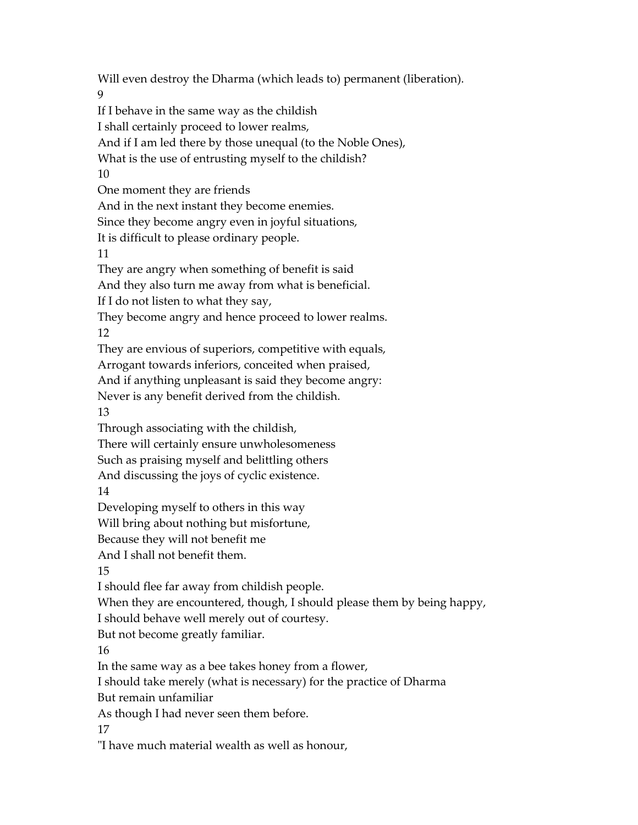Will even destroy the Dharma (which leads to) permanent (liberation). 9

If I behave in the same way as the childish

I shall certainly proceed to lower realms,

And if I am led there by those unequal (to the Noble Ones),

What is the use of entrusting myself to the childish?

10

One moment they are friends

And in the next instant they become enemies.

Since they become angry even in joyful situations,

It is difficult to please ordinary people.

11

They are angry when something of benefit is said

And they also turn me away from what is beneficial.

If I do not listen to what they say,

They become angry and hence proceed to lower realms. 12

They are envious of superiors, competitive with equals,

Arrogant towards inferiors, conceited when praised,

And if anything unpleasant is said they become angry:

Never is any benefit derived from the childish.

13

Through associating with the childish,

There will certainly ensure unwholesomeness

Such as praising myself and belittling others

And discussing the joys of cyclic existence.

14

Developing myself to others in this way

Will bring about nothing but misfortune,

Because they will not benefit me

And I shall not benefit them.

15

I should flee far away from childish people.

When they are encountered, though, I should please them by being happy,

I should behave well merely out of courtesy.

But not become greatly familiar.

16

In the same way as a bee takes honey from a flower,

I should take merely (what is necessary) for the practice of Dharma

But remain unfamiliar

As though I had never seen them before.

17

ʺI have much material wealth as well as honour,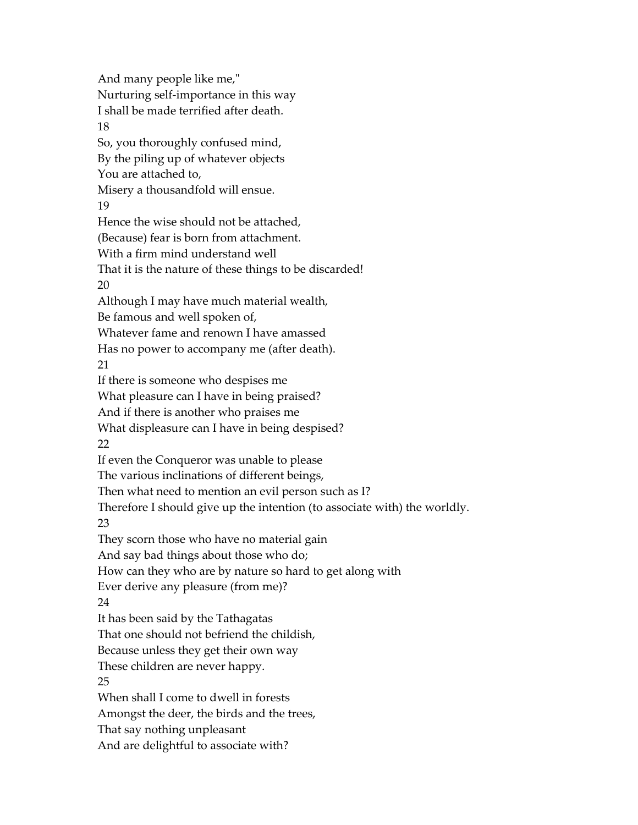And many people like me," Nurturing self‐importance in this way I shall be made terrified after death. 18 So, you thoroughly confused mind, By the piling up of whatever objects You are attached to, Misery a thousandfold will ensue. 19 Hence the wise should not be attached, (Because) fear is born from attachment. With a firm mind understand well That it is the nature of these things to be discarded! 20 Although I may have much material wealth, Be famous and well spoken of, Whatever fame and renown I have amassed Has no power to accompany me (after death). 21 If there is someone who despises me What pleasure can I have in being praised? And if there is another who praises me What displeasure can I have in being despised? 22 If even the Conqueror was unable to please The various inclinations of different beings, Then what need to mention an evil person such as I? Therefore I should give up the intention (to associate with) the worldly. 23 They scorn those who have no material gain And say bad things about those who do; How can they who are by nature so hard to get along with Ever derive any pleasure (from me)? 24 It has been said by the Tathagatas That one should not befriend the childish, Because unless they get their own way These children are never happy. 25 When shall I come to dwell in forests Amongst the deer, the birds and the trees, That say nothing unpleasant And are delightful to associate with?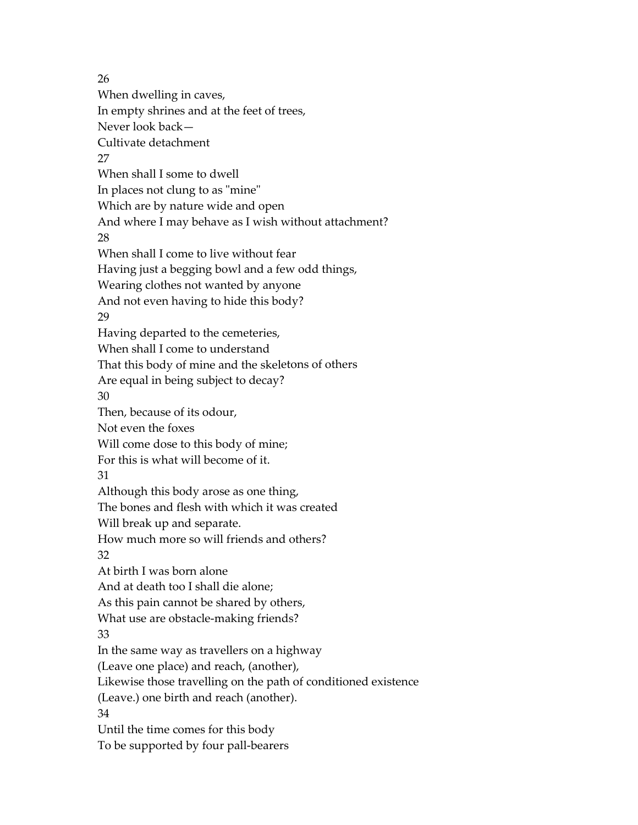26 When dwelling in caves, In empty shrines and at the feet of trees, Never look back— Cultivate detachment 27 When shall I some to dwell In places not clung to as "mine" Which are by nature wide and open And where I may behave as I wish without attachment? 28 When shall I come to live without fear Having just a begging bowl and a few odd things, Wearing clothes not wanted by anyone And not even having to hide this body? 29 Having departed to the cemeteries, When shall I come to understand That this body of mine and the skeletons of others Are equal in being subject to decay? 30 Then, because of its odour, Not even the foxes Will come dose to this body of mine; For this is what will become of it. 31 Although this body arose as one thing, The bones and flesh with which it was created Will break up and separate. How much more so will friends and others? 32 At birth I was born alone And at death too I shall die alone; As this pain cannot be shared by others, What use are obstacle‐making friends? 33 In the same way as travellers on a highway (Leave one place) and reach, (another), Likewise those travelling on the path of conditioned existence (Leave.) one birth and reach (another). 34 Until the time comes for this body To be supported by four pall‐bearers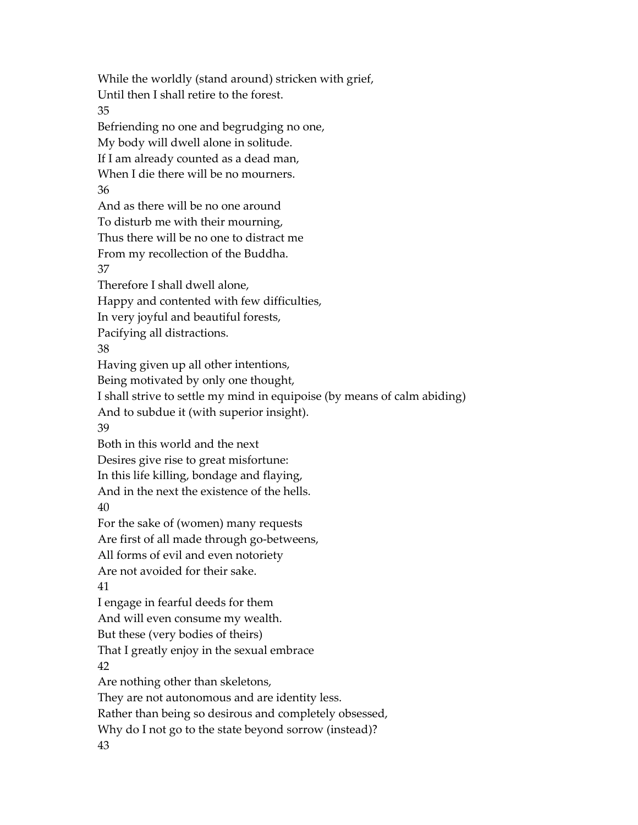While the worldly (stand around) stricken with grief, Until then I shall retire to the forest. 35 Befriending no one and begrudging no one, My body will dwell alone in solitude. If I am already counted as a dead man, When I die there will be no mourners. 36 And as there will be no one around To disturb me with their mourning, Thus there will be no one to distract me From my recollection of the Buddha. 37 Therefore I shall dwell alone, Happy and contented with few difficulties, In very joyful and beautiful forests, Pacifying all distractions. 38 Having given up all other intentions, Being motivated by only one thought, I shall strive to settle my mind in equipoise (by means of calm abiding) And to subdue it (with superior insight). 39 Both in this world and the next Desires give rise to great misfortune: In this life killing, bondage and flaying, And in the next the existence of the hells.  $40$ For the sake of (women) many requests Are first of all made through go-betweens, All forms of evil and even notoriety Are not avoided for their sake. 41 I engage in fearful deeds for them And will even consume my wealth. But these (very bodies of theirs) That I greatly enjoy in the sexual embrace 42 Are nothing other than skeletons, They are not autonomous and are identity less. Rather than being so desirous and completely obsessed, Why do I not go to the state beyond sorrow (instead)? 43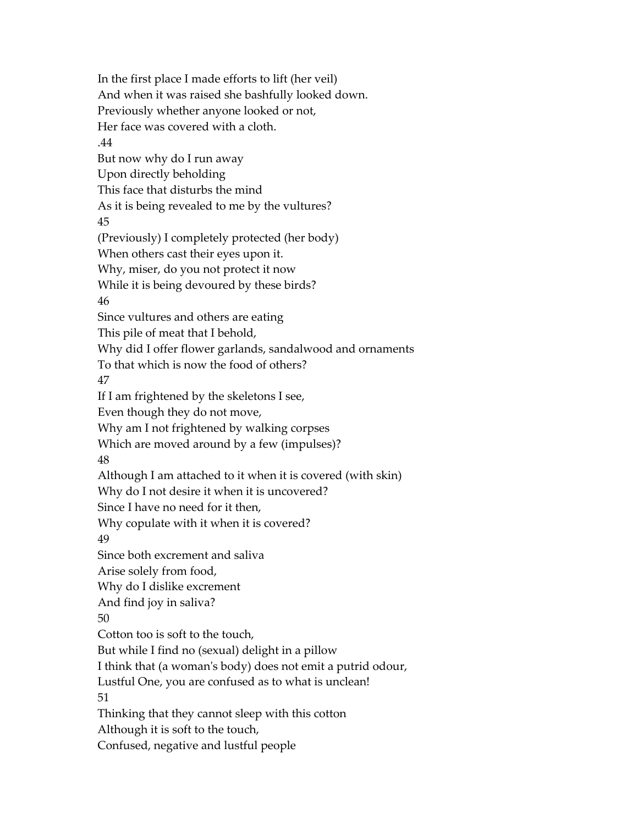In the first place I made efforts to lift (her veil) And when it was raised she bashfully looked down. Previously whether anyone looked or not, Her face was covered with a cloth. .44 But now why do I run away Upon directly beholding This face that disturbs the mind As it is being revealed to me by the vultures? 45 (Previously) I completely protected (her body) When others cast their eyes upon it. Why, miser, do you not protect it now While it is being devoured by these birds? 46 Since vultures and others are eating This pile of meat that I behold, Why did I offer flower garlands, sandalwood and ornaments To that which is now the food of others? 47 If I am frightened by the skeletons I see, Even though they do not move, Why am I not frightened by walking corpses Which are moved around by a few (impulses)? 48 Although I am attached to it when it is covered (with skin) Why do I not desire it when it is uncovered? Since I have no need for it then, Why copulate with it when it is covered? 49 Since both excrement and saliva Arise solely from food, Why do I dislike excrement And find joy in saliva? 50 Cotton too is soft to the touch, But while I find no (sexual) delight in a pillow I think that (a womanʹs body) does not emit a putrid odour, Lustful One, you are confused as to what is unclean! 51 Thinking that they cannot sleep with this cotton Although it is soft to the touch, Confused, negative and lustful people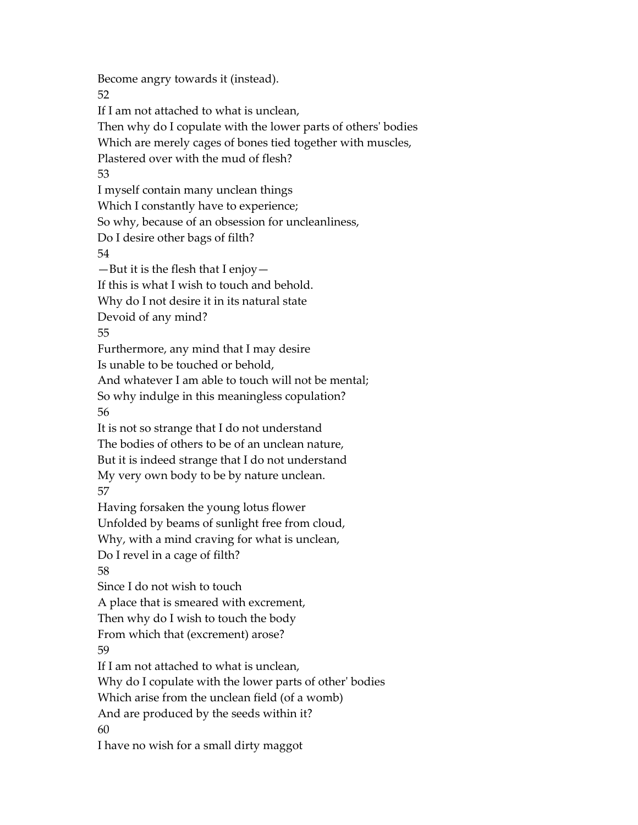Become angry towards it (instead). 52 If I am not attached to what is unclean, Then why do I copulate with the lower parts of others' bodies Which are merely cages of bones tied together with muscles, Plastered over with the mud of flesh? 53 I myself contain many unclean things Which I constantly have to experience; So why, because of an obsession for uncleanliness, Do I desire other bags of filth? 54  $-$ But it is the flesh that I enjoy  $-$ If this is what I wish to touch and behold. Why do I not desire it in its natural state Devoid of any mind? 55 Furthermore, any mind that I may desire Is unable to be touched or behold, And whatever I am able to touch will not be mental; So why indulge in this meaningless copulation? 56 It is not so strange that I do not understand The bodies of others to be of an unclean nature, But it is indeed strange that I do not understand My very own body to be by nature unclean. 57 Having forsaken the young lotus flower Unfolded by beams of sunlight free from cloud, Why, with a mind craving for what is unclean, Do I revel in a cage of filth? 58 Since I do not wish to touch A place that is smeared with excrement, Then why do I wish to touch the body From which that (excrement) arose? 59 If I am not attached to what is unclean, Why do I copulate with the lower parts of other' bodies Which arise from the unclean field (of a womb) And are produced by the seeds within it? 60

I have no wish for a small dirty maggot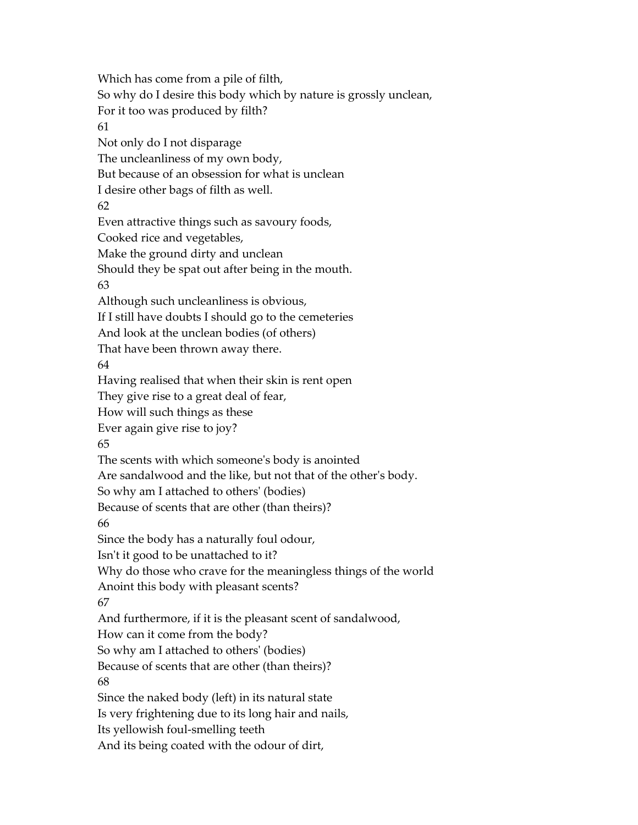Which has come from a pile of filth, So why do I desire this body which by nature is grossly unclean, For it too was produced by filth? 61 Not only do I not disparage The uncleanliness of my own body, But because of an obsession for what is unclean I desire other bags of filth as well. 62 Even attractive things such as savoury foods, Cooked rice and vegetables, Make the ground dirty and unclean Should they be spat out after being in the mouth. 63 Although such uncleanliness is obvious, If I still have doubts I should go to the cemeteries And look at the unclean bodies (of others) That have been thrown away there. 64 Having realised that when their skin is rent open They give rise to a great deal of fear, How will such things as these Ever again give rise to joy? 65 The scents with which someoneʹs body is anointed Are sandalwood and the like, but not that of the other's body. So why am I attached to othersʹ (bodies) Because of scents that are other (than theirs)? 66 Since the body has a naturally foul odour, Isn't it good to be unattached to it? Why do those who crave for the meaningless things of the world Anoint this body with pleasant scents? 67 And furthermore, if it is the pleasant scent of sandalwood, How can it come from the body? So why am I attached to othersʹ (bodies) Because of scents that are other (than theirs)? 68 Since the naked body (left) in its natural state Is very frightening due to its long hair and nails, Its yellowish foul‐smelling teeth And its being coated with the odour of dirt,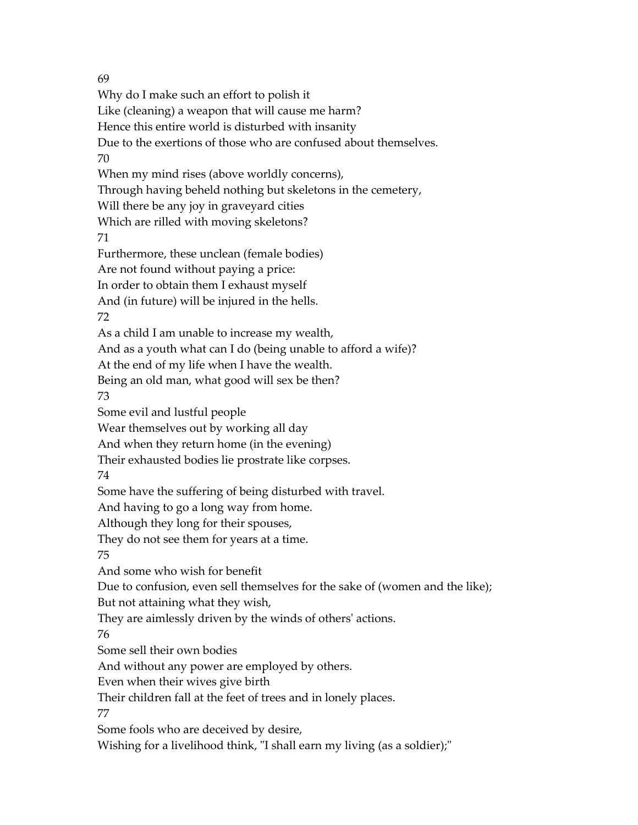69

Why do I make such an effort to polish it

Like (cleaning) a weapon that will cause me harm?

Hence this entire world is disturbed with insanity

Due to the exertions of those who are confused about themselves.

70

When my mind rises (above worldly concerns),

Through having beheld nothing but skeletons in the cemetery,

Will there be any joy in graveyard cities

Which are rilled with moving skeletons?

71

Furthermore, these unclean (female bodies)

Are not found without paying a price:

In order to obtain them I exhaust myself

And (in future) will be injured in the hells.

72

As a child I am unable to increase my wealth,

And as a youth what can I do (being unable to afford a wife)?

At the end of my life when I have the wealth.

Being an old man, what good will sex be then?

73

Some evil and lustful people

Wear themselves out by working all day

And when they return home (in the evening)

Their exhausted bodies lie prostrate like corpses.

74

Some have the suffering of being disturbed with travel.

And having to go a long way from home.

Although they long for their spouses,

They do not see them for years at a time.

75

And some who wish for benefit

Due to confusion, even sell themselves for the sake of (women and the like);

But not attaining what they wish,

They are aimlessly driven by the winds of others' actions.

76

Some sell their own bodies

And without any power are employed by others.

Even when their wives give birth

Their children fall at the feet of trees and in lonely places.

77

Some fools who are deceived by desire,

Wishing for a livelihood think, "I shall earn my living (as a soldier);"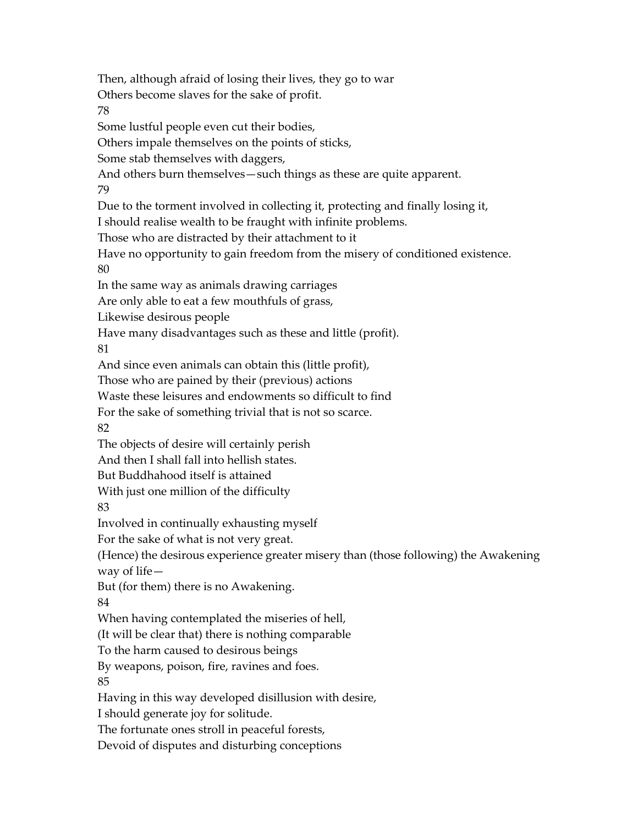Then, although afraid of losing their lives, they go to war

Others become slaves for the sake of profit.

78

Some lustful people even cut their bodies,

Others impale themselves on the points of sticks,

Some stab themselves with daggers,

And others burn themselves—such things as these are quite apparent.

79

Due to the torment involved in collecting it, protecting and finally losing it,

I should realise wealth to be fraught with infinite problems.

Those who are distracted by their attachment to it

Have no opportunity to gain freedom from the misery of conditioned existence. 80

In the same way as animals drawing carriages

Are only able to eat a few mouthfuls of grass,

Likewise desirous people

Have many disadvantages such as these and little (profit).

81

And since even animals can obtain this (little profit),

Those who are pained by their (previous) actions

Waste these leisures and endowments so difficult to find

For the sake of something trivial that is not so scarce.

82

The objects of desire will certainly perish

And then I shall fall into hellish states.

But Buddhahood itself is attained

With just one million of the difficulty

83

Involved in continually exhausting myself

For the sake of what is not very great.

(Hence) the desirous experience greater misery than (those following) the Awakening way of life—

But (for them) there is no Awakening.

84

When having contemplated the miseries of hell,

(It will be clear that) there is nothing comparable

To the harm caused to desirous beings

By weapons, poison, fire, ravines and foes.

85

Having in this way developed disillusion with desire,

I should generate joy for solitude.

The fortunate ones stroll in peaceful forests,

Devoid of disputes and disturbing conceptions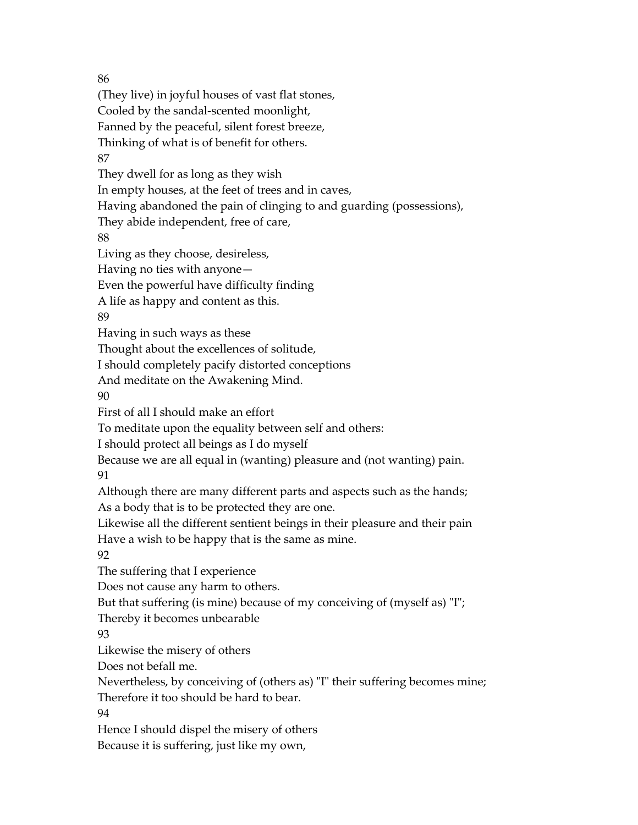86

(They live) in joyful houses of vast flat stones,

Cooled by the sandal‐scented moonlight,

Fanned by the peaceful, silent forest breeze,

Thinking of what is of benefit for others.

87

They dwell for as long as they wish

In empty houses, at the feet of trees and in caves,

Having abandoned the pain of clinging to and guarding (possessions),

They abide independent, free of care,

88

Living as they choose, desireless,

Having no ties with anyone—

Even the powerful have difficulty finding

A life as happy and content as this.

89

Having in such ways as these

Thought about the excellences of solitude,

I should completely pacify distorted conceptions

And meditate on the Awakening Mind.

90

First of all I should make an effort

To meditate upon the equality between self and others:

I should protect all beings as I do myself

Because we are all equal in (wanting) pleasure and (not wanting) pain. 91

Although there are many different parts and aspects such as the hands; As a body that is to be protected they are one.

Likewise all the different sentient beings in their pleasure and their pain Have a wish to be happy that is the same as mine.

92

The suffering that I experience

Does not cause any harm to others.

But that suffering (is mine) because of my conceiving of (myself as) "I";

Thereby it becomes unbearable

93

Likewise the misery of others

Does not befall me.

Nevertheless, by conceiving of (others as) "I" their suffering becomes mine;

Therefore it too should be hard to bear.

94

Hence I should dispel the misery of others Because it is suffering, just like my own,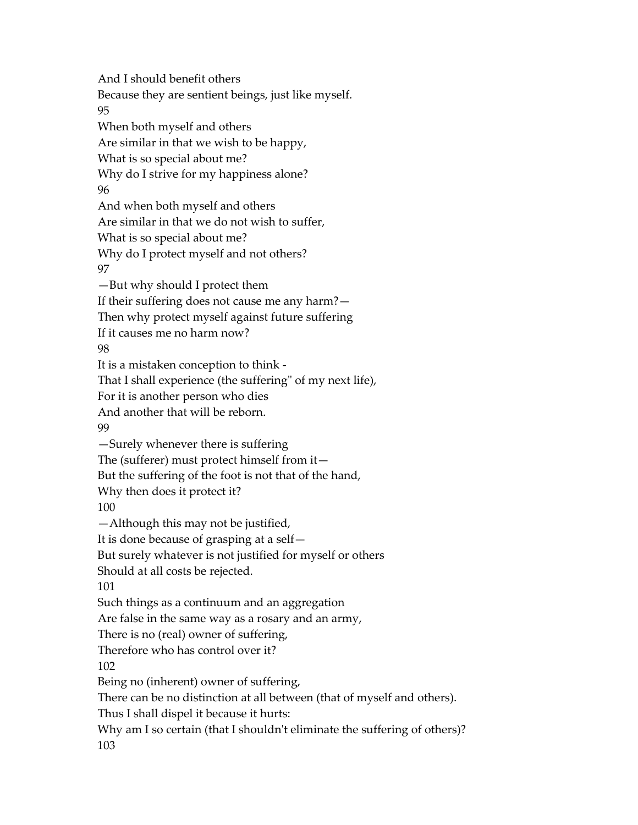And I should benefit others Because they are sentient beings, just like myself. 95 When both myself and others Are similar in that we wish to be happy, What is so special about me? Why do I strive for my happiness alone? 96 And when both myself and others Are similar in that we do not wish to suffer, What is so special about me? Why do I protect myself and not others? 97 —But why should I protect them If their suffering does not cause me any harm?— Then why protect myself against future suffering If it causes me no harm now? 98 It is a mistaken conception to think ‐ That I shall experience (the suffering" of my next life), For it is another person who dies And another that will be reborn. 99 —Surely whenever there is suffering The (sufferer) must protect himself from it— But the suffering of the foot is not that of the hand, Why then does it protect it? 100 —Although this may not be justified, It is done because of grasping at a self— But surely whatever is not justified for myself or others Should at all costs be rejected. 101 Such things as a continuum and an aggregation Are false in the same way as a rosary and an army, There is no (real) owner of suffering, Therefore who has control over it? 102 Being no (inherent) owner of suffering, There can be no distinction at all between (that of myself and others). Thus I shall dispel it because it hurts: Why am I so certain (that I shouldn't eliminate the suffering of others)? 103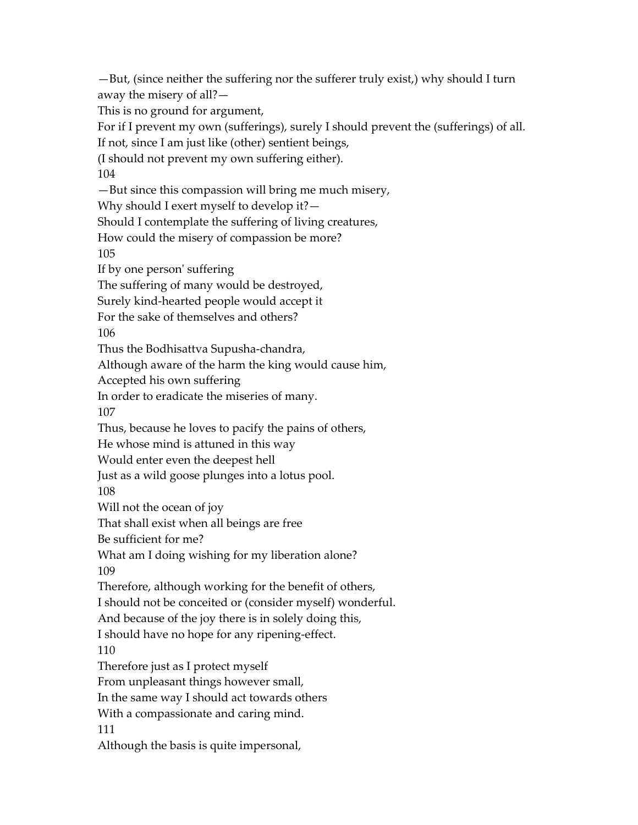—But, (since neither the suffering nor the sufferer truly exist,) why should I turn away the misery of all?—

This is no ground for argument,

For if I prevent my own (sufferings), surely I should prevent the (sufferings) of all.

If not, since I am just like (other) sentient beings,

(I should not prevent my own suffering either).

104

—But since this compassion will bring me much misery,

Why should I exert myself to develop it?—

Should I contemplate the suffering of living creatures,

How could the misery of compassion be more?

105

If by one person' suffering

The suffering of many would be destroyed,

Surely kind‐hearted people would accept it

For the sake of themselves and others?

106

Thus the Bodhisattva Supusha‐chandra,

Although aware of the harm the king would cause him,

Accepted his own suffering

In order to eradicate the miseries of many.

107

Thus, because he loves to pacify the pains of others,

He whose mind is attuned in this way

Would enter even the deepest hell

Just as a wild goose plunges into a lotus pool.

108

Will not the ocean of joy

That shall exist when all beings are free

Be sufficient for me?

What am I doing wishing for my liberation alone? 109

Therefore, although working for the benefit of others,

I should not be conceited or (consider myself) wonderful.

And because of the joy there is in solely doing this,

I should have no hope for any ripening‐effect.

110

Therefore just as I protect myself

From unpleasant things however small,

In the same way I should act towards others

With a compassionate and caring mind.

111

Although the basis is quite impersonal,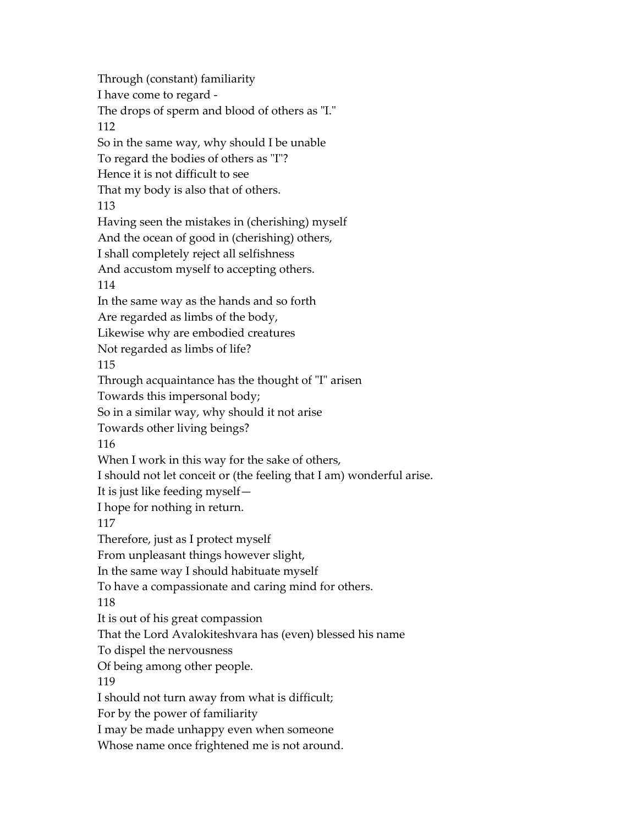Through (constant) familiarity I have come to regard ‐ The drops of sperm and blood of others as "I." 112 So in the same way, why should I be unable To regard the bodies of others as "I"? Hence it is not difficult to see That my body is also that of others. 113 Having seen the mistakes in (cherishing) myself And the ocean of good in (cherishing) others, I shall completely reject all selfishness And accustom myself to accepting others. 114 In the same way as the hands and so forth Are regarded as limbs of the body, Likewise why are embodied creatures Not regarded as limbs of life? 115 Through acquaintance has the thought of "I" arisen Towards this impersonal body; So in a similar way, why should it not arise Towards other living beings? 116 When I work in this way for the sake of others, I should not let conceit or (the feeling that I am) wonderful arise. It is just like feeding myself— I hope for nothing in return. 117 Therefore, just as I protect myself From unpleasant things however slight, In the same way I should habituate myself To have a compassionate and caring mind for others. 118 It is out of his great compassion That the Lord Avalokiteshvara has (even) blessed his name To dispel the nervousness Of being among other people. 119 I should not turn away from what is difficult; For by the power of familiarity I may be made unhappy even when someone Whose name once frightened me is not around.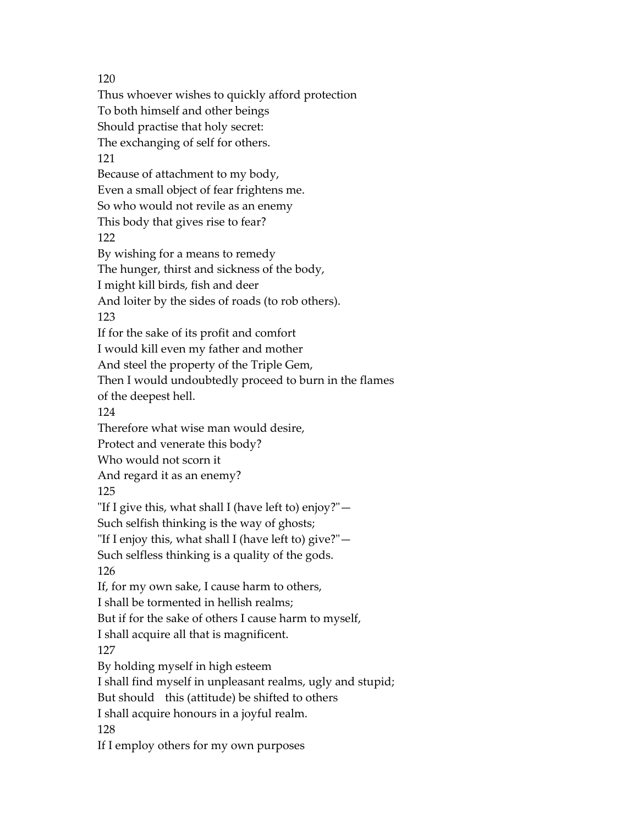120

Thus whoever wishes to quickly afford protection To both himself and other beings Should practise that holy secret: The exchanging of self for others. 121 Because of attachment to my body, Even a small object of fear frightens me. So who would not revile as an enemy This body that gives rise to fear? 122 By wishing for a means to remedy The hunger, thirst and sickness of the body, I might kill birds, fish and deer And loiter by the sides of roads (to rob others). 123 If for the sake of its profit and comfort I would kill even my father and mother And steel the property of the Triple Gem, Then I would undoubtedly proceed to burn in the flames of the deepest hell. 124 Therefore what wise man would desire, Protect and venerate this body? Who would not scorn it And regard it as an enemy? 125 "If I give this, what shall I (have left to) enjoy?" $-$ Such selfish thinking is the way of ghosts; "If I enjoy this, what shall I (have left to) give?" $-$ Such selfless thinking is a quality of the gods. 126 If, for my own sake, I cause harm to others, I shall be tormented in hellish realms; But if for the sake of others I cause harm to myself, I shall acquire all that is magnificent. 127 By holding myself in high esteem I shall find myself in unpleasant realms, ugly and stupid; But should this (attitude) be shifted to others I shall acquire honours in a joyful realm. 128 If I employ others for my own purposes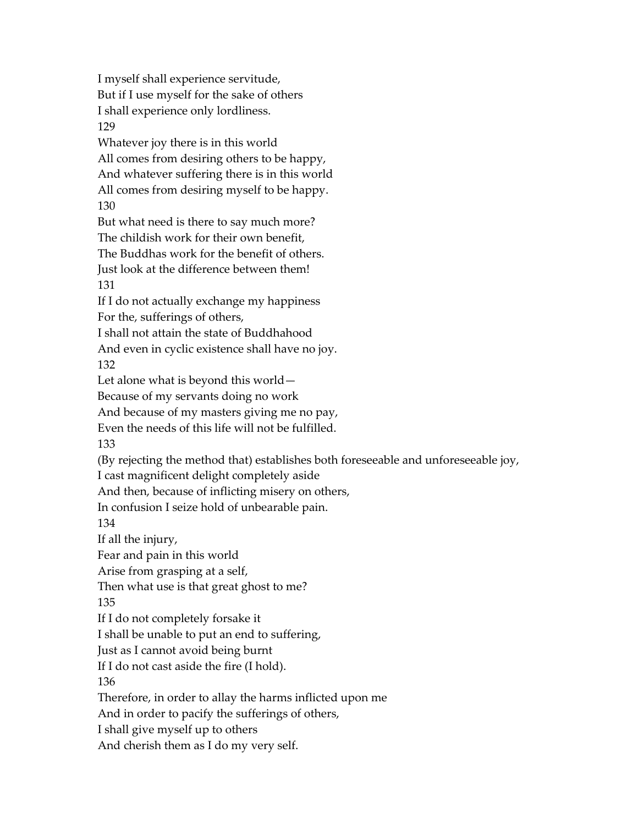I myself shall experience servitude, But if I use myself for the sake of others I shall experience only lordliness. 129

Whatever joy there is in this world All comes from desiring others to be happy, And whatever suffering there is in this world All comes from desiring myself to be happy. 130

But what need is there to say much more? The childish work for their own benefit,

The Buddhas work for the benefit of others.

Just look at the difference between them!

131

If I do not actually exchange my happiness For the, sufferings of others,

I shall not attain the state of Buddhahood

And even in cyclic existence shall have no joy. 132

Let alone what is beyond this world—

Because of my servants doing no work

And because of my masters giving me no pay,

Even the needs of this life will not be fulfilled.

133

(By rejecting the method that) establishes both foreseeable and unforeseeable joy,

I cast magnificent delight completely aside

And then, because of inflicting misery on others,

In confusion I seize hold of unbearable pain.

134

If all the injury,

Fear and pain in this world

Arise from grasping at a self,

Then what use is that great ghost to me?

135

If I do not completely forsake it

I shall be unable to put an end to suffering,

Just as I cannot avoid being burnt

If I do not cast aside the fire (I hold).

136

Therefore, in order to allay the harms inflicted upon me

And in order to pacify the sufferings of others,

I shall give myself up to others

And cherish them as I do my very self.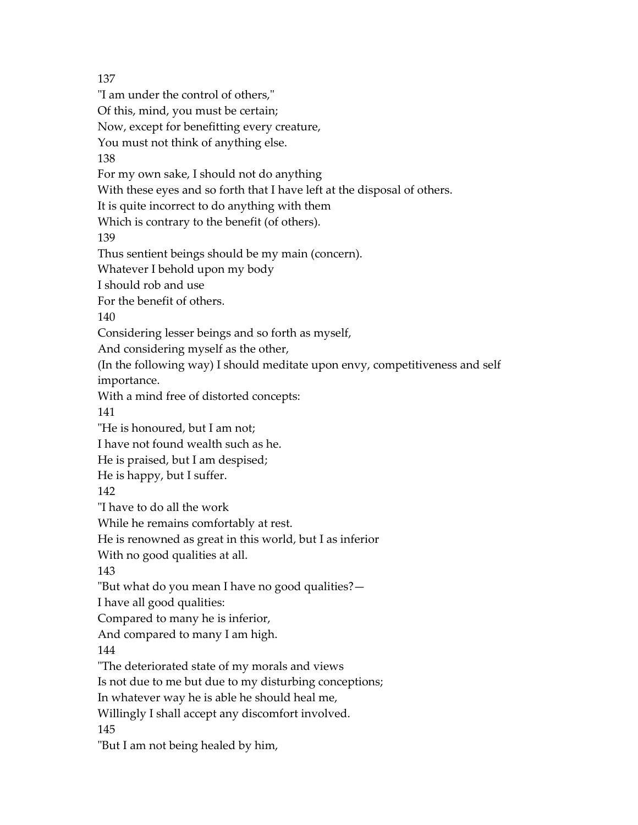137 "I am under the control of others," Of this, mind, you must be certain; Now, except for benefitting every creature, You must not think of anything else. 138 For my own sake, I should not do anything With these eyes and so forth that I have left at the disposal of others. It is quite incorrect to do anything with them Which is contrary to the benefit (of others). 139 Thus sentient beings should be my main (concern). Whatever I behold upon my body I should rob and use For the benefit of others. 140 Considering lesser beings and so forth as myself, And considering myself as the other, (In the following way) I should meditate upon envy, competitiveness and self importance. With a mind free of distorted concepts: 141 "He is honoured, but I am not; I have not found wealth such as he. He is praised, but I am despised; He is happy, but I suffer. 142 "I have to do all the work While he remains comfortably at rest. He is renowned as great in this world, but I as inferior With no good qualities at all. 143 "But what do you mean I have no good qualities? $-$ I have all good qualities: Compared to many he is inferior, And compared to many I am high. 144 ʺThe deteriorated state of my morals and views Is not due to me but due to my disturbing conceptions; In whatever way he is able he should heal me, Willingly I shall accept any discomfort involved. 145 "But I am not being healed by him,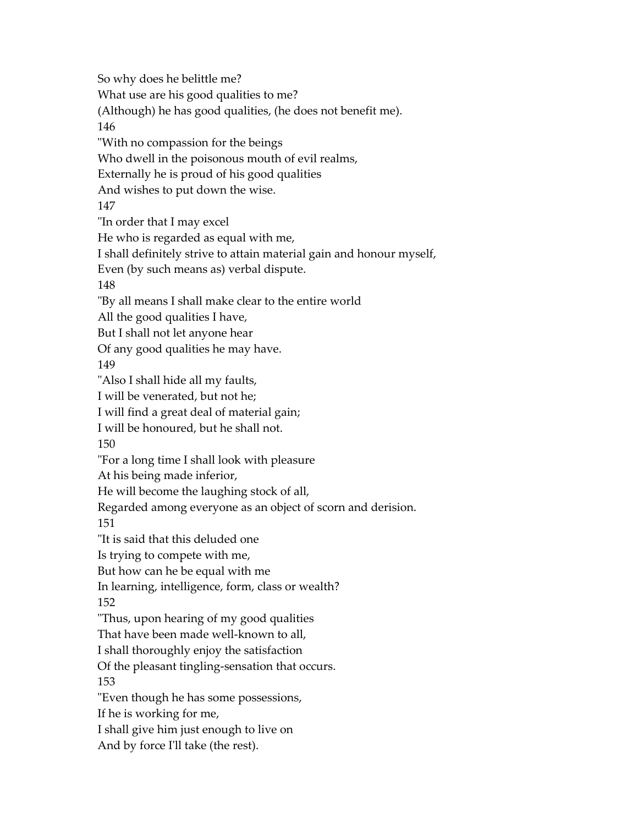So why does he belittle me? What use are his good qualities to me? (Although) he has good qualities, (he does not benefit me). 146 ʺWith no compassion for the beings Who dwell in the poisonous mouth of evil realms, Externally he is proud of his good qualities And wishes to put down the wise. 147 "In order that I may excel He who is regarded as equal with me, I shall definitely strive to attain material gain and honour myself, Even (by such means as) verbal dispute. 148 ʺBy all means I shall make clear to the entire world All the good qualities I have, But I shall not let anyone hear Of any good qualities he may have. 149 "Also I shall hide all my faults, I will be venerated, but not he; I will find a great deal of material gain; I will be honoured, but he shall not. 150 ʺFor a long time I shall look with pleasure At his being made inferior, He will become the laughing stock of all, Regarded among everyone as an object of scorn and derision. 151 "It is said that this deluded one Is trying to compete with me, But how can he be equal with me In learning, intelligence, form, class or wealth? 152 ʺThus, upon hearing of my good qualities That have been made well‐known to all, I shall thoroughly enjoy the satisfaction Of the pleasant tingling‐sensation that occurs. 153 ʺEven though he has some possessions, If he is working for me, I shall give him just enough to live on And by force I'll take (the rest).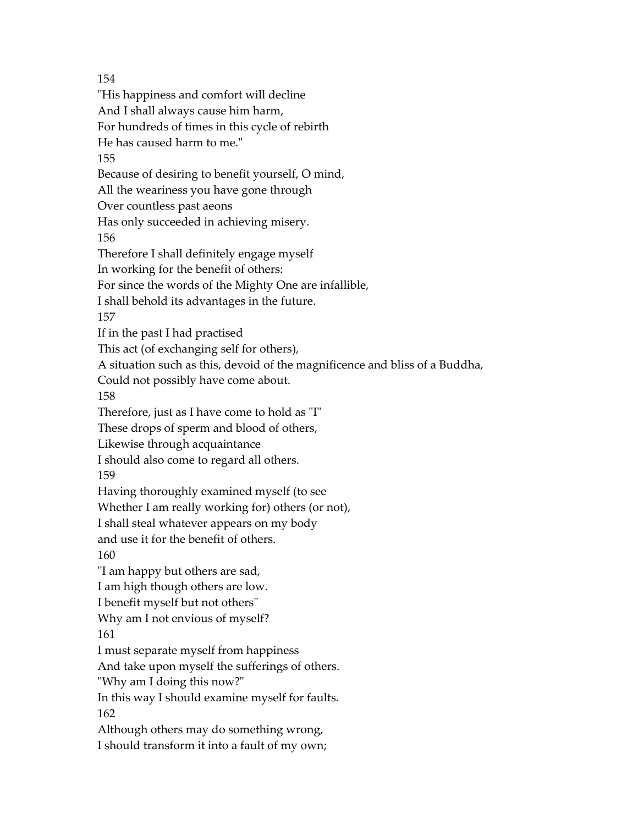154

"His happiness and comfort will decline

And I shall always cause him harm,

For hundreds of times in this cycle of rebirth

He has caused harm to me."

155

Because of desiring to benefit yourself, O mind,

All the weariness you have gone through

Over countless past aeons

Has only succeeded in achieving misery.

156

Therefore I shall definitely engage myself

In working for the benefit of others:

For since the words of the Mighty One are infallible,

I shall behold its advantages in the future.

157

If in the past I had practised

This act (of exchanging self for others),

A situation such as this, devoid of the magnificence and bliss of a Buddha,

Could not possibly have come about.

158

Therefore, just as I have come to hold as "I"

These drops of sperm and blood of others,

Likewise through acquaintance

I should also come to regard all others.

159

Having thoroughly examined myself (to see

Whether I am really working for) others (or not),

I shall steal whatever appears on my body

and use it for the benefit of others.

160

ʺI am happy but others are sad,

I am high though others are low.

I benefit myself but not others"

Why am I not envious of myself?

161

I must separate myself from happiness

And take upon myself the sufferings of others.

"Why am I doing this now?"

In this way I should examine myself for faults. 162

Although others may do something wrong, I should transform it into a fault of my own;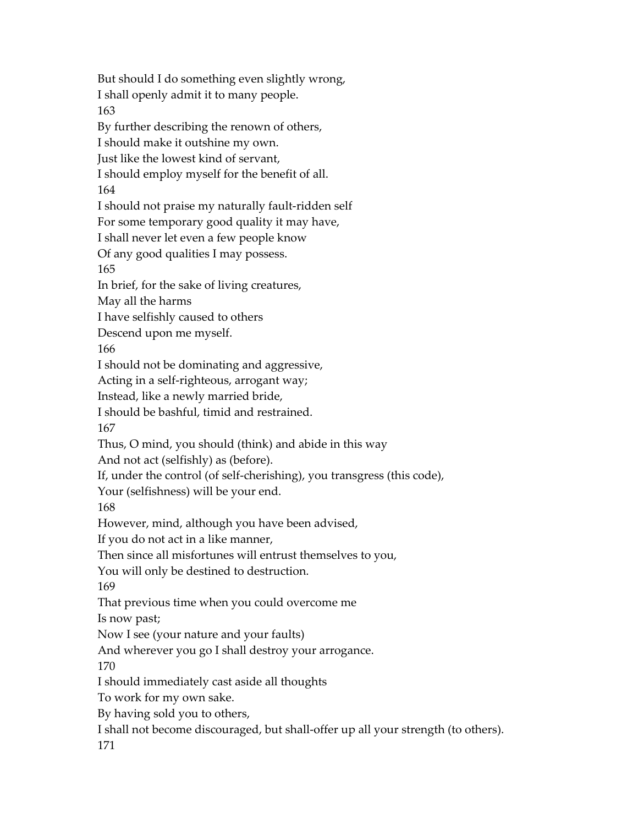But should I do something even slightly wrong, I shall openly admit it to many people. 163 By further describing the renown of others, I should make it outshine my own. Just like the lowest kind of servant, I should employ myself for the benefit of all. 164 I should not praise my naturally fault‐ridden self For some temporary good quality it may have, I shall never let even a few people know Of any good qualities I may possess. 165 In brief, for the sake of living creatures, May all the harms I have selfishly caused to others Descend upon me myself. 166 I should not be dominating and aggressive,

Acting in a self-righteous, arrogant way;

Instead, like a newly married bride,

I should be bashful, timid and restrained.

167

Thus, O mind, you should (think) and abide in this way

And not act (selfishly) as (before).

If, under the control (of self‐cherishing), you transgress (this code),

Your (selfishness) will be your end.

168

However, mind, although you have been advised,

If you do not act in a like manner,

Then since all misfortunes will entrust themselves to you,

You will only be destined to destruction.

169

That previous time when you could overcome me

Is now past;

Now I see (your nature and your faults)

And wherever you go I shall destroy your arrogance.

170

I should immediately cast aside all thoughts

To work for my own sake.

By having sold you to others,

I shall not become discouraged, but shall‐offer up all your strength (to others).

171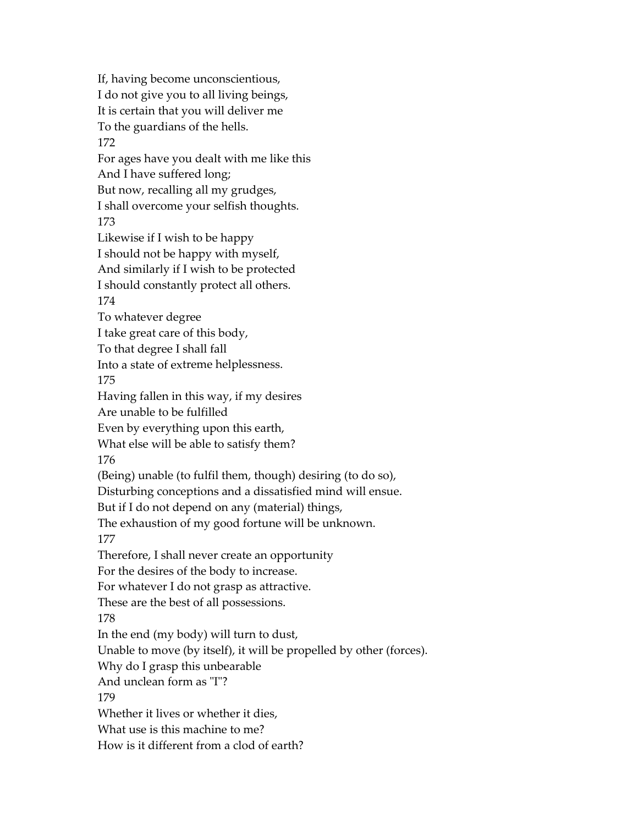If, having become unconscientious, I do not give you to all living beings, It is certain that you will deliver me To the guardians of the hells. 172 For ages have you dealt with me like this And I have suffered long; But now, recalling all my grudges, I shall overcome your selfish thoughts. 173 Likewise if I wish to be happy I should not be happy with myself, And similarly if I wish to be protected I should constantly protect all others. 174 To whatever degree I take great care of this body, To that degree I shall fall Into a state of extreme helplessness. 175 Having fallen in this way, if my desires Are unable to be fulfilled Even by everything upon this earth, What else will be able to satisfy them? 176 (Being) unable (to fulfil them, though) desiring (to do so), Disturbing conceptions and a dissatisfied mind will ensue. But if I do not depend on any (material) things, The exhaustion of my good fortune will be unknown. 177 Therefore, I shall never create an opportunity For the desires of the body to increase. For whatever I do not grasp as attractive. These are the best of all possessions. 178 In the end (my body) will turn to dust, Unable to move (by itself), it will be propelled by other (forces). Why do I grasp this unbearable And unclean form as "I"? 179 Whether it lives or whether it dies, What use is this machine to me? How is it different from a clod of earth?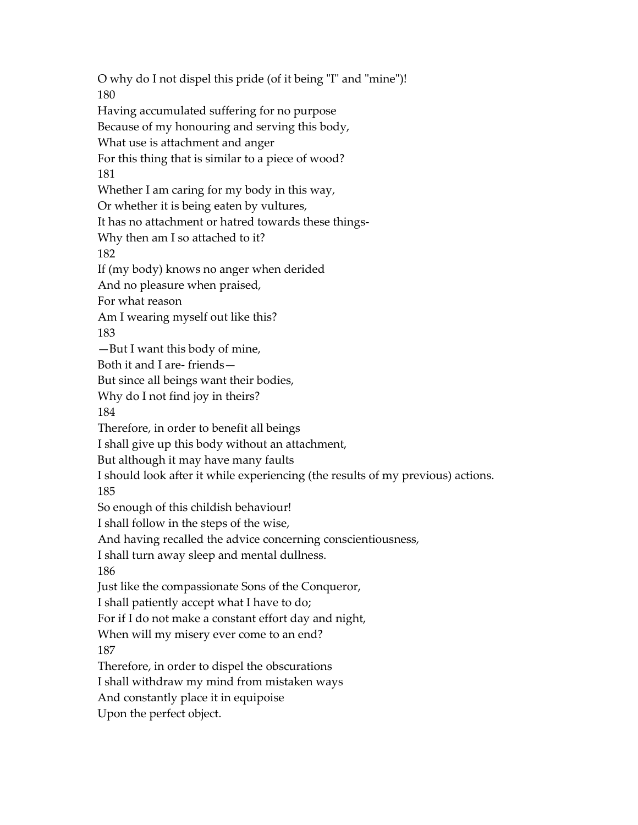O why do I not dispel this pride (of it being "I" and "mine")! 180 Having accumulated suffering for no purpose Because of my honouring and serving this body, What use is attachment and anger For this thing that is similar to a piece of wood? 181 Whether I am caring for my body in this way, Or whether it is being eaten by vultures, It has no attachment or hatred towards these things‐ Why then am I so attached to it? 182 If (my body) knows no anger when derided And no pleasure when praised, For what reason Am I wearing myself out like this? 183 —But I want this body of mine, Both it and I are‐ friends— But since all beings want their bodies, Why do I not find joy in theirs? 184 Therefore, in order to benefit all beings I shall give up this body without an attachment, But although it may have many faults I should look after it while experiencing (the results of my previous) actions. 185 So enough of this childish behaviour! I shall follow in the steps of the wise, And having recalled the advice concerning conscientiousness, I shall turn away sleep and mental dullness. 186 Just like the compassionate Sons of the Conqueror, I shall patiently accept what I have to do; For if I do not make a constant effort day and night, When will my misery ever come to an end? 187 Therefore, in order to dispel the obscurations I shall withdraw my mind from mistaken ways And constantly place it in equipoise Upon the perfect object.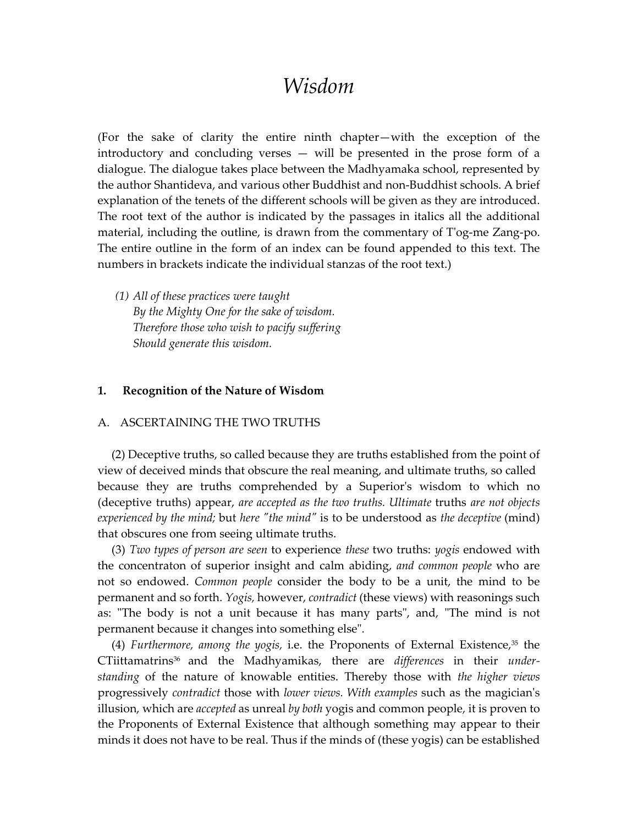# *Wisdom*

(For the sake of clarity the entire ninth chapter—with the exception of the introductory and concluding verses — will be presented in the prose form of a dialogue. The dialogue takes place between the Madhyamaka school, represented by the author Shantideva, and various other Buddhist and non‐Buddhist schools. A brief explanation of the tenets of the different schools will be given as they are introduced. The root text of the author is indicated by the passages in italics all the additional material, including the outline, is drawn from the commentary of Tʹog‐me Zang‐po. The entire outline in the form of an index can be found appended to this text. The numbers in brackets indicate the individual stanzas of the root text.)

*(1) All of these practices were taught By the Mighty One for the sake of wisdom. Therefore those who wish to pacify suffering Should generate this wisdom.*

#### **1. Recognition of the Nature of Wisdom**

#### A. ASCERTAINING THE TWO TRUTHS

(2) Deceptive truths, so called because they are truths established from the point of view of deceived minds that obscure the real meaning, and ultimate truths, so called because they are truths comprehended by a Superior's wisdom to which no (deceptive truths) appear, *are accepted as the two truths. Ultimate* truths *are not objects experienced* by *the mind;* but *here* "*the mind*" is to be understood as *the deceptive* (mind) that obscures one from seeing ultimate truths.

(3) *Two types of person are seen* to experience *these* two truths: *yogis* endowed with the concentraton of superior insight and calm abiding, *and common people* who are not so endowed. *Common people* consider the body to be a unit, the mind to be permanent and so forth. *Yogis,* however, *contradict* (these views) with reasonings such as: "The body is not a unit because it has many parts", and, "The mind is not permanent because it changes into something else".

(4) *Furthermore, among the yogis,* i.e. the Proponents of External Existence,35 the CTiittamatrins<sup>36</sup> and the Madhyamikas, there are *differences* in their *understanding* of the nature of knowable entities. Thereby those with *the higher views* progressively *contradict* those with *lower views. With examples* such as the magicianʹs illusion, which are *accepted* as unreal *by both* yogis and common people, it is proven to the Proponents of External Existence that although something may appear to their minds it does not have to be real. Thus if the minds of (these yogis) can be established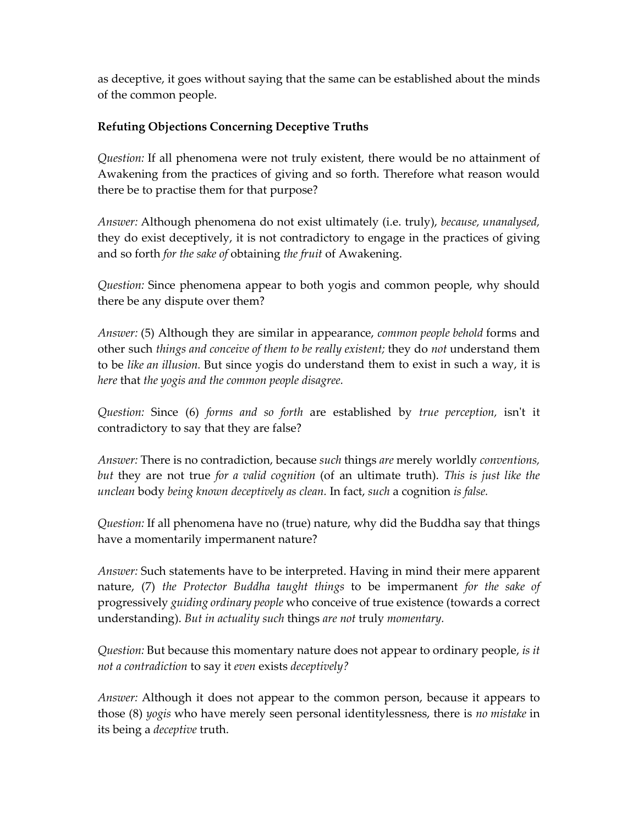as deceptive, it goes without saying that the same can be established about the minds of the common people.

## **Refuting Objections Concerning Deceptive Truths**

*Question:* If all phenomena were not truly existent, there would be no attainment of Awakening from the practices of giving and so forth. Therefore what reason would there be to practise them for that purpose?

*Answer:* Although phenomena do not exist ultimately (i.e. truly), *because, unanalysed,* they do exist deceptively, it is not contradictory to engage in the practices of giving and so forth *for the sake of* obtaining *the fruit* of Awakening.

*Question:* Since phenomena appear to both yogis and common people, why should there be any dispute over them?

*Answer:* (5) Although they are similar in appearance, *common people behold* forms and other such *things and conceive of them to be really existent;* they do *not* understand them to be *like an illusion.* But since yogis do understand them to exist in such a way, it is *here* that *the yogis and the common people disagree.*

*Question:* Since (6) *forms and so forth* are established by *true perception,* isnʹt it contradictory to say that they are false?

*Answer:* There is no contradiction, because *such* things *are* merely worldly *conventions, but* they are not true *for a valid cognition* (of an ultimate truth). *This is just like the unclean* body *being known deceptively as clean.* In fact, *such* a cognition *is false.*

*Question:* If all phenomena have no (true) nature, why did the Buddha say that things have a momentarily impermanent nature?

*Answer:* Such statements have to be interpreted. Having in mind their mere apparent nature, (7) *the Protector Buddha taught things* to be impermanent *for the sake of* progressively *guiding ordinary people* who conceive of true existence (towards a correct understanding). *But in actuality such* things *are not* truly *momentary.*

*Question:* But because this momentary nature does not appear to ordinary people, *is it not a contradiction* to say it *even* exists *deceptively?*

*Answer:* Although it does not appear to the common person, because it appears to those (8) *yogis* who have merely seen personal identitylessness, there is *no mistake* in its being a *deceptive* truth.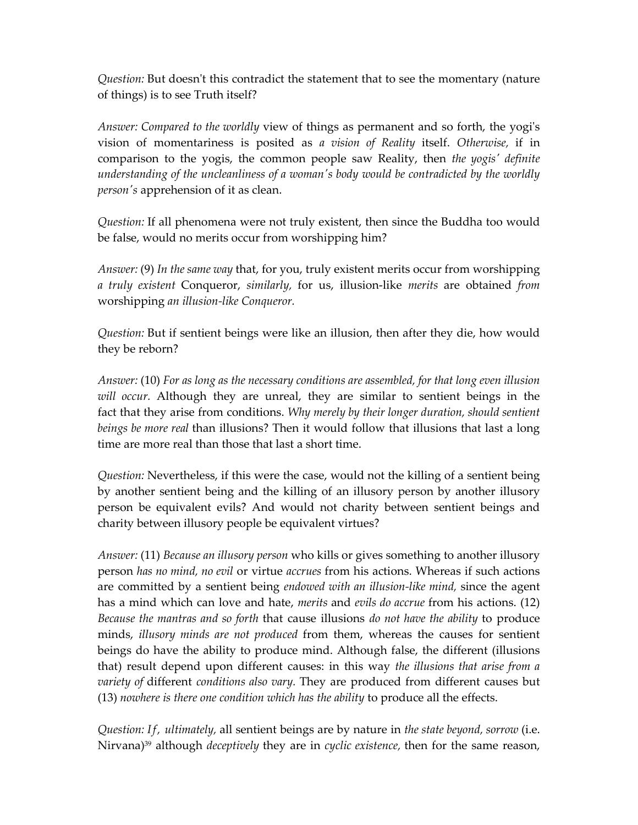*Question:* But doesnʹt this contradict the statement that to see the momentary (nature of things) is to see Truth itself?

*Answer: Compared to the worldly* view of things as permanent and so forth, the yogiʹs vision of momentariness is posited as *a vision of Reality* itself. *Otherwise,* if in comparison to the yogis, the common people saw Reality, then *the yogisʹ definite understanding of the uncleanliness of a womanʹs body would be contradicted by the worldly personʹs* apprehension of it as clean.

*Question:* If all phenomena were not truly existent, then since the Buddha too would be false, would no merits occur from worshipping him?

*Answer:* (9) *In the same way* that, for you, truly existent merits occur from worshipping *a truly existent* Conqueror, *similarly,* for us, illusion‐like *merits* are obtained *from* worshipping *an illusion‐like Conqueror.*

*Question:* But if sentient beings were like an illusion, then after they die, how would they be reborn?

*Answer:* (10) *For as long as the necessary conditions are assembled, for that long even illusion will occur.* Although they are unreal, they are similar to sentient beings in the fact that they arise from conditions. *Why merely by their longer duration, should sentient beings be more real* than illusions? Then it would follow that illusions that last a long time are more real than those that last a short time.

*Question:* Nevertheless, if this were the case, would not the killing of a sentient being by another sentient being and the killing of an illusory person by another illusory person be equivalent evils? And would not charity between sentient beings and charity between illusory people be equivalent virtues?

*Answer:* (11) *Because an illusory person* who kills or gives something to another illusory person *has no mind, no evil* or virtue *accrues* from his actions. Whereas if such actions are committed by a sentient being *endowed with an illusion‐like mind,* since the agent has a mind which can love and hate, *merits* and *evils do accrue* from his actions. (12) *Because the mantras and so forth* that cause illusions *do not have the ability* to produce minds, *illusory minds are not produced* from them, whereas the causes for sentient beings do have the ability to produce mind. Although false, the different (illusions that) result depend upon different causes: in this way *the illusions that arise from a variety of* different *conditions also vary.* They are produced from different causes but (13) *nowhere is there one condition which has the ability* to produce all the effects.

*Question: If, ultimately,* all sentient beings are by nature in *the state beyond, sorrow* (i.e. Nirvana)39 although *deceptively* they are in *cyclic existence,* then for the same reason,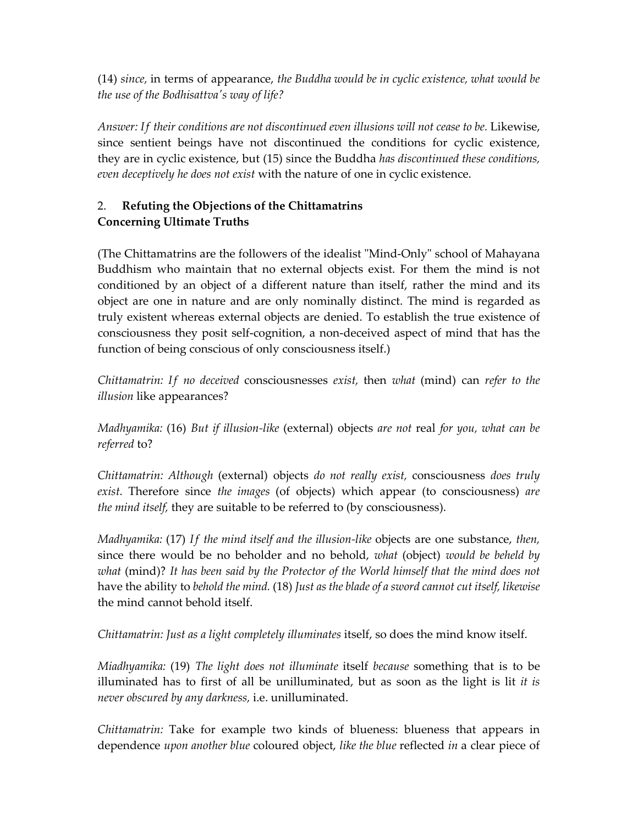(14) *since,* in terms of appearance, *the Buddha would be in cyclic existence, what would be the use of the Bodhisattvaʹs way of life?*

*Answer: If their conditions are not discontinued even illusions will not cease to be.* Likewise, since sentient beings have not discontinued the conditions for cyclic existence, they are in cyclic existence, but (15) since the Buddha *has discontinued these conditions, even deceptively he does not exist* with the nature of one in cyclic existence.

# 2. **Refuting the Objections of the Chittamatrins Concerning Ultimate Truths**

(The Chittamatrins are the followers of the idealist "Mind-Only" school of Mahayana Buddhism who maintain that no external objects exist. For them the mind is not conditioned by an object of a different nature than itself, rather the mind and its object are one in nature and are only nominally distinct. The mind is regarded as truly existent whereas external objects are denied. To establish the true existence of consciousness they posit self‐cognition, a non‐deceived aspect of mind that has the function of being conscious of only consciousness itself.)

*Chittamatrin: If no deceived* consciousnesses *exist,* then *what* (mind) can *refer to the illusion* like appearances?

*Madhyamika:* (16) *But if illusion‐like* (external) objects *are not* real *for you, what can be referred* to?

*Chittamatrin: Although* (external) objects *do not really exist,* consciousness *does truly exist.* Therefore since *the images* (of objects) which appear (to consciousness) *are the mind itself,* they are suitable to be referred to (by consciousness).

*Madhyamika:* (17) *If the mind itself and the illusion‐like* objects are one substance, *then,* since there would be no beholder and no behold, *what* (object) *would be beheld by what* (mind)? *It has been said by the Protector of the World himself that the mind does not* have the ability to *behold the mind.* (18) *Just as the blade of a sword cannot cut itself, likewise* the mind cannot behold itself.

*Chittamatrin: Just as a light completely illuminates* itself, so does the mind know itself.

*Miadhyamika:* (19) *The light does not illuminate* itself *because* something that is to be illuminated has to first of all be unilluminated, but as soon as the light is lit *it is never obscured by any darkness,* i.e. unilluminated.

*Chittamatrin:* Take for example two kinds of blueness: blueness that appears in dependence *upon another blue* coloured object, *like the blue* reflected *in* a clear piece of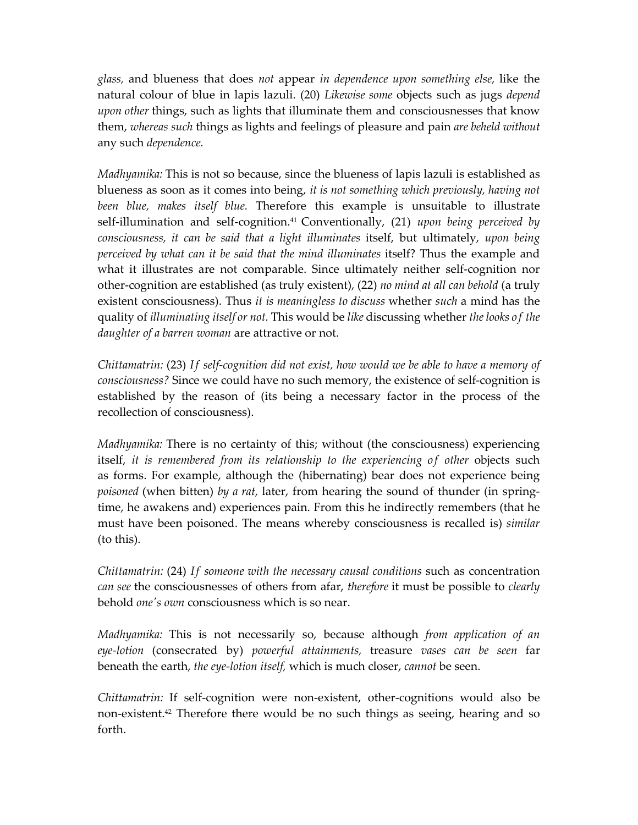*glass,* and blueness that does *not* appear *in dependence upon something else,* like the natural colour of blue in lapis lazuli. (20) *Likewise some* objects such as jugs *depend upon other* things, such as lights that illuminate them and consciousnesses that know them, *whereas such* things as lights and feelings of pleasure and pain *are beheld without* any such *dependence.*

*Madhyamika:* This is not so because, since the blueness of lapis lazuli is established as blueness as soon as it comes into being, *it is not something which previously, having not been blue, makes itself blue.* Therefore this example is unsuitable to illustrate self‐illumination and self‐cognition.41 Conventionally, (21) *upon being perceived by consciousness, it can be said that a light illuminates* itself, but ultimately, *upon being perceived by what can it be said that the mind illuminates* itself? Thus the example and what it illustrates are not comparable. Since ultimately neither self‐cognition nor other‐cognition are established (as truly existent), (22) *no mind at all can behold* (a truly existent consciousness). Thus *it is meaningless to discuss* whether *such* a mind has the quality of *illuminating itself or not.* This would be *like* discussing whether *the looks of the daughter of a barren woman* are attractive or not.

*Chittamatrin:* (23) *If self‐cognition did not exist, how would we be able to have a memory of consciousness?* Since we could have no such memory, the existence of self‐cognition is established by the reason of (its being a necessary factor in the process of the recollection of consciousness).

*Madhyamika:* There is no certainty of this; without (the consciousness) experiencing itself, *it is remembered from its relationship to the experiencing of other* objects such as forms. For example, although the (hibernating) bear does not experience being *poisoned* (when bitten) *by a rat,* later, from hearing the sound of thunder (in spring‐ time, he awakens and) experiences pain. From this he indirectly remembers (that he must have been poisoned. The means whereby consciousness is recalled is) *similar* (to this).

*Chittamatrin:* (24) *If someone with the necessary causal conditions* such as concentration *can see* the consciousnesses of others from afar, *therefore* it must be possible to *clearly* behold *oneʹs own* consciousness which is so near.

*Madhyamika:* This is not necessarily so, because although *from application of an eye‐lotion* (consecrated by) *powerful attainments,* treasure *vases can be seen* far beneath the earth, *the eye‐lotion itself,* which is much closer, *cannot* be seen.

*Chittamatrin:* If self-cognition were non-existent, other-cognitions would also be non-existent.<sup>42</sup> Therefore there would be no such things as seeing, hearing and so forth.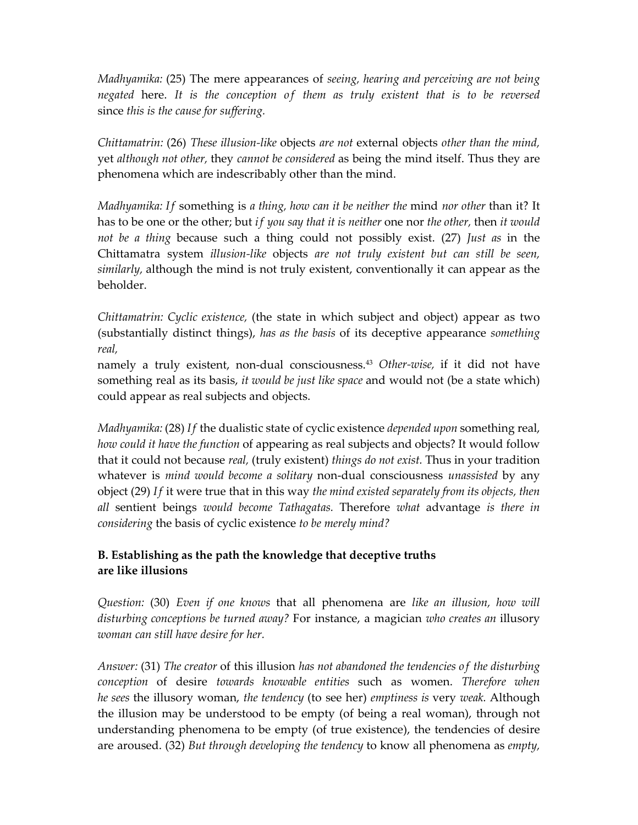*Madhyamika:* (25) The mere appearances of *seeing, hearing and perceiving are not being negated* here. *It is the conception of them as truly existent that is to be reversed* since *this is the cause for suffering.*

*Chittamatrin:* (26) *These illusion‐like* objects *are not* external objects *other than the mind,* yet *although not other,* they *cannot be considered* as being the mind itself. Thus they are phenomena which are indescribably other than the mind.

*Madhyamika: If* something is *a thing, how can it be neither the* mind *nor other* than it? It has to be one or the other; but *if you say that it is neither* one nor *the other,* then *it would not be a thing* because such a thing could not possibly exist. (27) *Just as* in the Chittamatra system *illusion‐like* objects *are not truly existent but can still be seen, similarly,* although the mind is not truly existent, conventionally it can appear as the beholder.

*Chittamatrin: Cyclic existence,* (the state in which subject and object) appear as two (substantially distinct things), *has as the basis* of its deceptive appearance *something real,*

namely a truly existent, non‐dual consciousness.43 *Other‐wise,* if it did not have something real as its basis, *it would be just like space* and would not (be a state which) could appear as real subjects and objects.

*Madhyamika:* (28) *If* the dualistic state of cyclic existence *depended upon* something real, *how could it have the function* of appearing as real subjects and objects? It would follow that it could not because *real,* (truly existent) *things do not exist.* Thus in your tradition whatever is *mind would become a solitary* non‐dual consciousness *unassisted* by any object (29) *If* it were true that in this way *the mind existed separately from its objects, then all* sentient beings *would become Tathagatas.* Therefore *what* advantage *is there in considering* the basis of cyclic existence *to be merely mind?*

# **B. Establishing as the path the knowledge that deceptive truths are like illusions**

*Question:* (30) *Even if one knows* that all phenomena are *like an illusion, how will disturbing conceptions be turned away?* For instance, a magician *who creates an* illusory *woman can still have desire for her.*

*Answer:* (31) *The creator* of this illusion *has not abandoned the tendencies of the disturbing conception* of desire *towards knowable entities* such as women. *Therefore when he sees* the illusory woman, *the tendency* (to see her) *emptiness is* very *weak.* Although the illusion may be understood to be empty (of being a real woman), through not understanding phenomena to be empty (of true existence), the tendencies of desire are aroused. (32) *But through developing the tendency* to know all phenomena as *empty,*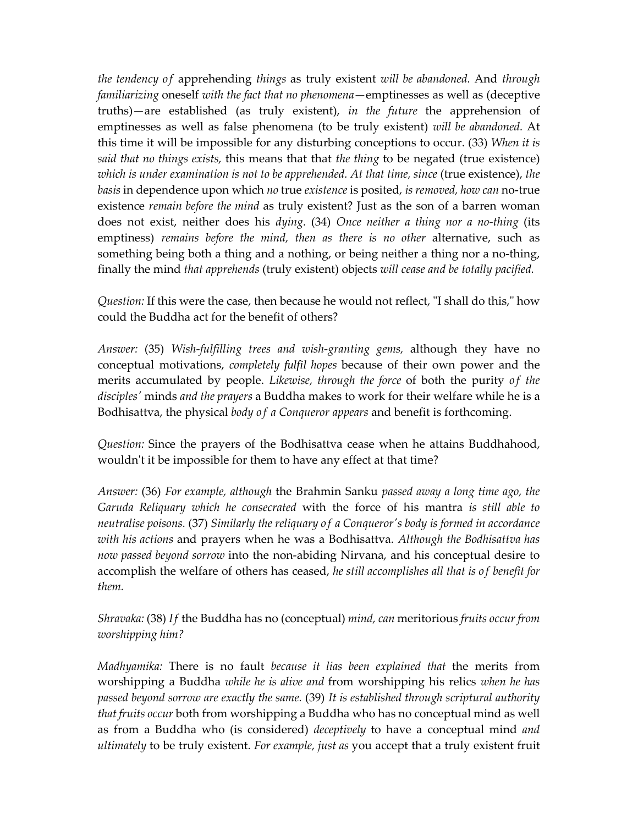*the tendency of* apprehending *things* as truly existent *will be abandoned.* And *through familiarizing* oneself *with the fact that no phenomena*—emptinesses as well as (deceptive truths)—are established (as truly existent), *in the future* the apprehension of emptinesses as well as false phenomena (to be truly existent) *will be abandoned.* At this time it will be impossible for any disturbing conceptions to occur. (33) *When it is said that no things exists,* this means that that *the thing* to be negated (true existence) *which is under examination is not to be apprehended. At that time, since* (true existence), *the basis* in dependence upon which *no* true *existence* is posited, *is removed, how can* no‐true existence *remain before the mind* as truly existent? Just as the son of a barren woman does not exist, neither does his *dying.* (34) *Once neither a thing nor a no‐thing* (its emptiness) *remains before the mind, then as there is no other* alternative, such as something being both a thing and a nothing, or being neither a thing nor a no-thing, finally the mind *that apprehends* (truly existent) objects *will cease and be totally pacified.*

*Question:* If this were the case, then because he would not reflect, "I shall do this," how could the Buddha act for the benefit of others?

*Answer:* (35) *Wish‐fulfilling trees and wish‐granting gems,* although they have no conceptual motivations, *completely fulfil hopes* because of their own power and the merits accumulated by people. *Likewise, through the force* of both the purity *of the disciplesʹ* minds *and the prayers* a Buddha makes to work for their welfare while he is a Bodhisattva, the physical *body of a Conqueror appears* and benefit is forthcoming.

*Question:* Since the prayers of the Bodhisattva cease when he attains Buddhahood, wouldn't it be impossible for them to have any effect at that time?

*Answer:* (36) *For example, although* the Brahmin Sanku *passed away a long time ago, the Garuda Reliquary which he consecrated* with the force of his mantra *is still able to neutralise poisons.* (37) *Similarly the reliquary of a Conquerorʹs body is formed in accordance with his actions* and prayers when he was a Bodhisattva. *Although the Bodhisattva has now passed beyond sorrow* into the non‐abiding Nirvana, and his conceptual desire to accomplish the welfare of others has ceased, *he still accomplishes all that is of benefit for them.* 

*Shravaka:* (38) *If* the Buddha has no (conceptual) *mind, can* meritorious *fruits occur from worshipping him?*

*Madhyamika:* There is no fault *because it lias been explained that* the merits from worshipping a Buddha *while he is alive and* from worshipping his relics *when he has passed beyond sorrow are exactly the same.* (39) *It is established through scriptural authority that fruits occur* both from worshipping a Buddha who has no conceptual mind as well as from a Buddha who (is considered) *deceptively* to have a conceptual mind *and ultimately* to be truly existent. *For example, just as* you accept that a truly existent fruit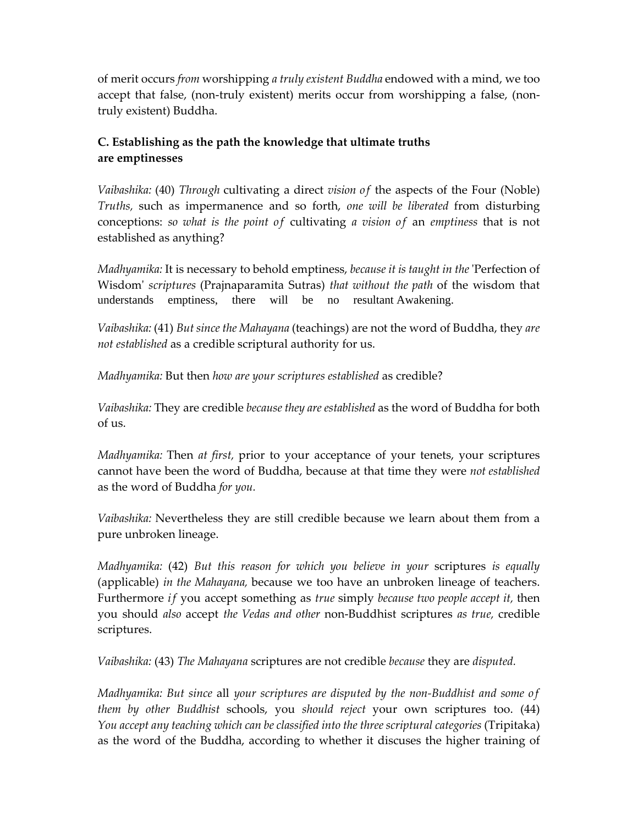of merit occurs *from* worshipping *a truly existent Buddha* endowed with a mind, we too accept that false, (non-truly existent) merits occur from worshipping a false, (nontruly existent) Buddha.

# **C. Establishing as the path the knowledge that ultimate truths are emptinesses**

*Vaibashika:* (40) *Through* cultivating a direct *vision of* the aspects of the Four (Noble) *Truths,* such as impermanence and so forth, *one will be liberated* from disturbing conceptions: *so what is the point of* cultivating *a vision of* an *emptiness* that is not established as anything?

*Madhyamika:* It is necessary to behold emptiness, *because it is taught in the* ʹPerfection of Wisdomʹ *scriptures* (Prajnaparamita Sutras) *that without the path* of the wisdom that understands emptiness, there will be no resultant Awakening.

*Vaibashika:* (41) *But since the Mahayana* (teachings) are not the word of Buddha, they *are not established* as a credible scriptural authority for us.

*Madhyamika:* But then *how are your scriptures established* as credible?

*Vaibashika:* They are credible *because they are established* as the word of Buddha for both of us.

*Madhyamika:* Then *at first,* prior to your acceptance of your tenets, your scriptures cannot have been the word of Buddha, because at that time they were *not established* as the word of Buddha *for you.*

*Vaibashika:* Nevertheless they are still credible because we learn about them from a pure unbroken lineage.

*Madhyamika:* (42) *But this reason for which you believe in your* scriptures *is equally* (applicable) *in the Mahayana,* because we too have an unbroken lineage of teachers. Furthermore *if* you accept something as *true* simply *because two people accept it,* then you should *also* accept *the Vedas and other* non‐Buddhist scriptures *as true,* credible scriptures.

*Vaibashika:* (43) *The Mahayana* scriptures are not credible *because* they are *disputed.*

*Madhyamika: But since* all *your scriptures are disputed by the non‐Buddhist and some of them by other Buddhist* schools, you *should reject* your own scriptures too. (44) *You accept any teaching which can be classified into the three scriptural categories* (Tripitaka) as the word of the Buddha, according to whether it discuses the higher training of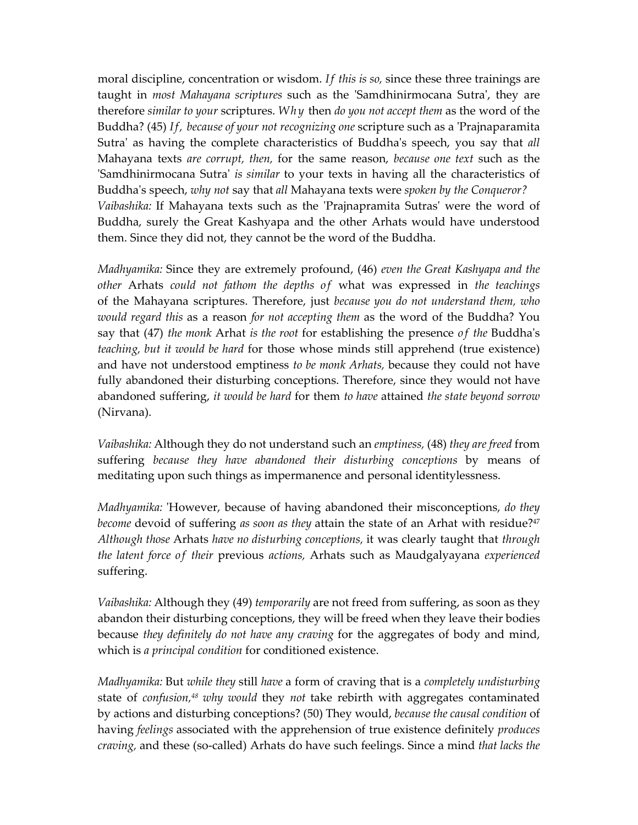moral discipline, concentration or wisdom. *If this is so,* since these three trainings are taught in *most Mahayana scriptures* such as the ʹSamdhinirmocana Sutraʹ, they are therefore *similar to your* scriptures. *Why* then *do you not accept them* as the word of the Buddha? (45) *If, because of your not recognizing one* scripture such as a ʹPrajnaparamita Sutraʹ as having the complete characteristics of Buddhaʹs speech, you say that *all* Mahayana texts *are corrupt, then,* for the same reason, *because one text* such as the ʹSamdhinirmocana Sutraʹ *is similar* to your texts in having all the characteristics of Buddhaʹs speech, *why not* say that *all* Mahayana texts were *spoken by the Conqueror? Vaibashika:* If Mahayana texts such as the ʹPrajnapramita Sutrasʹ were the word of Buddha, surely the Great Kashyapa and the other Arhats would have understood them. Since they did not, they cannot be the word of the Buddha.

*Madhyamika:* Since they are extremely profound, (46) *even the Great Kashyapa and the other* Arhats *could not fathom the depths of* what was expressed in *the teachings* of the Mahayana scriptures. Therefore, just *because you do not understand them, who would regard this* as a reason *for not accepting them* as the word of the Buddha? You say that (47) *the monk* Arhat *is the root* for establishing the presence *of the* Buddhaʹs *teaching, but it would be hard* for those whose minds still apprehend (true existence) and have not understood emptiness *to be monk Arhats,* because they could not have fully abandoned their disturbing conceptions. Therefore, since they would not have abandoned suffering, *it would be hard* for them *to have* attained *the state beyond sorrow* (Nirvana).

*Vaibashika:* Although they do not understand such an *emptiness,* (48) *they are freed* from suffering *because they have abandoned their disturbing conceptions* by means of meditating upon such things as impermanence and personal identitylessness.

*Madhyamika:* ʹHowever, because of having abandoned their misconceptions, *do they become* devoid of suffering *as soon as they* attain the state of an Arhat with residue?47 *Although those* Arhats *have no disturbing conceptions,* it was clearly taught that *through the latent force of their* previous *actions,* Arhats such as Maudgalyayana *experienced* suffering.

*Vaibashika:* Although they (49) *temporarily* are not freed from suffering, as soon as they abandon their disturbing conceptions, they will be freed when they leave their bodies because *they definitely do not have any craving* for the aggregates of body and mind, which is *a principal condition* for conditioned existence.

*Madhyamika:* But *while they* still *have* a form of craving that is a *completely undisturbing* state of *confusion,48 why would* they *not* take rebirth with aggregates contaminated by actions and disturbing conceptions? (50) They would, *because the causal condition* of having *feelings* associated with the apprehension of true existence definitely *produces craving,* and these (so‐called) Arhats do have such feelings. Since a mind *that lacks the*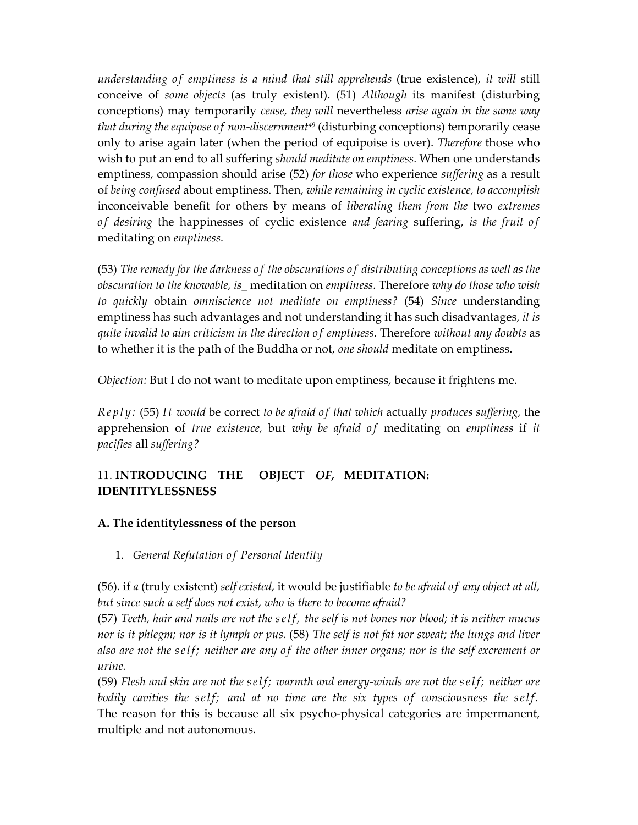*understanding of emptiness is a mind that still apprehends* (true existence), *it will* still conceive of *some objects* (as truly existent). (51) *Although* its manifest (disturbing conceptions) may temporarily *cease, they will* nevertheless *arise again in the same way that during the equipose of non‐discernment49* (disturbing conceptions) temporarily cease only to arise again later (when the period of equipoise is over). *Therefore* those who wish to put an end to all suffering *should meditate on emptiness.* When one understands emptiness, compassion should arise (52) *for those* who experience *suffering* as a result of *being confused* about emptiness. Then, *while remaining in cyclic existence, to accomplish* inconceivable benefit for others by means of *liberating them from the* two *extremes of desiring* the happinesses of cyclic existence *and fearing* suffering, *is the fruit of* meditating on *emptiness*.

(53) *The remedy for the darkness of the obscurations of distributing conceptions as well as the obscuration to the knowable, is\_* meditation on *emptiness.* Therefore *why do those who wish to quickly* obtain *omniscience not meditate on emptiness?* (54) *Since* understanding emptiness has such advantages and not understanding it has such disadvantages, *it is quite invalid to aim criticism in the direction of emptiness.* Therefore *without any doubts* as to whether it is the path of the Buddha or not, *one should* meditate on emptiness.

*Objection:* But I do not want to meditate upon emptiness, because it frightens me.

*Reply:* (55) *I t would* be correct *to be afraid of that which* actually *produces suffering,* the apprehension of *true existence,* but *why be afraid of* meditating on *emptiness* if *it pacifies* all *suffering?*

# 11. **INTRODUCING THE OBJECT**  *OF,* **MEDITATION: IDENTITYLESSNESS**

## **A. The identitylessness of the person**

1. *General Refutation of Personal Identity*

(56). if *a* (truly existent) *self existed,* it would be justifiable *to be afraid of any object at all, but since such a self does not exist, who is there to become afraid?*

(57) Teeth, hair and nails are not the self, the self is not bones nor blood; it is neither mucus nor is it phlegm; nor is it lymph or pus. (58) The self is not fat nor sweat; the lungs and liver also are not the self; neither are any of the other inner organs; nor is the self excrement or *urine.*

(59) *Flesh and skin are not the self; warmth and energy‐winds are not the s elf; neither are bodily cavities the self; and at no time are the six types of consciousness the self.* The reason for this is because all six psycho-physical categories are impermanent, multiple and not autonomous.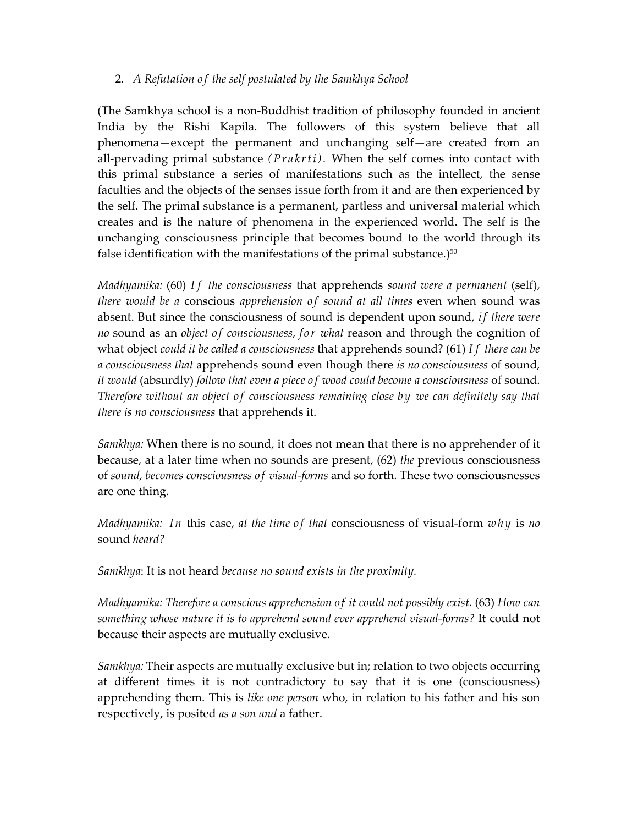#### 2. *A Refutation of the self postulated by the Samkhya School*

(The Samkhya school is a non‐Buddhist tradition of philosophy founded in ancient India by the Rishi Kapila. The followers of this system believe that all phenomena—except the permanent and unchanging self—are created from an all‐pervading primal substance *(Prakrti).* When the self comes into contact with this primal substance a series of manifestations such as the intellect, the sense faculties and the objects of the senses issue forth from it and are then experienced by the self. The primal substance is a permanent, partless and universal material which creates and is the nature of phenomena in the experienced world. The self is the unchanging consciousness principle that becomes bound to the world through its false identification with the manifestations of the primal substance.)<sup>50</sup>

*Madhyamika:* (60) *I f the consciousness* that apprehends *sound were a permanent* (self), *there would be a* conscious *apprehension of sound at all times* even when sound was absent. But since the consciousness of sound is dependent upon sound, *if there were no* sound as an *object of consciousness, for what* reason and through the cognition of what object *could it be called a consciousness* that apprehends sound? (61) *I f there can be a consciousness that* apprehends sound even though there *is no consciousness* of sound, *it would* (absurdly) *follow that even a piece of wood could become a consciousness* of sound. *Therefore without an object of consciousness remaining close b y we can definitely say that there is no consciousness* that apprehends it.

*Samkhya:* When there is no sound, it does not mean that there is no apprehender of it because, at a later time when no sounds are present, (62) *the* previous consciousness of *sound, becomes consciousness of visual‐forms* and so forth. These two consciousnesses are one thing.

*Madhyamika: I n* this case, *at the time of that* consciousness of visual‐form *why* is *no* sound *heard?*

*Samkhya*: It is not heard *because no sound exists in the proximity.*

*Madhyamika: Therefore a conscious apprehension of it could not possibly exist.* (63) *How can something whose nature it is to apprehend sound ever apprehend visual‐forms?* It could not because their aspects are mutually exclusive.

*Samkhya:* Their aspects are mutually exclusive but in; relation to two objects occurring at different times it is not contradictory to say that it is one (consciousness) apprehending them. This is *like one person* who, in relation to his father and his son respectively, is posited *as a son and* a father.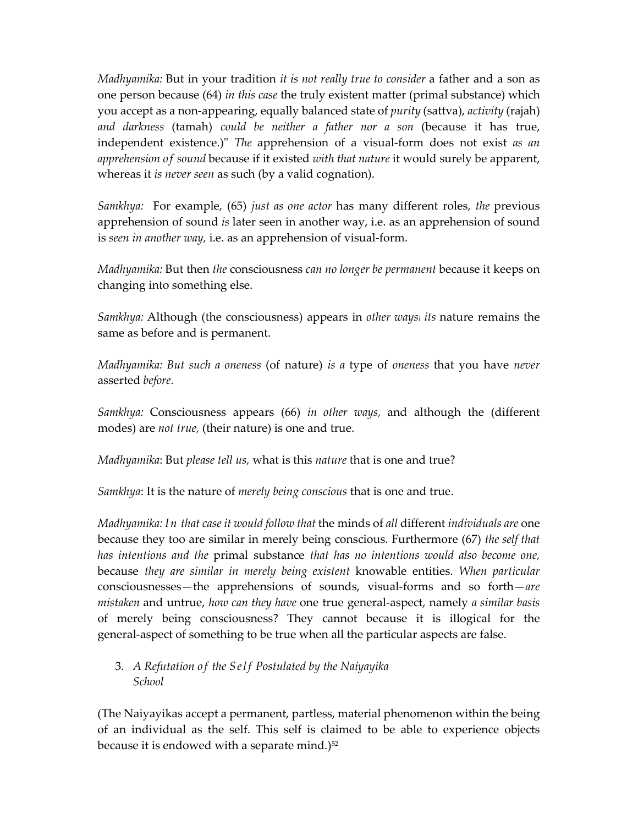*Madhyamika:* But in your tradition *it is not really true to consider* a father and a son as one person because (64) *in this case* the truly existent matter (primal substance) which you accept as a non‐appearing, equally balanced state of *purity* (sattva), *activity* (rajah) *and darkness* (tamah) *could be neither a father nor a son* (because it has true, independent existence.)ʺ *The* apprehension of a visual‐form does not exist *as an apprehension of sound* because if it existed *with that nature* it would surely be apparent, whereas it *is never seen* as such (by a valid cognation).

*Samkhya:* For example, (65) *just as one actor* has many different roles, *the* previous apprehension of sound *is* later seen in another way, i.e. as an apprehension of sound is *seen in another way,* i.e. as an apprehension of visual‐form.

*Madhyamika:* But then *the* consciousness *can no longer be permanent* because it keeps on changing into something else.

*Samkhya:* Although (the consciousness) appears in *other ways} its* nature remains the same as before and is permanent.

*Madhyamika: But such a oneness* (of nature) *is a* type of *oneness* that you have *never* asserted *before.*

*Samkhya:* Consciousness appears (66) *in other ways,* and although the (different modes) are *not true,* (their nature) is one and true.

*Madhyamika*: But *please tell us,* what is this *nature* that is one and true?

*Samkhya*: It is the nature of *merely being conscious* that is one and true.

*Madhyamika: I n that case it would follow that* the minds of *all* different *individuals are* one because they too are similar in merely being conscious. Furthermore (67) *the self that has intentions and the* primal substance *that has no intentions would also become one,* because *they are similar in merely being existent* knowable entities. *When particular* consciousnesses—the apprehensions of sounds, visual‐forms and so forth—*are mistaken* and untrue, *how can they have* one true general‐aspect, namely *a similar basis* of merely being consciousness? They cannot because it is illogical for the general‐aspect of something to be true when all the particular aspects are false.

3. *A Refutation of the Self Postulated by the Naiyayika School*

(The Naiyayikas accept a permanent, partless, material phenomenon within the being of an individual as the self. This self is claimed to be able to experience objects because it is endowed with a separate mind.)<sup>52</sup>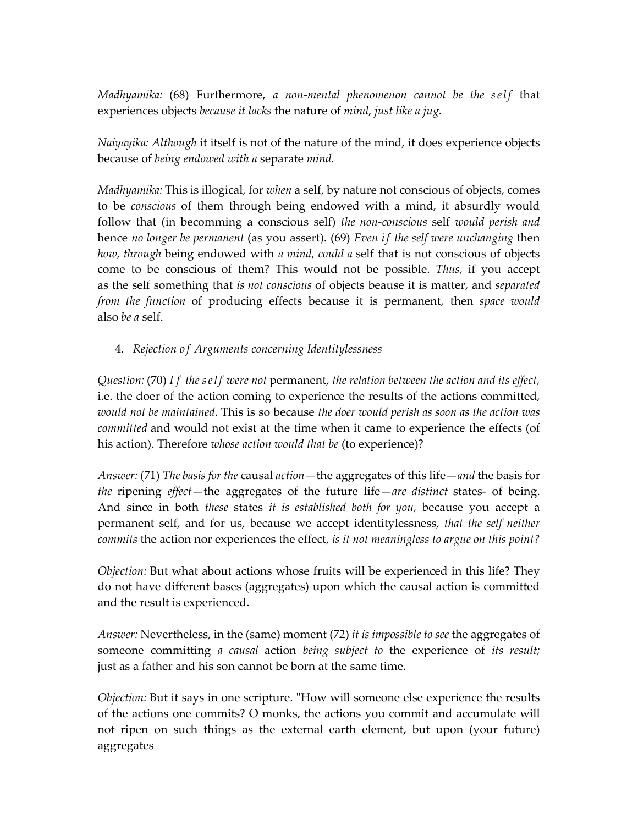*Madhyamika:* (68) Furthermore, *a non‐mental phenomenon cannot be the self* that experiences objects *because it lacks* the nature of *mind, just like a jug.*

*Naiyayika: Although* it itself is not of the nature of the mind, it does experience objects because of *being endowed with a* separate *mind.*

*Madhyamika:* This is illogical, for *when* a self, by nature not conscious of objects, comes to be *conscious* of them through being endowed with a mind, it absurdly would follow that (in becomming a conscious self) *the non‐conscious* self *would perish and* hence *no longer be permanent* (as you assert). (69) *Even if the self were unchanging* then *how, through* being endowed with *a mind, could a* self that is not conscious of objects come to be conscious of them? This would not be possible. *Thus,* if you accept as the self something that *is not conscious* of objects beause it is matter, and *separated from the function* of producing effects because it is permanent, then *space would* also *be a* self.

# 4. *Rejection of Arguments concerning Identitylessness*

*Question:* (70) *I f the self were not* permanent, *the relation between the action and its effect,* i.e. the doer of the action coming to experience the results of the actions committed, *would not be maintained.* This is so because *the doer would perish as soon as the action was committed* and would not exist at the time when it came to experience the effects (of his action). Therefore *whose action would that be* (to experience)?

*Answer:* (71) *The basis for the* causal *action—*the aggregates of this life—*and* the basis for *the* ripening *effect*—the aggregates of the future life—*are distinct* states‐ of being. And since in both *these* states *it is established both for you,* because you accept a permanent self, and for us, because we accept identitylessness, *that the self neither commits* the action nor experiences the effect, *is it not meaningless to argue on this point?*

*Objection:* But what about actions whose fruits will be experienced in this life? They do not have different bases (aggregates) upon which the causal action is committed and the result is experienced.

*Answer:* Nevertheless, in the (same) moment (72) *it is impossible to see* the aggregates of someone committing *a causal* action *being subject to* the experience of *its result;* just as a father and his son cannot be born at the same time.

*Objection:* But it says in one scripture. "How will someone else experience the results of the actions one commits? O monks, the actions you commit and accumulate will not ripen on such things as the external earth element, but upon (your future) aggregates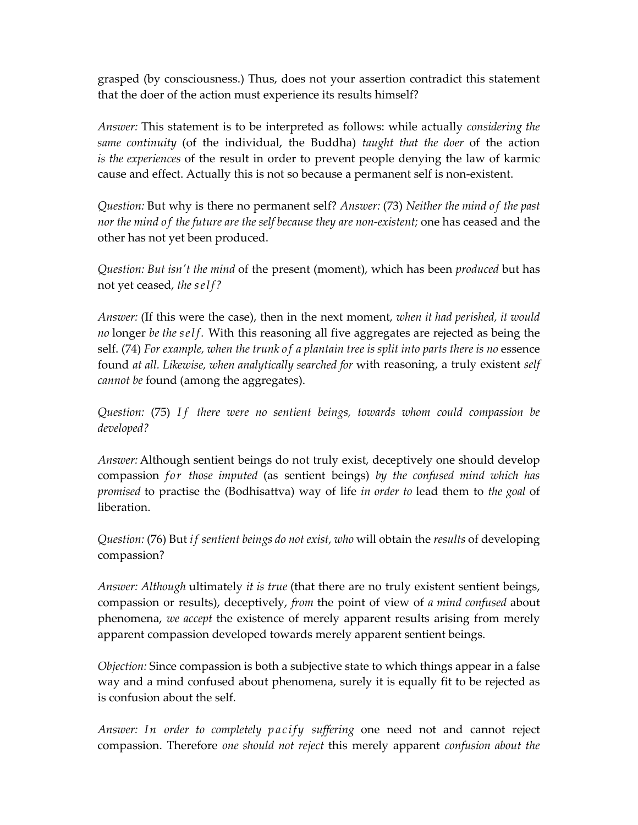grasped (by consciousness.) Thus, does not your assertion contradict this statement that the doer of the action must experience its results himself?

*Answer:* This statement is to be interpreted as follows: while actually *considering the same continuity* (of the individual, the Buddha) *taught that the doer* of the action *is the experiences* of the result in order to prevent people denying the law of karmic cause and effect. Actually this is not so because a permanent self is non‐existent.

*Question:* But why is there no permanent self? *Answer:* (73) *Neither the mind of the past nor the mind of the future are the self because they are non‐existent;* one has ceased and the other has not yet been produced.

*Question: But isnʹt the mind* of the present (moment), which has been *produced* but has not yet ceased, *the self?*

*Answer:* (If this were the case), then in the next moment, *when it had perished, it would no* longer *be the self.* With this reasoning all five aggregates are rejected as being the self. (74) *For example, when the trunk of a plantain tree is split into parts there is no* essence found *at all. Likewise, when analytically searched for* with reasoning, a truly existent *self cannot be* found (among the aggregates).

*Question:* (75) *I f there were no sentient beings, towards whom could compassion be developed?*

*Answer:* Although sentient beings do not truly exist, deceptively one should develop compassion *for those imputed* (as sentient beings) *by the confused mind which has promised* to practise the (Bodhisattva) way of life *in order to* lead them to *the goal* of liberation.

*Question:* (76) But *if sentient beings do not exist, who* will obtain the *results* of developing compassion?

*Answer: Although* ultimately *it is true* (that there are no truly existent sentient beings, compassion or results), deceptively, *from* the point of view of *a mind confused* about phenomena, *we accept* the existence of merely apparent results arising from merely apparent compassion developed towards merely apparent sentient beings.

*Objection:* Since compassion is both a subjective state to which things appear in a false way and a mind confused about phenomena, surely it is equally fit to be rejected as is confusion about the self.

*Answer: I n order to completely pacify suffering* one need not and cannot reject compassion. Therefore *one should not reject* this merely apparent *confusion about the*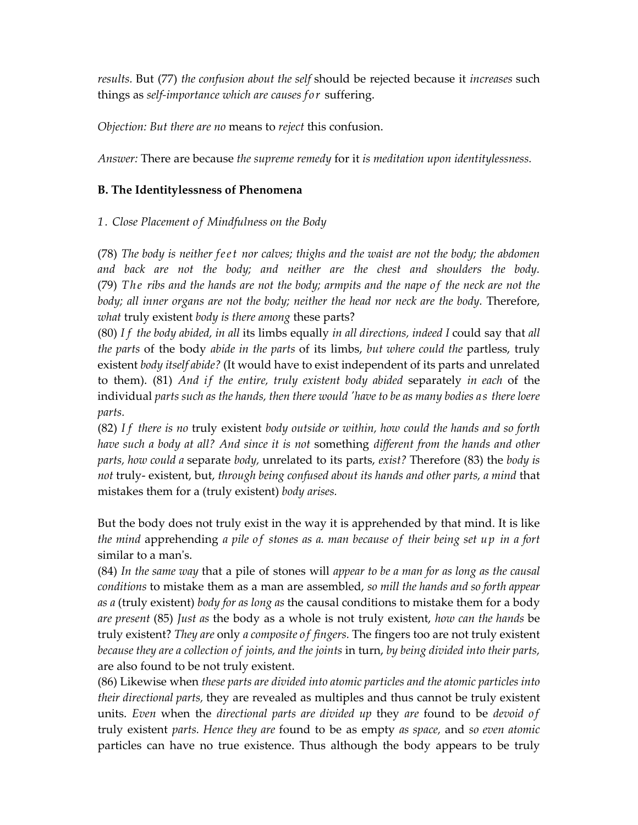*results.* But (77) *the confusion about the self* should be rejected because it *increases* such things as *self‐importance which are causes for* suffering.

*Objection: But there are no* means to *reject* this confusion.

*Answer:* There are because *the supreme remedy* for it *is meditation upon identitylessness.*

### **B. The Identitylessness of Phenomena**

### *1 . Close Placement of Mindfulness on the Body*

(78) *The body is neither feet nor calves; thighs and the waist are not the body; the abdomen and back are not the body; and neither are the chest and shoulders the body.* (79) *The ribs and the hands are not the body; armpits and the nape of the neck are not the body; all inner organs are not the body; neither the head nor neck are the body.* Therefore, *what* truly existent *body is there among* these parts?

(80) *I f the body abided, in all* its limbs equally *in all directions, indeed I* could say that *all the parts* of the body *abide in the parts* of its limbs, *but where could the* partless, truly existent *body itself abide?* (It would have to exist independent of its parts and unrelated to them). (81) *And if the entire, truly existent body abided* separately *in each* of the individual *parts such as the hands, then there would ʹhave to be as many bodies a s there loere parts.*

(82) *I f there is no* truly existent *body outside or within, how could the hands and so forth have such a body at all? And since it is not* something *different from the hands and other parts, how could a* separate *body,* unrelated to its parts, *exist?* Therefore (83) the *body is not* truly‐ existent, but, *through being confused about its hands and other parts, a mind* that mistakes them for a (truly existent) *body arises.*

But the body does not truly exist in the way it is apprehended by that mind. It is like *the mind* apprehending *a pile of stones as a. man because of their being set u p in a fort* similar to a man's.

(84) *In the same way* that a pile of stones will *appear to be a man for as long as the causal conditions* to mistake them as a man are assembled, *so mill the hands and so forth appear as a* (truly existent) *body for as long as* the causal conditions to mistake them for a body *are present* (85) *Just as* the body as a whole is not truly existent, *how can the hands* be truly existent? *They are* only *a composite of fingers.* The fingers too are not truly existent *because they are a collection of joints, and the joints* in turn, *by being divided into their parts,* are also found to be not truly existent.

(86) Likewise when *these parts are divided into atomic particles and the atomic particles into their directional parts,* they are revealed as multiples and thus cannot be truly existent units. *Even* when the *directional parts are divided up* they *are* found to be *devoid of* truly existent *parts. Hence they are* found to be as empty *as space,* and *so even atomic* particles can have no true existence. Thus although the body appears to be truly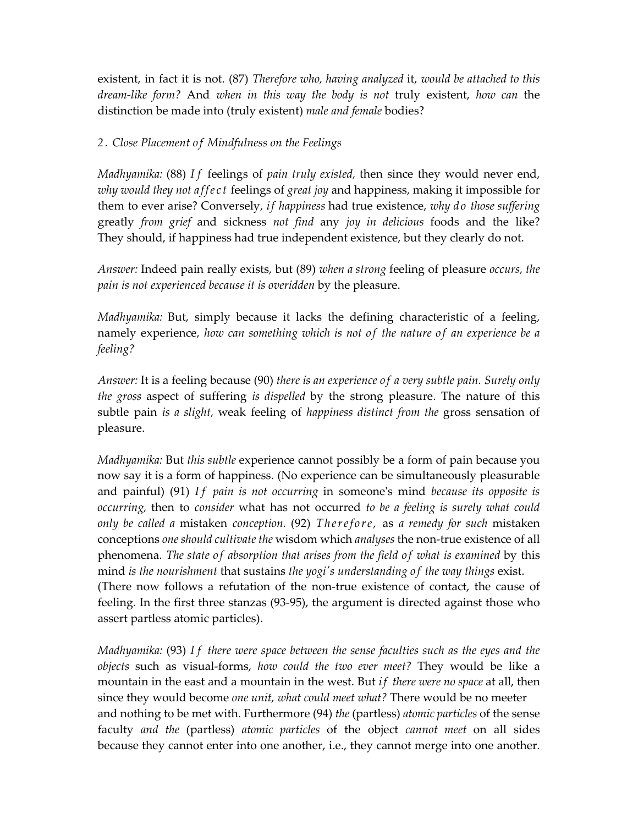existent, in fact it is not. (87) *Therefore who, having analyzed* it, *would be attached to this dream‐like form?* And *when in this way the body is not* truly existent, *how can* the distinction be made into (truly existent) *male and female* bodies?

### *2 . Close Placement of Mindfulness on the Feelings*

*Madhyamika:* (88) *I f* feelings of *pain truly existed,* then since they would never end, *why would they not affect* feelings of *great joy* and happiness, making it impossible for them to ever arise? Conversely, *if happiness* had true existence, *why d o those suffering* greatly *from grief* and sickness *not find* any *joy in delicious* foods and the like? They should, if happiness had true independent existence, but they clearly do not.

*Answer:* Indeed pain really exists, but (89) *when a strong* feeling of pleasure *occurs, the pain is not experienced because it is overidden* by the pleasure.

*Madhyamika:* But, simply because it lacks the defining characteristic of a feeling, namely experience, *how can something which is not of the nature of an experience be a feeling?*

*Answer:* It is a feeling because (90) *there is an experience of a very subtle pain. Surely only the gross* aspect of suffering *is dispelled* by the strong pleasure. The nature of this subtle pain *is a slight,* weak feeling of *happiness distinct from the* gross sensation of pleasure.

*Madhyamika:* But *this subtle* experience cannot possibly be a form of pain because you now say it is a form of happiness. (No experience can be simultaneously pleasurable and painful) (91) *I f pain is not occurring* in someoneʹs mind *because its opposite is occurring,* then to *consider* what has not occurred *to be a feeling is surely what could only be called a* mistaken *conception.* (92) *Therefore,* as *a remedy for such* mistaken conceptions *one should cultivate the* wisdom which *analyses* the non‐true existence of all phenomena. *The state of absorption that arises from the field of what is examined* by this mind *is the nourishment* that sustains *the yogiʹs understanding of the way things* exist. (There now follows a refutation of the non‐true existence of contact, the cause of feeling. In the first three stanzas (93‐95), the argument is directed against those who assert partless atomic particles).

*Madhyamika:* (93) *I f there were space between the sense faculties such as the eyes and the objects* such as visual‐forms, *how could the two ever meet?* They would be like a mountain in the east and a mountain in the west. But *if there were no space* at all, then since they would become *one unit, what could meet what?* There would be no meeter and nothing to be met with. Furthermore (94) *the* (partless) *atomic particles* of the sense faculty *and the* (partless) *atomic particles* of the object *cannot meet* on all sides because they cannot enter into one another, i.e., they cannot merge into one another.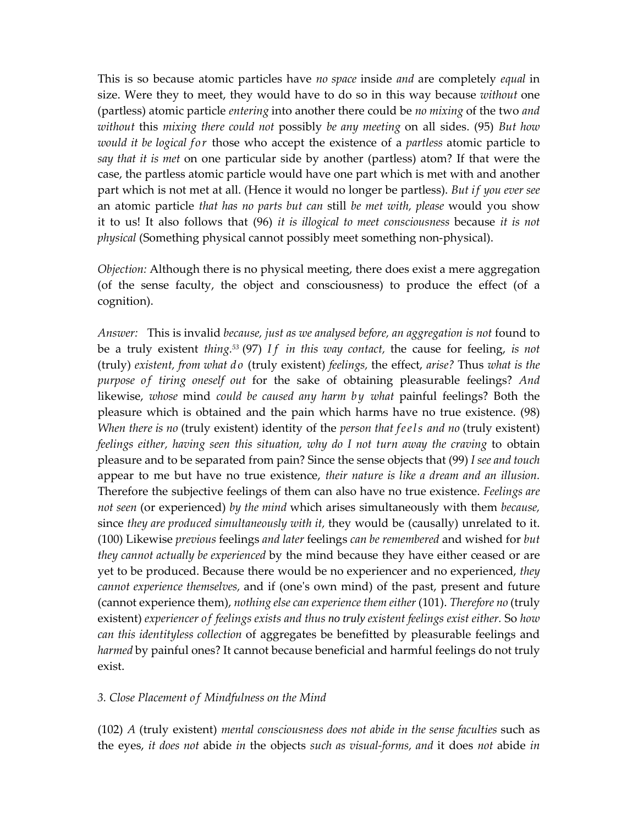This is so because atomic particles have *no space* inside *and* are completely *equal* in size. Were they to meet, they would have to do so in this way because *without* one (partless) atomic particle *entering* into another there could be *no mixing* of the two *and without* this *mixing there could not* possibly *be any meeting* on all sides. (95) *But how would it be logical for* those who accept the existence of a *partless* atomic particle to *say that it is met* on one particular side by another (partless) atom? If that were the case, the partless atomic particle would have one part which is met with and another part which is not met at all. (Hence it would no longer be partless). *But if you ever see* an atomic particle *that has no parts but can* still *be met with, please* would you show it to us! It also follows that (96) *it is illogical to meet consciousness* because *it is not physical* (Something physical cannot possibly meet something non‐physical).

*Objection:* Although there is no physical meeting, there does exist a mere aggregation (of the sense faculty, the object and consciousness) to produce the effect (of a cognition).

*Answer:* This is invalid *because, just as we analysed before, an aggregation is not* found to be a truly existent *thing.53* (97) *I f in this way contact,* the cause for feeling, *is not* (truly) *existent, from what d o* (truly existent) *feelings,* the effect, *arise?* Thus *what is the purpose of tiring oneself out* for the sake of obtaining pleasurable feelings? *And* likewise, *whose* mind *could be caused any harm b y what* painful feelings? Both the pleasure which is obtained and the pain which harms have no true existence. (98) *When there is no* (truly existent) identity of the *person that feels and no* (truly existent) *feelings either, having seen this situation, why do I not turn away the craving* to obtain pleasure and to be separated from pain? Since the sense objects that (99) *I see and touch* appear to me but have no true existence, *their nature is like a dream and an illusion.* Therefore the subjective feelings of them can also have no true existence. *Feelings are not seen* (or experienced) *by the mind* which arises simultaneously with them *because,* since *they are produced simultaneously with it,* they would be (causally) unrelated to it. (100) Likewise *previous* feelings *and later* feelings *can be remembered* and wished for *but they cannot actually be experienced* by the mind because they have either ceased or are yet to be produced. Because there would be no experiencer and no experienced, *they cannot experience themselves,* and if (oneʹs own mind) of the past, present and future (cannot experience them), *nothing else can experience them either* (101). *Therefore no* (truly existent) *experiencer of feelings exists and thus no truly existent feelings exist either.* So *how can this identityless collection* of aggregates be benefitted by pleasurable feelings and *harmed* by painful ones? It cannot because beneficial and harmful feelings do not truly exist.

#### *3. Close Placement of Mindfulness on the Mind*

(102) *A* (truly existent) *mental consciousness does not abide in the sense faculties* such as the eyes, *it does not* abide *in* the objects *such as visual‐forms, and* it does *not* abide *in*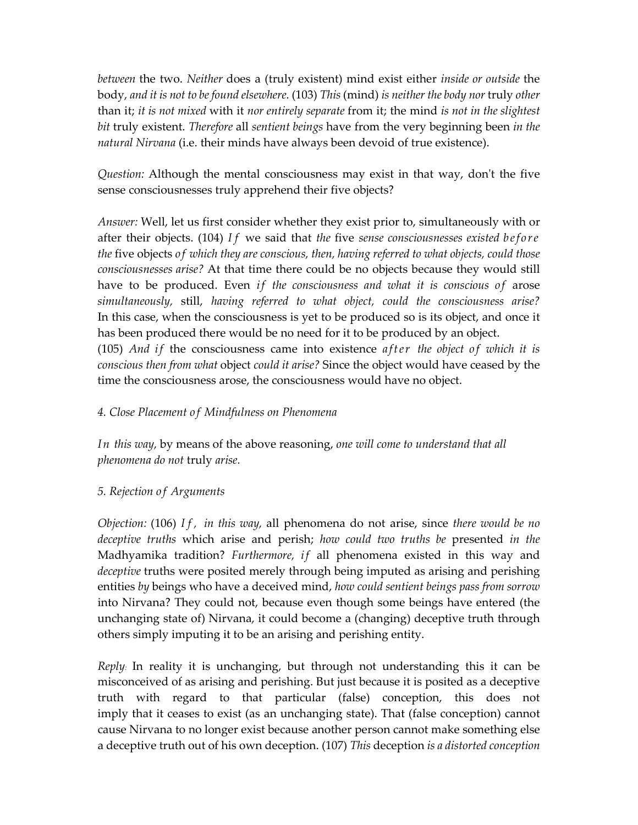*between* the two. *Neither* does a (truly existent) mind exist either *inside or outside* the body, *and it is not to be found elsewhere.* (103) *This* (mind) *is neither the body nor* truly *other* than it; *it is not mixed* with it *nor entirely separate* from it; the mind *is not in the slightest bit* truly existent. *Therefore* all *sentient beings* have from the very beginning been *in the natural Nirvana* (i.e. their minds have always been devoid of true existence).

*Question:* Although the mental consciousness may exist in that way, don't the five sense consciousnesses truly apprehend their five objects?

*Answer:* Well, let us first consider whether they exist prior to, simultaneously with or after their objects. (104) *I f* we said that *the* five *sense consciousnesses existed before the* five objects *of which they are conscious, then, having referred to what objects, could those consciousnesses arise?* At that time there could be no objects because they would still have to be produced. Even *if the consciousness and what it is conscious of* arose *simultaneously,* still, *having referred to what object, could the consciousness arise?* In this case, when the consciousness is yet to be produced so is its object, and once it has been produced there would be no need for it to be produced by an object. (105) *And if* the consciousness came into existence *after the object of which it is conscious then from what* object *could it arise?* Since the object would have ceased by the time the consciousness arose, the consciousness would have no object.

#### *4. Close Placement of Mindfulness on Phenomena*

*I n this way,* by means of the above reasoning, *one will come to understand that all phenomena do not* truly *arise.*

# *5. Rejection of Arguments*

*Objection:* (106) *If, in this way,* all phenomena do not arise, since *there would be no deceptive truths* which arise and perish; *how could two truths be* presented *in the* Madhyamika tradition? *Furthermore, if* all phenomena existed in this way and *deceptive* truths were posited merely through being imputed as arising and perishing entities *by* beings who have a deceived mind, *how could sentient beings pass from sorrow* into Nirvana? They could not, because even though some beings have entered (the unchanging state of) Nirvana, it could become a (changing) deceptive truth through others simply imputing it to be an arising and perishing entity.

*Reply:* In reality it is unchanging, but through not understanding this it can be misconceived of as arising and perishing. But just because it is posited as a deceptive truth with regard to that particular (false) conception, this does not imply that it ceases to exist (as an unchanging state). That (false conception) cannot cause Nirvana to no longer exist because another person cannot make something else a deceptive truth out of his own deception. (107) *This* deception *is a distorted conception*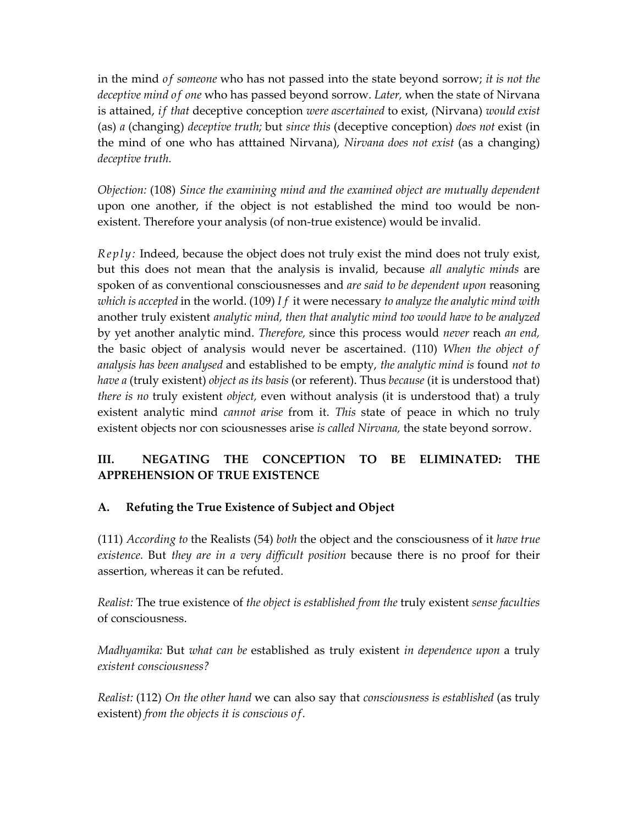in the mind *of someone* who has not passed into the state beyond sorrow; *it is not the deceptive mind of one* who has passed beyond sorrow. *Later,* when the state of Nirvana is attained, *if that* deceptive conception *were ascertained* to exist, (Nirvana) *would exist* (as) *a* (changing) *deceptive truth;* but *since this* (deceptive conception) *does not* exist (in the mind of one who has atttained Nirvana), *Nirvana does not exist* (as a changing) *deceptive truth.*

*Objection:* (108) *Since the examining mind and the examined object are mutually dependent* upon one another, if the object is not established the mind too would be nonexistent. Therefore your analysis (of non-true existence) would be invalid.

*Reply:* Indeed, because the object does not truly exist the mind does not truly exist, but this does not mean that the analysis is invalid, because *all analytic minds* are spoken of as conventional consciousnesses and *are said to be dependent upon* reasoning *which is accepted* in the world. (109) *I f* it were necessary *to analyze the analytic mind with* another truly existent *analytic mind, then that analytic mind too would have to be analyzed* by yet another analytic mind. *Therefore,* since this process would *never* reach *an end,* the basic object of analysis would never be ascertained. (110) *When the object of analysis has been analysed* and established to be empty, *the analytic mind is* found *not to have a* (truly existent) *object as its basis* (or referent). Thus *because* (it is understood that) *there is no* truly existent *object,* even without analysis (it is understood that) a truly existent analytic mind *cannot arise* from it. *This* state of peace in which no truly existent objects nor con sciousnesses arise *is called Nirvana,* the state beyond sorrow.

# **III. NEGATING THE CONCEPTION TO BE ELIMINATED: THE APPREHENSION OF TRUE EXISTENCE**

# **A. Refuting the True Existence of Subject and Object**

(111) *According to* the Realists (54) *both* the object and the consciousness of it *have true existence.* But *they are in a very difficult position* because there is no proof for their assertion, whereas it can be refuted.

*Realist:* The true existence of *the object is established from the* truly existent *sense faculties* of consciousness.

*Madhyamika:* But *what can be* established as truly existent *in dependence upon* a truly *existent consciousness?*

*Realist:* (112) *On the other hand* we can also say that *consciousness is established* (as truly existent) *from the objects it is conscious of.*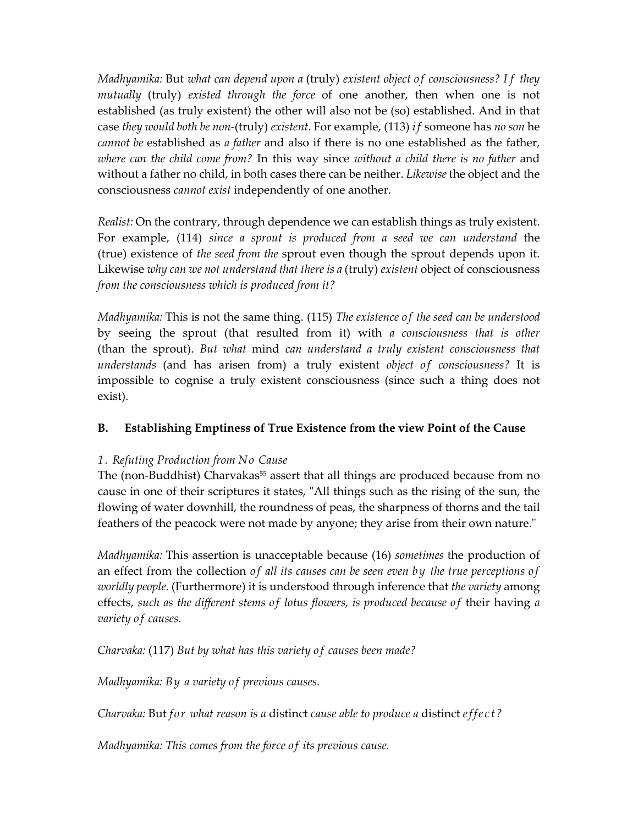*Madhyamika:* But *what can depend upon a* (truly) *existent object of consciousness? I f they mutually* (truly) *existed through the force* of one another, then when one is not established (as truly existent) the other will also not be (so) established. And in that case *they would both be non‐*(truly) *existent.* For example, (113) *if* someone has *no son* he *cannot be* established as *a father* and also if there is no one established as the father, *where can the child come from?* In this way since *without a child there is no father* and without a father no child, in both cases there can be neither. *Likewise* the object and the consciousness *cannot exist* independently of one another.

*Realist:* On the contrary, through dependence we can establish things as truly existent. For example, (114) *since a sprout is produced from a seed we can understand* the (true) existence of *the seed from the* sprout even though the sprout depends upon it. Likewise *why can we not understand that there is a* (truly) *existent* object of consciousness *from the consciousness which is produced from it?*

*Madhyamika:* This is not the same thing. (115) *The existence of the seed can be understood* by seeing the sprout (that resulted from it) with *a consciousness that is other* (than the sprout). *But what* mind *can understand a truly existent consciousness that understands* (and has arisen from) a truly existent *object of consciousness?* It is impossible to cognise a truly existent consciousness (since such a thing does not exist).

# **B. Establishing Emptiness of True Existence from the view Point of the Cause**

#### *1 . Refuting Production from N o Cause*

The (non-Buddhist) Charvakas<sup>55</sup> assert that all things are produced because from no cause in one of their scriptures it states, "All things such as the rising of the sun, the flowing of water downhill, the roundness of peas, the sharpness of thorns and the tail feathers of the peacock were not made by anyone; they arise from their own nature."

*Madhyamika:* This assertion is unacceptable because (16) *sometimes* the production of an effect from the collection *of all its causes can be seen even b y the true perceptions of worldly people.* (Furthermore) it is understood through inference that *the variety* among effects, *such as the different stems of lotus flowers, is produced because of* their having *a variety of causes.*

*Charvaka:* (117) *But by what has this variety of causes been made?*

*Madhyamika: B y a variety of previous causes.*

*Charvaka:* But *for what reason is a* distinct *cause able to produce a* distinct *effect?*

*Madhyamika: This comes from the force of its previous cause.*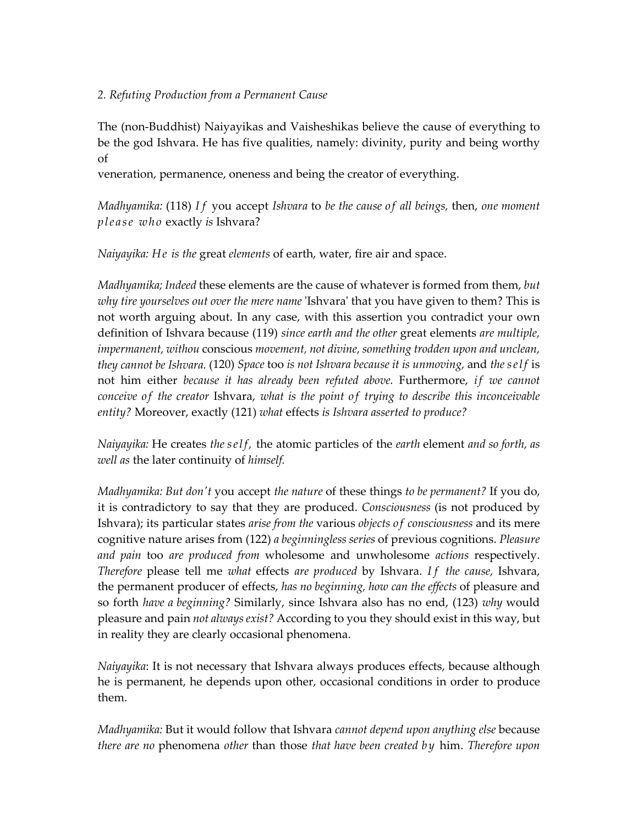#### *2. Refuting Production from a Permanent Cause*

The (non‐Buddhist) Naiyayikas and Vaisheshikas believe the cause of everything to be the god Ishvara. He has five qualities, namely: divinity, purity and being worthy of

veneration, permanence, oneness and being the creator of everything.

*Madhyamika:* (118) *I f* you accept *Ishvara* to *be the cause of all beings,* then, *one moment please who* exactly *is* Ishvara?

*Naiyayika: H e is the* great *elements* of earth, water, fire air and space.

*Madhyamika; Indeed* these elements are the cause of whatever is formed from them, *but why tire yourselves out over the mere name* ʹIshvaraʹ that you have given to them? This is not worth arguing about. In any case, with this assertion you contradict your own definition of Ishvara because (119) *since earth and the other* great elements *are multiple, impermanent, withou* conscious *movement, not divine, something trodden upon and unclean, they cannot be Ishvara.* (120) *Space* too *is not Ishvara because it is unmoving,* and *the self* is not him either *because it has already been refuted above.* Furthermore, *if we cannot conceive of the creator* Ishvara, *what is the point of trying to describe this inconceivable entity?* Moreover, exactly (121) *what* effects *is Ishvara asserted to produce?*

*Naiyayika:* He creates *the self,* the atomic particles of the *earth* element *and so forth, as well as* the later continuity of *himself.*

*Madhyamika: But donʹt* you accept *the nature* of these things *to be permanent?* If you do, it is contradictory to say that they are produced. *Consciousness* (is not produced by Ishvara); its particular states *arise from the* various *objects of consciousness* and its mere cognitive nature arises from (122) *a beginningless series* of previous cognitions. *Pleasure and pain* too *are produced from* wholesome and unwholesome *actions* respectively. *Therefore* please tell me *what* effects *are produced* by Ishvara. *I f the cause,* Ishvara, the permanent producer of effects, *has no beginning, how can the effects* of pleasure and so forth *have a beginning?* Similarly, since Ishvara also has no end, (123) *why* would pleasure and pain *not always exist?* According to you they should exist in this way, but in reality they are clearly occasional phenomena.

*Naiyayika*: It is not necessary that Ishvara always produces effects, because although he is permanent, he depends upon other, occasional conditions in order to produce them.

*Madhyamika:* But it would follow that Ishvara *cannot depend upon anything else* because *there are no* phenomena *other* than those *that have been created b y* him. *Therefore upon*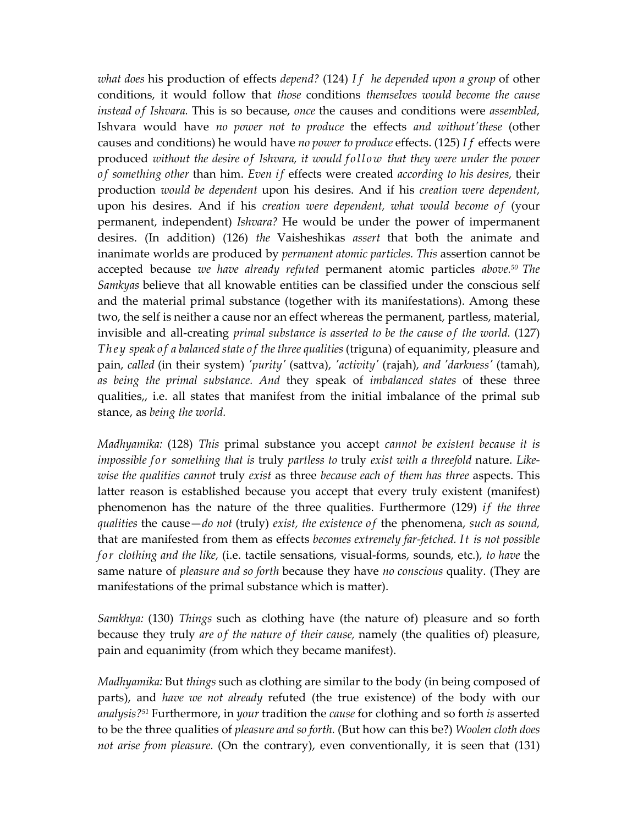*what does* his production of effects *depend?* (124) *I f he depended upon a group* of other conditions, it would follow that *those* conditions *themselves would become the cause instead of Ishvara.* This is so because, *once* the causes and conditions were *assembled,* Ishvara would have *no power not to produce* the effects *and withoutʹthese* (other causes and conditions) he would have *no power to produce* effects. (125) *I f* effects were produced *without the desire of Ishvara, it would follow that they were under the power of something other* than him. *Even if* effects were created *according to his desires,* their production *would be dependent* upon his desires. And if his *creation were dependent,* upon his desires. And if his *creation were dependent, what would become of* (your permanent, independent) *Ishvara?* He would be under the power of impermanent desires. (In addition) (126) *the* Vaisheshikas *assert* that both the animate and inanimate worlds are produced by *permanent atomic particles. This* assertion cannot be accepted because *we have already refuted* permanent atomic particles *above.50 The Samkyas* believe that all knowable entities can be classified under the conscious self and the material primal substance (together with its manifestations). Among these two, the self is neither a cause nor an effect whereas the permanent, partless, material, invisible and all‐creating *primal substance is asserted to be the cause of the world.* (127) *They speak of a balanced state of the three qualities* (triguna) of equanimity, pleasure and pain, *called* (in their system) *ʹpurityʹ* (sattva), *ʹactivityʹ* (rajah), *and ʹdarknessʹ* (tamah), *as being the primal substance. And* they speak of *imbalanced states* of these three qualities,, i.e. all states that manifest from the initial imbalance of the primal sub stance, as *being the world.*

*Madhyamika:* (128) *This* primal substance you accept *cannot be existent because it is impossible for something that is* truly *partless to* truly *exist with a threefold* nature. *Like‐ wise the qualities cannot* truly *exist* as three *because each of them has three* aspects. This latter reason is established because you accept that every truly existent (manifest) phenomenon has the nature of the three qualities. Furthermore (129) *if the three qualities* the cause—*do not* (truly) *exist, the existence of* the phenomena, *such as sound,* that are manifested from them as effects *becomes extremely far‐fetched. I t is not possible for clothing and the like,* (i.e. tactile sensations, visual‐forms, sounds, etc.), *to have* the same nature of *pleasure and so forth* because they have *no conscious* quality. (They are manifestations of the primal substance which is matter).

*Samkhya:* (130) *Things* such as clothing have (the nature of) pleasure and so forth because they truly *are of the nature of their cause,* namely (the qualities of) pleasure, pain and equanimity (from which they became manifest).

*Madhyamika:* But *things* such as clothing are similar to the body (in being composed of parts), and *have we not already* refuted (the true existence) of the body with our *analysis?51* Furthermore, in *your* tradition the *cause* for clothing and so forth *is* asserted to be the three qualities of *pleasure and so forth.* (But how can this be?) *Woolen cloth does not arise from pleasure.* (On the contrary), even conventionally, it is seen that (131)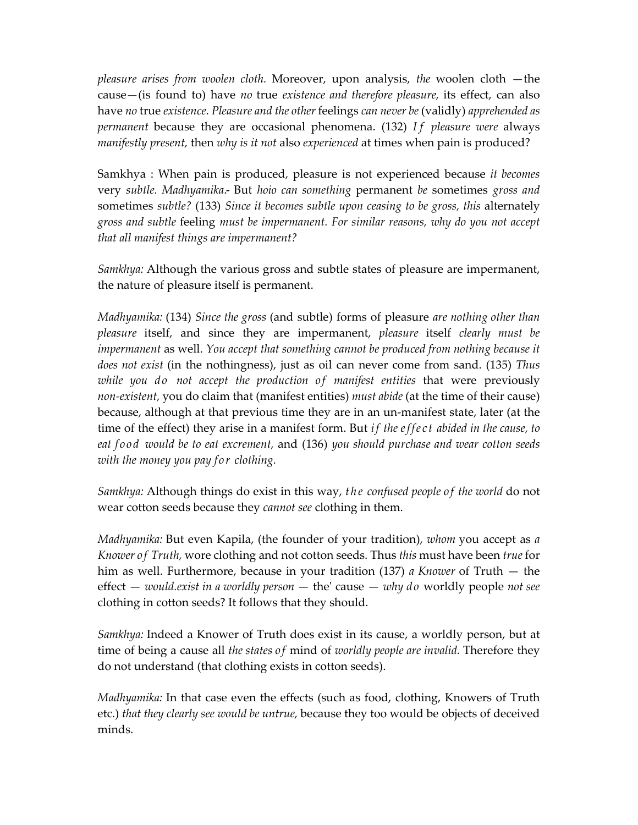*pleasure arises from woolen cloth.* Moreover, upon analysis, *the* woolen cloth —the cause—(is found to) have *no* true *existence and therefore pleasure,* its effect, can also have *no* true *existence. Pleasure and the other* feelings *can never be* (validly) *apprehended as permanent* because they are occasional phenomena. (132) *I f pleasure were* always *manifestly present,* then *why is it not* also *experienced* at times when pain is produced?

Samkhya : When pain is produced, pleasure is not experienced because *it becomes* very *subtle. Madhyamika*.‐ But *hoio can something* permanent *be* sometimes *gross and* sometimes *subtle?* (133) *Since it becomes subtle upon ceasing to be gross, this* alternately *gross and subtle* feeling *must be impermanent. For similar reasons, why do you not accept that all manifest things are impermanent?*

*Samkhya:* Although the various gross and subtle states of pleasure are impermanent, the nature of pleasure itself is permanent.

*Madhyamika:* (134) *Since the gross* (and subtle) forms of pleasure *are nothing other than pleasure* itself, and since they are impermanent, *pleasure* itself *clearly must be impermanent* as well. *You accept that something cannot be produced from nothing because it does not exist* (in the nothingness), just as oil can never come from sand. (135) *Thus while* you do not accept the production of manifest entities that were previously *non‐existent,* you do claim that (manifest entities) *must abide* (at the time of their cause) because, although at that previous time they are in an un‐manifest state, later (at the time of the effect) they arise in a manifest form. But *if the effect abided in the cause, to eat food would be to eat excrement,* and (136) *you should purchase and wear cotton seeds with the money you pay for clothing.*

*Samkhya:* Although things do exist in this way, *the confused people of the world* do not wear cotton seeds because they *cannot see* clothing in them.

*Madhyamika:* But even Kapila, (the founder of your tradition), *whom* you accept as *a Knower of Truth,* wore clothing and not cotton seeds. Thus *this* must have been *true* for him as well. Furthermore, because in your tradition (137) *a Knower* of Truth — the effect — *would.exist in a worldly person* — theʹ cause — *why d o* worldly people *not see* clothing in cotton seeds? It follows that they should.

*Samkhya:* Indeed a Knower of Truth does exist in its cause, a worldly person, but at time of being a cause all *the states of* mind of *worldly people are invalid.* Therefore they do not understand (that clothing exists in cotton seeds).

*Madhyamika:* In that case even the effects (such as food, clothing, Knowers of Truth etc.) *that they clearly see would be untrue,* because they too would be objects of deceived minds.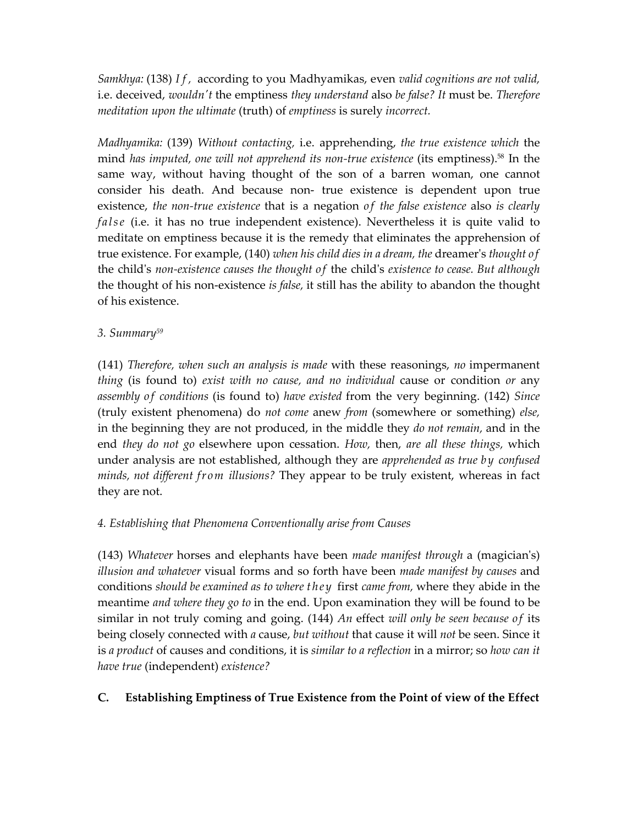*Samkhya:* (138) *If,* according to you Madhyamikas, even *valid cognitions are not valid,* i.e. deceived, *wouldnʹt* the emptiness *they understand* also *be false? It* must be. *Therefore meditation upon the ultimate* (truth) of *emptiness* is surely *incorrect.*

*Madhyamika:* (139) *Without contacting,* i.e. apprehending, *the true existence which* the mind *has imputed, one will not apprehend its non‐true existence* (its emptiness).58 In the same way, without having thought of the son of a barren woman, one cannot consider his death. And because non‐ true existence is dependent upon true existence, *the non‐true existence* that is a negation *of the false existence* also *is clearly false* (i.e. it has no true independent existence). Nevertheless it is quite valid to meditate on emptiness because it is the remedy that eliminates the apprehension of true existence. For example, (140) *when his child dies in a dream, the* dreamerʹs *thought of* the childʹs *non‐existence causes the thought of* the childʹs *existence to cease. But although* the thought of his non‐existence *is false,* it still has the ability to abandon the thought of his existence.

#### *3. Summary59*

(141) *Therefore, when such an analysis is made* with these reasonings, *no* impermanent *thing* (is found to) *exist with no cause, and no individual* cause or condition *or* any *assembly of conditions* (is found to) *have existed* from the very beginning. (142) *Since* (truly existent phenomena) do *not come* anew *from* (somewhere or something) *else,* in the beginning they are not produced, in the middle they *do not remain,* and in the end *they do not go* elsewhere upon cessation. *How,* then, *are all these things,* which under analysis are not established, although they are *apprehended as true b y confused minds, not different from illusions?* They appear to be truly existent, whereas in fact they are not.

# *4. Establishing that Phenomena Conventionally arise from Causes*

(143) *Whatever* horses and elephants have been *made manifest through* a (magicianʹs) *illusion and whatever* visual forms and so forth have been *made manifest by causes* and conditions *should be examined as to where they* first *came from,* where they abide in the meantime *and where they go to* in the end. Upon examination they will be found to be similar in not truly coming and going. (144) *An* effect *will only be seen because of* its being closely connected with *a* cause, *but without* that cause it will *not* be seen. Since it is *a product* of causes and conditions, it is *similar to a reflection* in a mirror; so *how can it have true* (independent) *existence?*

# **C. Establishing Emptiness of True Existence from the Point of view of the Effect**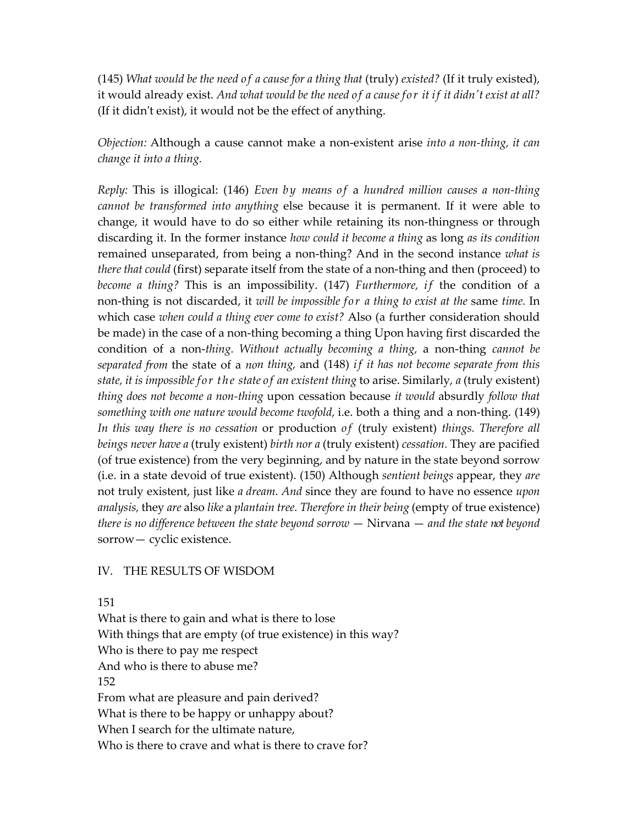(145) *What would be the need of a cause for a thing that* (truly) *existed?* (If it truly existed), it would already exist. And what would be the need of a cause for it if it didn't exist at all? (If it didnʹt exist), it would not be the effect of anything.

*Objection:* Although a cause cannot make a non‐existent arise *into a non‐thing, it can change it into a thing.*

*Reply:* This is illogical: (146) *Even b y means of* a *hundred million causes a non‐thing cannot be transformed into anything* else because it is permanent. If it were able to change, it would have to do so either while retaining its non‐thingness or through discarding it. In the former instance *how could it become a thing* as long *as its condition* remained unseparated, from being a non‐thing? And in the second instance *what is there that could* (first) separate itself from the state of a non‐thing and then (proceed) to *become a thing?* This is an impossibility. (147) *Furthermore, if* the condition of a non‐thing is not discarded, it *will be impossible for a thing to exist at the* same *time.* In which case *when could a thing ever come to exist?* Also (a further consideration should be made) in the case of a non-thing becoming a thing Upon having first discarded the condition of a non‐*thing. Without actually becoming a thing,* a non‐thing *cannot be separated from* the state of a *non thing,* and (148) *if it has not become separate from this state, it is impossible for the state of an existent thing* to arise. Similarly, *a* (truly existent) *thing does not become a non‐thing* upon cessation because *it would* absurdly *follow that something with one nature would become twofold,* i.e. both a thing and a non‐thing. (149) *In this way there is no cessation* or production *of* (truly existent) *things. Therefore all beings never have a* (truly existent) *birth nor a* (truly existent) *cessation.* They are pacified (of true existence) from the very beginning, and by nature in the state beyond sorrow (i.e. in a state devoid of true existent). (150) Although *sentient beings* appear, they *are* not truly existent, just like *a dream. And* since they are found to have no essence *upon analysis,* they *are* also *like* a *plantain tree. Therefore in their being* (empty of true existence) *there is no difference between the state beyond sorrow* — Nirvana — *and the state not beyond* sorrow— cyclic existence.

#### IV. THE RESULTS OF WISDOM

151

What is there to gain and what is there to lose With things that are empty (of true existence) in this way? Who is there to pay me respect And who is there to abuse me? 152 From what are pleasure and pain derived? What is there to be happy or unhappy about? When I search for the ultimate nature, Who is there to crave and what is there to crave for?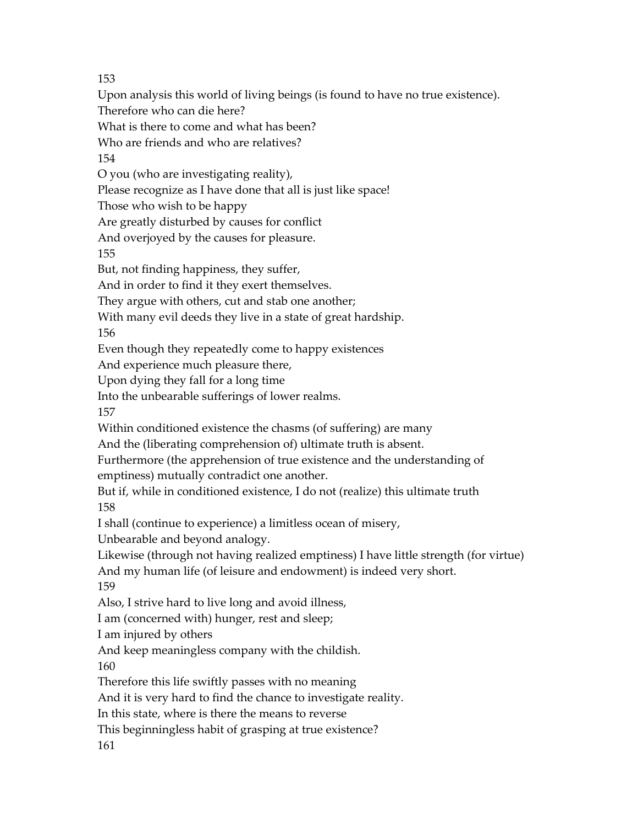153

Upon analysis this world of living beings (is found to have no true existence).

Therefore who can die here?

What is there to come and what has been?

Who are friends and who are relatives?

154

O you (who are investigating reality),

Please recognize as I have done that all is just like space!

Those who wish to be happy

Are greatly disturbed by causes for conflict

And overjoyed by the causes for pleasure.

155

But, not finding happiness, they suffer,

And in order to find it they exert themselves.

They argue with others, cut and stab one another;

With many evil deeds they live in a state of great hardship.

156

Even though they repeatedly come to happy existences

And experience much pleasure there,

Upon dying they fall for a long time

Into the unbearable sufferings of lower realms.

157

Within conditioned existence the chasms (of suffering) are many

And the (liberating comprehension of) ultimate truth is absent.

Furthermore (the apprehension of true existence and the understanding of emptiness) mutually contradict one another.

But if, while in conditioned existence, I do not (realize) this ultimate truth 158

I shall (continue to experience) a limitless ocean of misery,

Unbearable and beyond analogy.

Likewise (through not having realized emptiness) I have little strength (for virtue)

And my human life (of leisure and endowment) is indeed very short.

159

Also, I strive hard to live long and avoid illness,

I am (concerned with) hunger, rest and sleep;

I am injured by others

And keep meaningless company with the childish.

160

Therefore this life swiftly passes with no meaning

And it is very hard to find the chance to investigate reality.

In this state, where is there the means to reverse

This beginningless habit of grasping at true existence?

161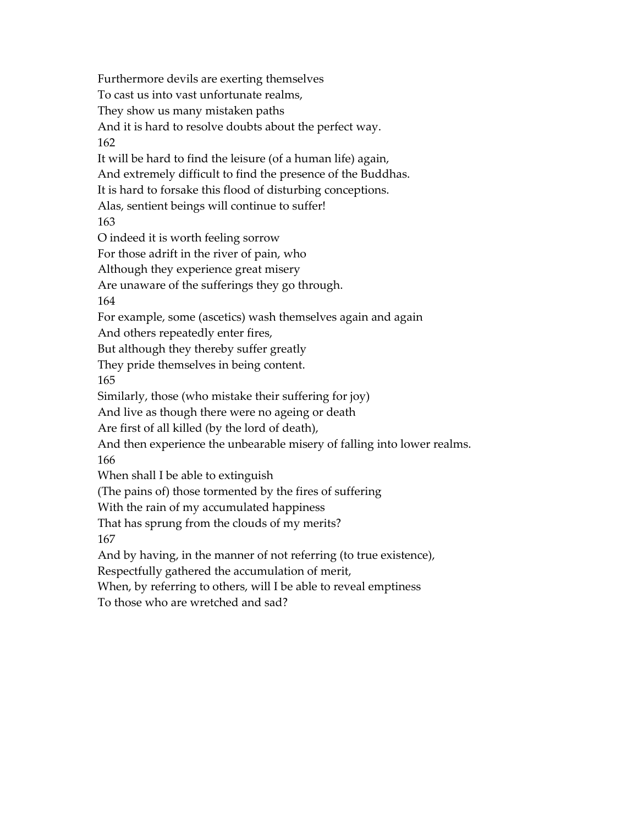Furthermore devils are exerting themselves To cast us into vast unfortunate realms, They show us many mistaken paths And it is hard to resolve doubts about the perfect way. 162 It will be hard to find the leisure (of a human life) again, And extremely difficult to find the presence of the Buddhas. It is hard to forsake this flood of disturbing conceptions. Alas, sentient beings will continue to suffer! 163 O indeed it is worth feeling sorrow For those adrift in the river of pain, who Although they experience great misery Are unaware of the sufferings they go through. 164 For example, some (ascetics) wash themselves again and again And others repeatedly enter fires, But although they thereby suffer greatly They pride themselves in being content. 165 Similarly, those (who mistake their suffering for joy) And live as though there were no ageing or death Are first of all killed (by the lord of death), And then experience the unbearable misery of falling into lower realms. 166 When shall I be able to extinguish (The pains of) those tormented by the fires of suffering With the rain of my accumulated happiness That has sprung from the clouds of my merits? 167 And by having, in the manner of not referring (to true existence), Respectfully gathered the accumulation of merit, When, by referring to others, will I be able to reveal emptiness To those who are wretched and sad?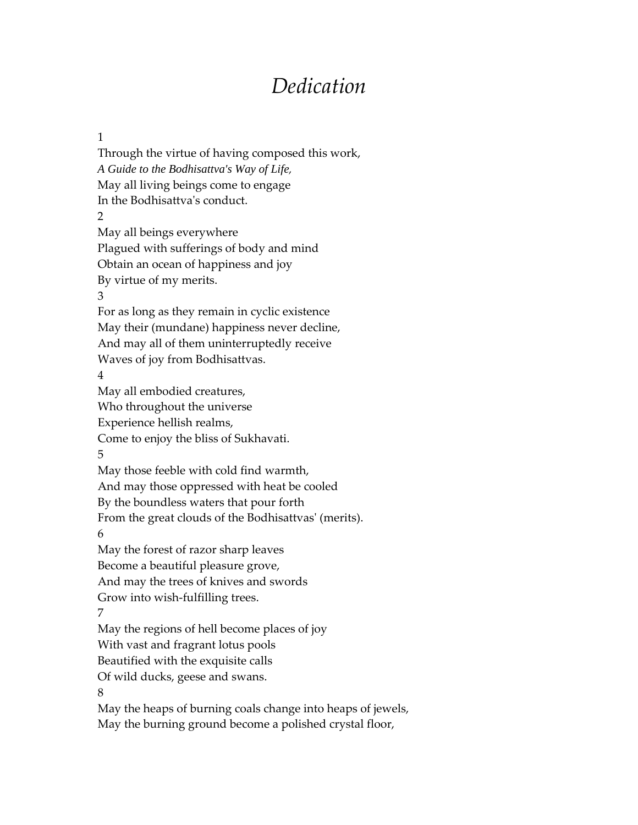# *Dedication*

1

Through the virtue of having composed this work, *A Guide to the Bodhisattva's Way of Life,* May all living beings come to engage In the Bodhisattva's conduct. 2 May all beings everywhere Plagued with sufferings of body and mind Obtain an ocean of happiness and joy By virtue of my merits. 3 For as long as they remain in cyclic existence May their (mundane) happiness never decline, And may all of them uninterruptedly receive Waves of joy from Bodhisattvas. 4 May all embodied creatures, Who throughout the universe Experience hellish realms, Come to enjoy the bliss of Sukhavati. 5 May those feeble with cold find warmth, And may those oppressed with heat be cooled By the boundless waters that pour forth From the great clouds of the Bodhisattvas' (merits). 6 May the forest of razor sharp leaves Become a beautiful pleasure grove, And may the trees of knives and swords Grow into wish-fulfilling trees. 7 May the regions of hell become places of joy With vast and fragrant lotus pools Beautified with the exquisite calls Of wild ducks, geese and swans. 8 May the heaps of burning coals change into heaps of jewels,

May the burning ground become a polished crystal floor,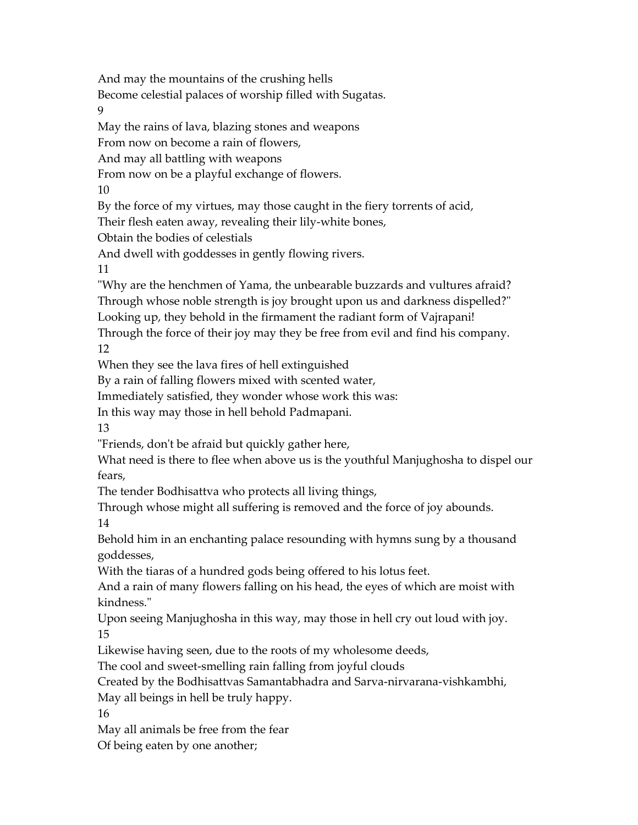And may the mountains of the crushing hells

Become celestial palaces of worship filled with Sugatas.

9

May the rains of lava, blazing stones and weapons

From now on become a rain of flowers,

And may all battling with weapons

From now on be a playful exchange of flowers.

10

By the force of my virtues, may those caught in the fiery torrents of acid,

Their flesh eaten away, revealing their lily‐white bones,

Obtain the bodies of celestials

And dwell with goddesses in gently flowing rivers.

11

ʺWhy are the henchmen of Yama, the unbearable buzzards and vultures afraid? Through whose noble strength is joy brought upon us and darkness dispelled?" Looking up, they behold in the firmament the radiant form of Vajrapani! Through the force of their joy may they be free from evil and find his company.

12

When they see the lava fires of hell extinguished

By a rain of falling flowers mixed with scented water,

Immediately satisfied, they wonder whose work this was:

In this way may those in hell behold Padmapani.

13

ʺFriends, donʹt be afraid but quickly gather here,

What need is there to flee when above us is the youthful Manjughosha to dispel our fears,

The tender Bodhisattva who protects all living things,

Through whose might all suffering is removed and the force of joy abounds.

14

Behold him in an enchanting palace resounding with hymns sung by a thousand goddesses,

With the tiaras of a hundred gods being offered to his lotus feet.

And a rain of many flowers falling on his head, the eyes of which are moist with kindness."

Upon seeing Manjughosha in this way, may those in hell cry out loud with joy. 15

Likewise having seen, due to the roots of my wholesome deeds,

The cool and sweet-smelling rain falling from joyful clouds

Created by the Bodhisattvas Samantabhadra and Sarva‐nirvarana‐vishkambhi,

May all beings in hell be truly happy.

16

May all animals be free from the fear

Of being eaten by one another;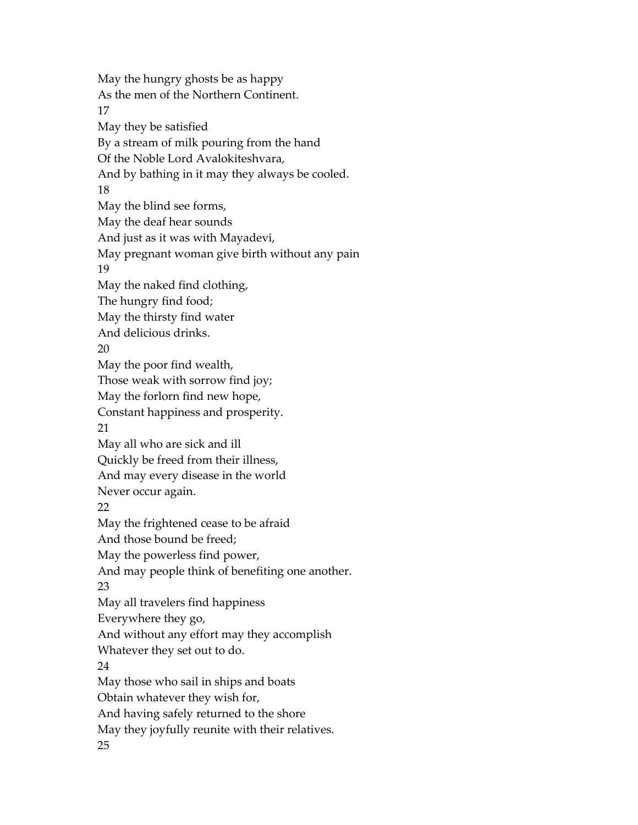May the hungry ghosts be as happy As the men of the Northern Continent. 17 May they be satisfied By a stream of milk pouring from the hand Of the Noble Lord Avalokiteshvara, And by bathing in it may they always be cooled. 18 May the blind see forms, May the deaf hear sounds And just as it was with Mayadevi, May pregnant woman give birth without any pain 19 May the naked find clothing, The hungry find food; May the thirsty find water And delicious drinks. 20 May the poor find wealth, Those weak with sorrow find joy; May the forlorn find new hope, Constant happiness and prosperity. 21 May all who are sick and ill Quickly be freed from their illness, And may every disease in the world Never occur again. 22 May the frightened cease to be afraid And those bound be freed; May the powerless find power, And may people think of benefiting one another. 23 May all travelers find happiness Everywhere they go, And without any effort may they accomplish Whatever they set out to do. 24 May those who sail in ships and boats Obtain whatever they wish for, And having safely returned to the shore May they joyfully reunite with their relatives. 25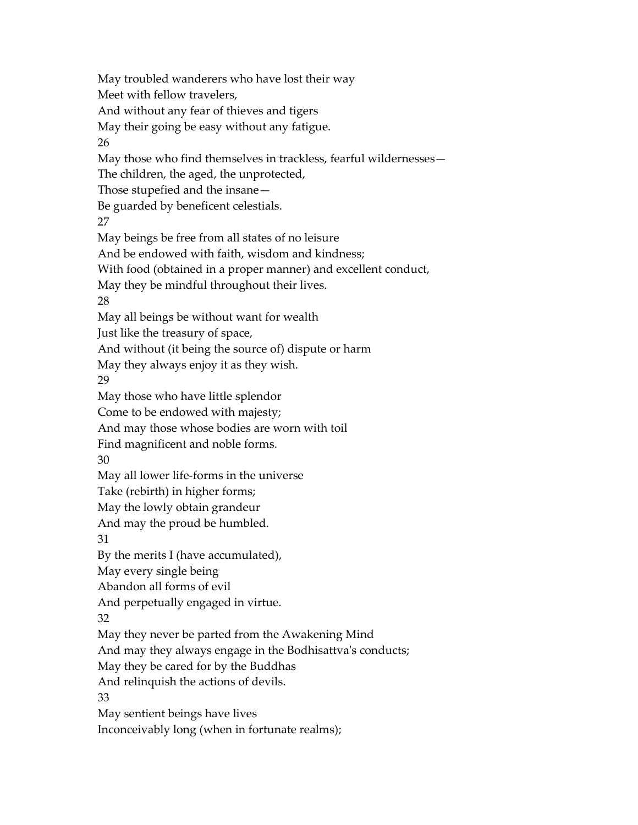May troubled wanderers who have lost their way Meet with fellow travelers, And without any fear of thieves and tigers May their going be easy without any fatigue. 26 May those who find themselves in trackless, fearful wildernesses— The children, the aged, the unprotected, Those stupefied and the insane— Be guarded by beneficent celestials. 27 May beings be free from all states of no leisure And be endowed with faith, wisdom and kindness; With food (obtained in a proper manner) and excellent conduct, May they be mindful throughout their lives. 28 May all beings be without want for wealth Just like the treasury of space, And without (it being the source of) dispute or harm May they always enjoy it as they wish. 29 May those who have little splendor Come to be endowed with majesty; And may those whose bodies are worn with toil Find magnificent and noble forms. 30 May all lower life‐forms in the universe Take (rebirth) in higher forms; May the lowly obtain grandeur And may the proud be humbled. 31 By the merits I (have accumulated), May every single being Abandon all forms of evil And perpetually engaged in virtue. 32 May they never be parted from the Awakening Mind And may they always engage in the Bodhisattva's conducts; May they be cared for by the Buddhas And relinquish the actions of devils. 33 May sentient beings have lives Inconceivably long (when in fortunate realms);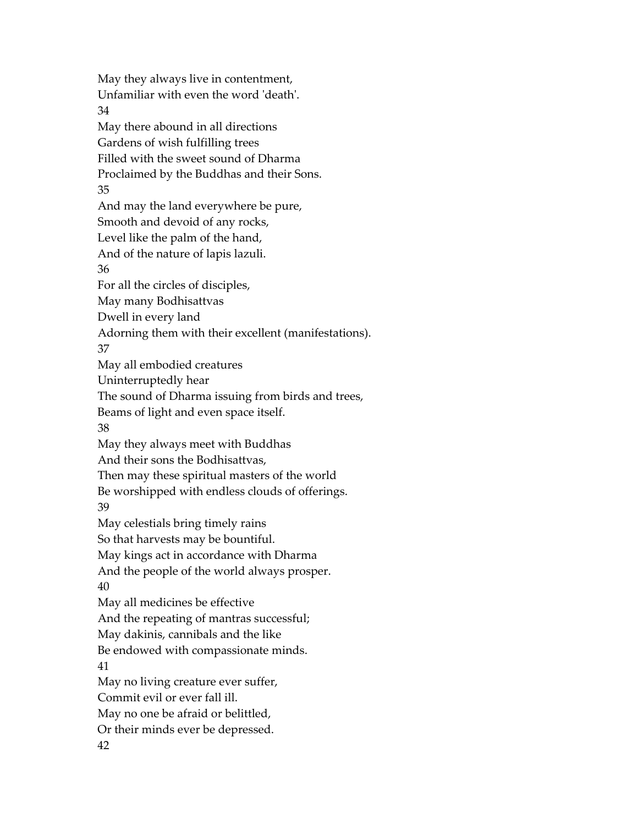May they always live in contentment, Unfamiliar with even the word ʹdeathʹ. 34 May there abound in all directions Gardens of wish fulfilling trees Filled with the sweet sound of Dharma Proclaimed by the Buddhas and their Sons. 35 And may the land everywhere be pure, Smooth and devoid of any rocks, Level like the palm of the hand, And of the nature of lapis lazuli. 36 For all the circles of disciples, May many Bodhisattvas Dwell in every land Adorning them with their excellent (manifestations). 37 May all embodied creatures Uninterruptedly hear The sound of Dharma issuing from birds and trees, Beams of light and even space itself. 38 May they always meet with Buddhas And their sons the Bodhisattvas, Then may these spiritual masters of the world Be worshipped with endless clouds of offerings. 39 May celestials bring timely rains So that harvests may be bountiful. May kings act in accordance with Dharma And the people of the world always prosper. 40 May all medicines be effective And the repeating of mantras successful; May dakinis, cannibals and the like Be endowed with compassionate minds. 41 May no living creature ever suffer, Commit evil or ever fall ill. May no one be afraid or belittled, Or their minds ever be depressed. 42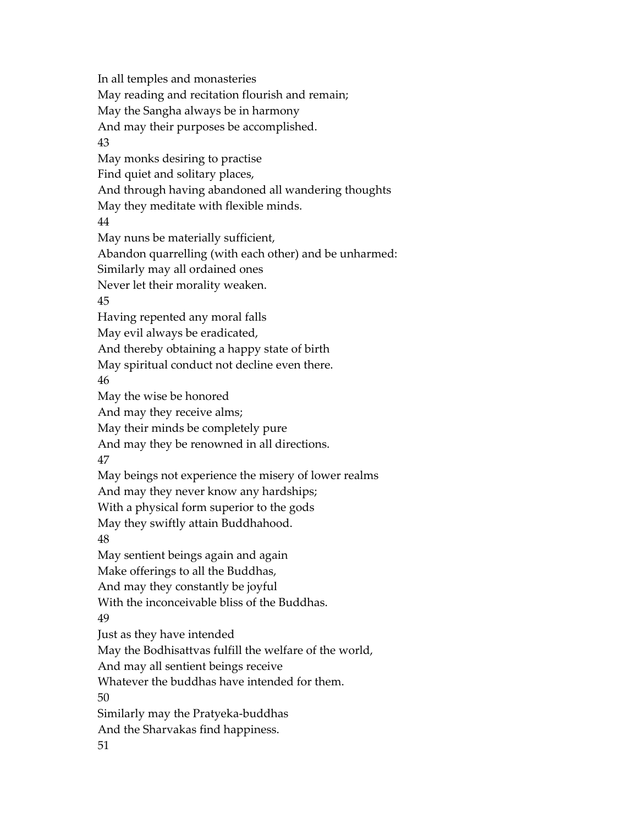In all temples and monasteries

May reading and recitation flourish and remain;

May the Sangha always be in harmony

And may their purposes be accomplished.

43

May monks desiring to practise

Find quiet and solitary places,

And through having abandoned all wandering thoughts

May they meditate with flexible minds.

44

May nuns be materially sufficient,

Abandon quarrelling (with each other) and be unharmed:

Similarly may all ordained ones

Never let their morality weaken.

45

Having repented any moral falls

May evil always be eradicated,

And thereby obtaining a happy state of birth

May spiritual conduct not decline even there.

46

May the wise be honored

And may they receive alms;

May their minds be completely pure

And may they be renowned in all directions.

47

May beings not experience the misery of lower realms

And may they never know any hardships;

With a physical form superior to the gods

May they swiftly attain Buddhahood.

48

May sentient beings again and again

Make offerings to all the Buddhas,

And may they constantly be joyful

With the inconceivable bliss of the Buddhas.

# 49

Just as they have intended

May the Bodhisattvas fulfill the welfare of the world,

And may all sentient beings receive

Whatever the buddhas have intended for them.

50

Similarly may the Pratyeka‐buddhas

And the Sharvakas find happiness.